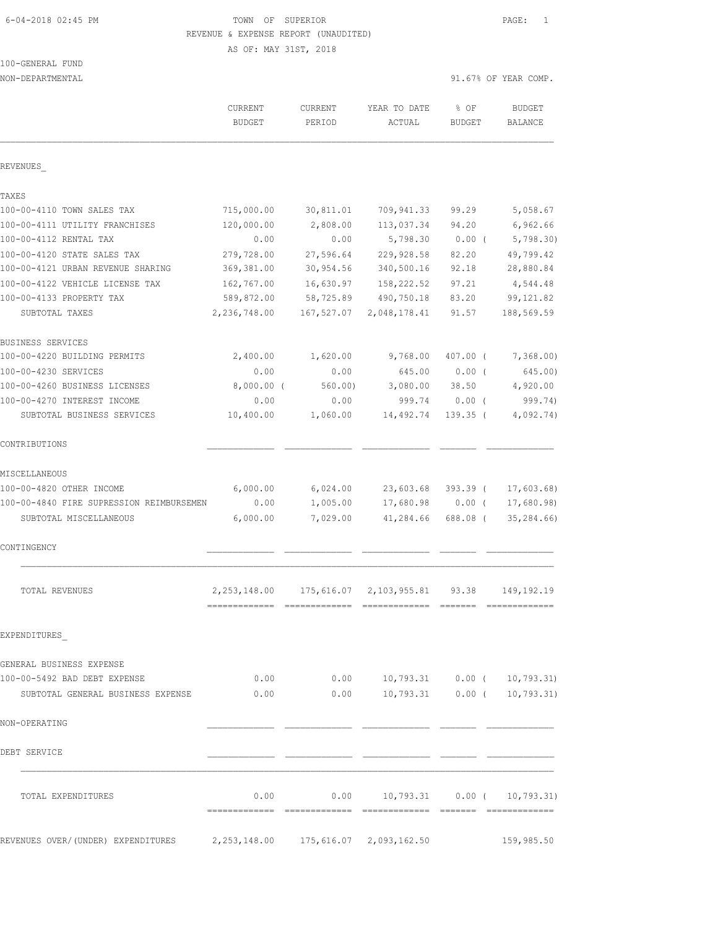# 6-04-2018 02:45 PM TOWN OF SUPERIOR PAGE: 1 REVENUE & EXPENSE REPORT (UNAUDITED)

AS OF: MAY 31ST, 2018

| 100-GENERAL FUND |  |
|------------------|--|
|                  |  |

| NON-DEPARTMENTAL                         |                                 |                   |                                           |                       | 91.67% OF YEAR COMP.     |
|------------------------------------------|---------------------------------|-------------------|-------------------------------------------|-----------------------|--------------------------|
|                                          | <b>CURRENT</b><br><b>BUDGET</b> | CURRENT<br>PERIOD | YEAR TO DATE<br>ACTUAL                    | % OF<br><b>BUDGET</b> | <b>BUDGET</b><br>BALANCE |
| REVENUES                                 |                                 |                   |                                           |                       |                          |
| TAXES                                    |                                 |                   |                                           |                       |                          |
| 100-00-4110 TOWN SALES TAX               | 715,000.00                      | 30,811.01         | 709,941.33                                | 99.29                 | 5,058.67                 |
| 100-00-4111 UTILITY FRANCHISES           | 120,000.00                      | 2,808.00          | 113,037.34                                | 94.20                 | 6,962.66                 |
| 100-00-4112 RENTAL TAX                   | 0.00                            | 0.00              | 5,798.30                                  | $0.00$ (              | 5,798.30                 |
| 100-00-4120 STATE SALES TAX              | 279,728.00                      | 27,596.64         | 229,928.58                                | 82.20                 | 49,799.42                |
| 100-00-4121 URBAN REVENUE SHARING        | 369,381.00                      | 30,954.56         | 340,500.16                                | 92.18                 | 28,880.84                |
| 100-00-4122 VEHICLE LICENSE TAX          | 162,767.00                      | 16,630.97         | 158,222.52                                | 97.21                 | 4,544.48                 |
| 100-00-4133 PROPERTY TAX                 | 589,872.00                      | 58,725.89         | 490,750.18                                | 83.20                 | 99, 121.82               |
| SUBTOTAL TAXES                           | 2,236,748.00                    | 167,527.07        | 2,048,178.41                              | 91.57                 | 188,569.59               |
| BUSINESS SERVICES                        |                                 |                   |                                           |                       |                          |
| 100-00-4220 BUILDING PERMITS             | 2,400.00                        | 1,620.00          | 9,768.00                                  | $407.00$ (            | 7,368.00                 |
| 100-00-4230 SERVICES                     | 0.00                            | 0.00              | 645.00                                    | $0.00$ (              | 645.00)                  |
| 100-00-4260 BUSINESS LICENSES            | $8,000.00$ (                    | 560.00            | 3,080.00                                  | 38.50                 | 4,920.00                 |
| 100-00-4270 INTEREST INCOME              | 0.00                            | 0.00              | 999.74                                    | $0.00$ (              | 999.74)                  |
| SUBTOTAL BUSINESS SERVICES               | 10,400.00                       | 1,060.00          | 14,492.74                                 | $139.35$ (            | 4,092.74)                |
| CONTRIBUTIONS                            |                                 |                   |                                           |                       |                          |
| MISCELLANEOUS                            |                                 |                   |                                           |                       |                          |
| 100-00-4820 OTHER INCOME                 | 6,000.00                        | 6,024.00          | 23,603.68                                 | 393.39 (              | 17,603.68)               |
| 100-00-4840 FIRE SUPRESSION REIMBURSEMEN | 0.00                            | 1,005.00          | 17,680.98                                 | $0.00$ (              | 17,680.98)               |
| SUBTOTAL MISCELLANEOUS                   | 6,000.00                        | 7,029.00          | 41,284.66                                 | 688.08 (              | 35, 284.66               |
| CONTINGENCY                              |                                 |                   |                                           |                       |                          |
| TOTAL REVENUES                           | 2, 253, 148.00                  | 175,616.07        | 2, 103, 955.81                            | 93.38                 | 149, 192. 19             |
| EXPENDITURES                             |                                 |                   |                                           |                       |                          |
| GENERAL BUSINESS EXPENSE                 |                                 |                   |                                           |                       |                          |
| 100-00-5492 BAD DEBT EXPENSE             |                                 | 0.00              | $0.00$ 10,793.31 0.00 ( 10,793.31)        |                       |                          |
| SUBTOTAL GENERAL BUSINESS EXPENSE        | 0.00                            |                   | $0.00$ 10,793.31 0.00 ( 10,793.31)        |                       |                          |
| NON-OPERATING                            |                                 |                   |                                           |                       |                          |
| DEBT SERVICE                             |                                 |                   |                                           |                       |                          |
| TOTAL EXPENDITURES                       |                                 | 0.00              | $0.00$ $10,793.31$ $0.00$ ( $10,793.31$ ) |                       |                          |
|                                          |                                 |                   |                                           |                       |                          |
| REVENUES OVER/(UNDER) EXPENDITURES       | 2, 253, 148.00                  |                   | 175,616.07 2,093,162.50                   |                       | 159,985.50               |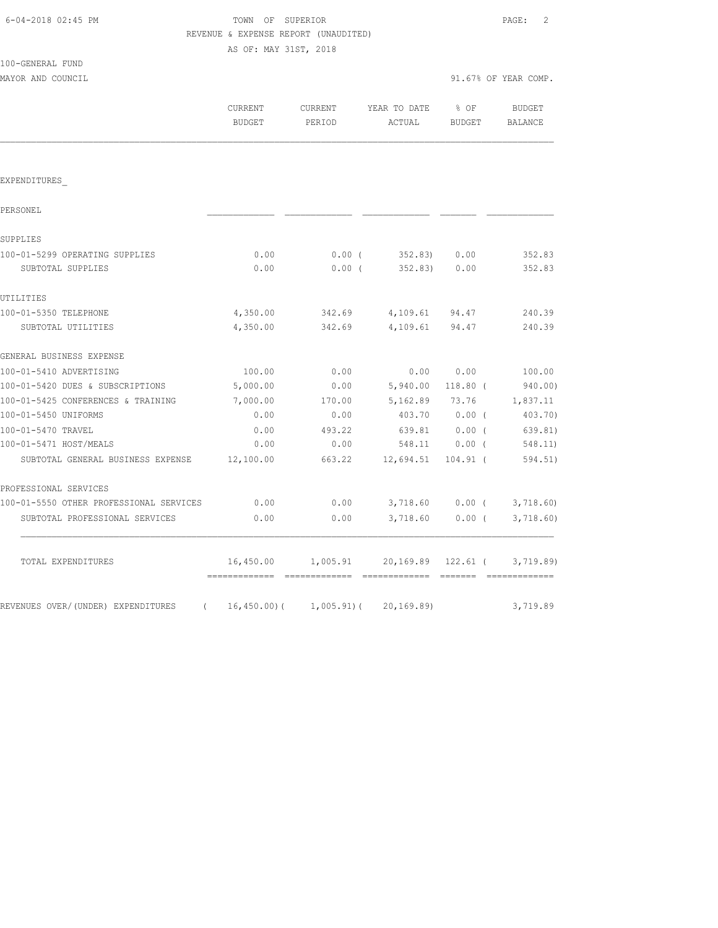|                                         |                       | REVENUE & EXPENSE REPORT (UNAUDITED) |                       |            |                      |
|-----------------------------------------|-----------------------|--------------------------------------|-----------------------|------------|----------------------|
|                                         | AS OF: MAY 31ST, 2018 |                                      |                       |            |                      |
| 100-GENERAL FUND                        |                       |                                      |                       |            |                      |
| MAYOR AND COUNCIL                       |                       |                                      |                       |            | 91.67% OF YEAR COMP. |
|                                         | CURRENT               | CURRENT                              | YEAR TO DATE          | $8$ OF     | BUDGET               |
|                                         | BUDGET                | PERIOD                               | ACTUAL                | BUDGET     | BALANCE              |
|                                         |                       |                                      |                       |            |                      |
|                                         |                       |                                      |                       |            |                      |
| EXPENDITURES                            |                       |                                      |                       |            |                      |
| PERSONEL                                |                       |                                      |                       |            |                      |
| SUPPLIES                                |                       |                                      |                       |            |                      |
| 100-01-5299 OPERATING SUPPLIES          | 0.00                  | 0.00(                                | $352.83$ 0.00         |            | 352.83               |
| SUBTOTAL SUPPLIES                       | 0.00                  | $0.00$ (                             | 352.83)               | 0.00       | 352.83               |
| UTILITIES                               |                       |                                      |                       |            |                      |
| 100-01-5350 TELEPHONE                   | 4,350.00              |                                      | 342.69 4,109.61 94.47 |            | 240.39               |
| SUBTOTAL UTILITIES                      | 4,350.00              | 342.69                               | 4,109.61              | 94.47      | 240.39               |
| GENERAL BUSINESS EXPENSE                |                       |                                      |                       |            |                      |
| 100-01-5410 ADVERTISING                 | 100.00                | 0.00                                 | 0.00                  | 0.00       | 100.00               |
| 100-01-5420 DUES & SUBSCRIPTIONS        | 5,000.00              | 0.00                                 | 5,940.00              | $118.80$ ( | 940.00)              |
| 100-01-5425 CONFERENCES & TRAINING      | 7,000.00              | 170.00                               | 5,162.89              | 73.76      | 1,837.11             |
| 100-01-5450 UNIFORMS                    | 0.00                  | 0.00                                 | 403.70                | $0.00$ (   | 403.70)              |
| 100-01-5470 TRAVEL                      | 0.00                  | 493.22                               | 639.81                | 0.00(      | 639.81)              |
| 100-01-5471 HOST/MEALS                  | 0.00                  | 0.00                                 | 548.11                | $0.00$ (   | 548.11)              |
| SUBTOTAL GENERAL BUSINESS EXPENSE       | 12,100.00             | 663.22                               | 12,694.51             | $104.91$ ( | 594.51)              |
| PROFESSIONAL SERVICES                   |                       |                                      |                       |            |                      |
| 100-01-5550 OTHER PROFESSIONAL SERVICES | 0.00                  | 0.00                                 | 3,718.60              | $0.00$ (   | 3,718.60             |
| SUBTOTAL PROFESSIONAL SERVICES          | 0.00                  | 0.00                                 | 3,718.60              | $0.00$ (   | 3,718.60             |
| TOTAL EXPENDITURES                      |                       |                                      | 20,169.89             | 122.61 (   |                      |
|                                         | 16,450.00             | 1,005.91                             |                       |            | 3,719.89             |

6-04-2018 02:45 PM TOWN OF SUPERIOR PAGE: 2

REVENUES OVER/(UNDER) EXPENDITURES ( 16,450.00)( 1,005.91)( 20,169.89) 3,719.89

============= ============= ============= ======= =============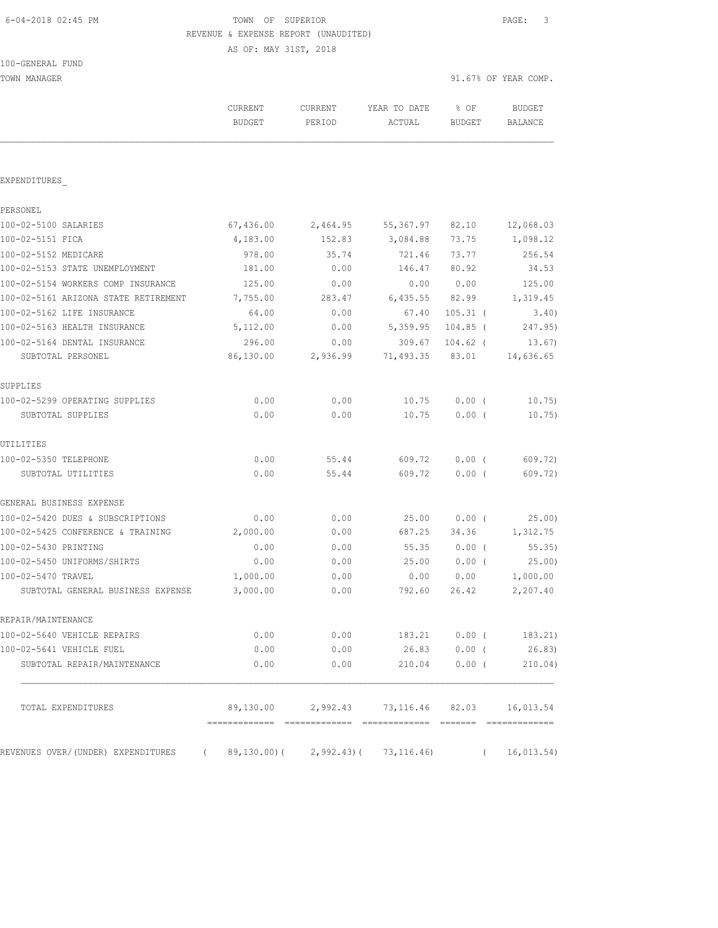# 6-04-2018 02:45 PM TOWN OF SUPERIOR PAGE: 3 REVENUE & EXPENSE REPORT (UNAUDITED)

AS OF: MAY 31ST, 2018

| TOWN MANAGER                                                                    |                                 |                   |                                              | 91.67% OF YEAR COMP. |                          |  |
|---------------------------------------------------------------------------------|---------------------------------|-------------------|----------------------------------------------|----------------------|--------------------------|--|
|                                                                                 | <b>CURRENT</b><br><b>BUDGET</b> | CURRENT<br>PERIOD | YEAR TO DATE<br>ACTUAL                       | % OF<br>BUDGET       | <b>BUDGET</b><br>BALANCE |  |
|                                                                                 |                                 |                   |                                              |                      |                          |  |
| EXPENDITURES                                                                    |                                 |                   |                                              |                      |                          |  |
| PERSONEL                                                                        |                                 |                   |                                              |                      |                          |  |
| 100-02-5100 SALARIES                                                            | 67,436.00                       | 2,464.95          | 55, 367.97                                   | 82.10                | 12,068.03                |  |
| 100-02-5151 FICA                                                                | 4,183.00                        | 152.83            | 3,084.88                                     | 73.75                | 1,098.12                 |  |
| 100-02-5152 MEDICARE                                                            | 978.00                          | 35.74             | 721.46                                       | 73.77                | 256.54                   |  |
| 100-02-5153 STATE UNEMPLOYMENT                                                  | 181.00                          | 0.00              | 146.47                                       | 80.92                | 34.53                    |  |
| 100-02-5154 WORKERS COMP INSURANCE                                              | 125.00                          | 0.00              | 0.00                                         | 0.00                 | 125.00                   |  |
| 100-02-5161 ARIZONA STATE RETIREMENT                                            | 7,755.00                        | 283.47            | 6,435.55                                     | 82.99                | 1,319.45                 |  |
| 100-02-5162 LIFE INSURANCE                                                      | 64.00                           | 0.00              | 67.40                                        | $105.31$ (           | 3.40)                    |  |
| 100-02-5163 HEALTH INSURANCE                                                    | 5,112.00                        | 0.00              | 5,359.95                                     | $104.85$ (           | 247.95)                  |  |
| 100-02-5164 DENTAL INSURANCE                                                    | 296.00                          | 0.00              | 309.67                                       | 104.62 (             | 13.67)                   |  |
| SUBTOTAL PERSONEL                                                               | 86,130.00                       | 2,936.99          | 71,493.35                                    | 83.01                | 14,636.65                |  |
| SUPPLIES                                                                        |                                 |                   |                                              |                      |                          |  |
| 100-02-5299 OPERATING SUPPLIES                                                  | 0.00                            | 0.00              | 10.75                                        | $0.00$ (             | 10.75)                   |  |
| SUBTOTAL SUPPLIES                                                               | 0.00                            | 0.00              | 10.75                                        | $0.00$ (             | 10.75)                   |  |
| UTILITIES                                                                       |                                 |                   |                                              |                      |                          |  |
| 100-02-5350 TELEPHONE                                                           | 0.00                            | 55.44             | 609.72                                       | $0.00$ (             | 609.72)                  |  |
| SUBTOTAL UTILITIES                                                              | 0.00                            | 55.44             | 609.72                                       | $0.00$ (             | 609.72)                  |  |
| GENERAL BUSINESS EXPENSE                                                        |                                 |                   |                                              |                      |                          |  |
| 100-02-5420 DUES & SUBSCRIPTIONS                                                | 0.00                            | 0.00              | 25.00                                        | $0.00$ (             | 25.00                    |  |
| 100-02-5425 CONFERENCE & TRAINING                                               | 2,000.00                        | 0.00              | 687.25                                       | 34.36                | 1,312.75                 |  |
| 100-02-5430 PRINTING                                                            | 0.00                            | 0.00              | 55.35                                        | $0.00$ (             | 55.35)                   |  |
| 100-02-5450 UNIFORMS/SHIRTS                                                     | 0.00                            | 0.00              | 25.00                                        | 0.00(                | 25.00)                   |  |
| 100-02-5470 TRAVEL                                                              | 1,000.00                        | 0.00              | 0.00                                         | 0.00                 | 1,000.00                 |  |
| SUBTOTAL GENERAL BUSINESS EXPENSE                                               | 3,000.00                        | 0.00              | 792.60                                       | 26.42                | 2,207.40                 |  |
| REPAIR/MAINTENANCE                                                              |                                 |                   |                                              |                      |                          |  |
| 100-02-5640 VEHICLE REPAIRS                                                     | 0.00                            |                   | $0.00$ 183.21 $0.00$ ( 183.21)               |                      |                          |  |
| 100-02-5641 VEHICLE FUEL                                                        | 0.00                            | 0.00              | 26.83                                        |                      | $0.00$ ( 26.83)          |  |
| SUBTOTAL REPAIR/MAINTENANCE                                                     | 0.00                            | 0.00              |                                              | 210.04 0.00 (        | 210.04)                  |  |
| TOTAL EXPENDITURES                                                              |                                 |                   | 89,130.00 2,992.43 73,116.46 82.03 16,013.54 |                      |                          |  |
| REVENUES OVER/(UNDER) EXPENDITURES (89,130.00)(2,992.43)(73,116.46) (16,013.54) |                                 |                   |                                              |                      |                          |  |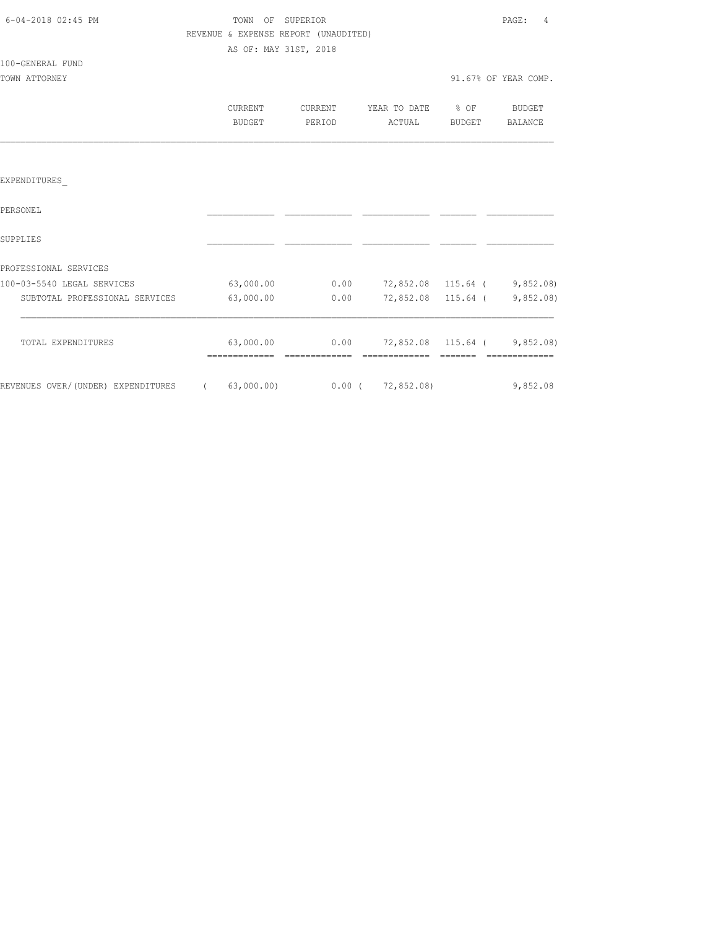| 6-04-2018 02:45 PM |         | TOWN OF SUPERIOR      |                                      |    |
|--------------------|---------|-----------------------|--------------------------------------|----|
|                    |         |                       | REVENUE & EXPENSE REPORT (UNAUDITED) |    |
|                    |         | AS OF: MAY 31ST, 2018 |                                      |    |
| 100-GENERAL FUND   |         |                       |                                      |    |
| TOWN ATTORNEY      |         |                       |                                      |    |
|                    |         |                       |                                      |    |
|                    | CURRENT |                       | CURRENT                              | Y١ |

| PERIOR | _____ |  |
|--------|-------|--|

91.67% OF YEAR COMP.

| <b>IRRENT</b><br>.                 | ≺ENT.<br>. | YEAR TO DATE<br>----<br><u>. v</u><br>----- | % OF                                                       | <b>BUDGET</b>  |
|------------------------------------|------------|---------------------------------------------|------------------------------------------------------------|----------------|
| DITE<br>. - - - -<br>$\sim$ $\sim$ | PERIOD     | CTUAL                                       | <b>BUDGET</b><br>$\sim$ $\sim$ $\sim$ $\sim$ $\sim$ $\sim$ | <b>BALANCE</b> |

### EXPENDITURES\_

| PERSONEL                           |            |          |                    |                    |          |
|------------------------------------|------------|----------|--------------------|--------------------|----------|
| SUPPLIES                           |            |          |                    |                    |          |
| PROFESSIONAL SERVICES              |            |          |                    |                    |          |
| 100-03-5540 LEGAL SERVICES         | 63,000.00  | 0.00     | 72,852.08 115.64 ( |                    | 9,852.08 |
| SUBTOTAL PROFESSIONAL SERVICES     | 63,000.00  | 0.00     |                    | 72,852.08 115.64 ( | 9,852.08 |
| TOTAL EXPENDITURES                 | 63,000.00  | 0.00     |                    | 72,852.08 115.64 ( | 9,852.08 |
| REVENUES OVER/(UNDER) EXPENDITURES | 63,000.00) | $0.00$ ( | 72,852.08)         |                    | 9,852.08 |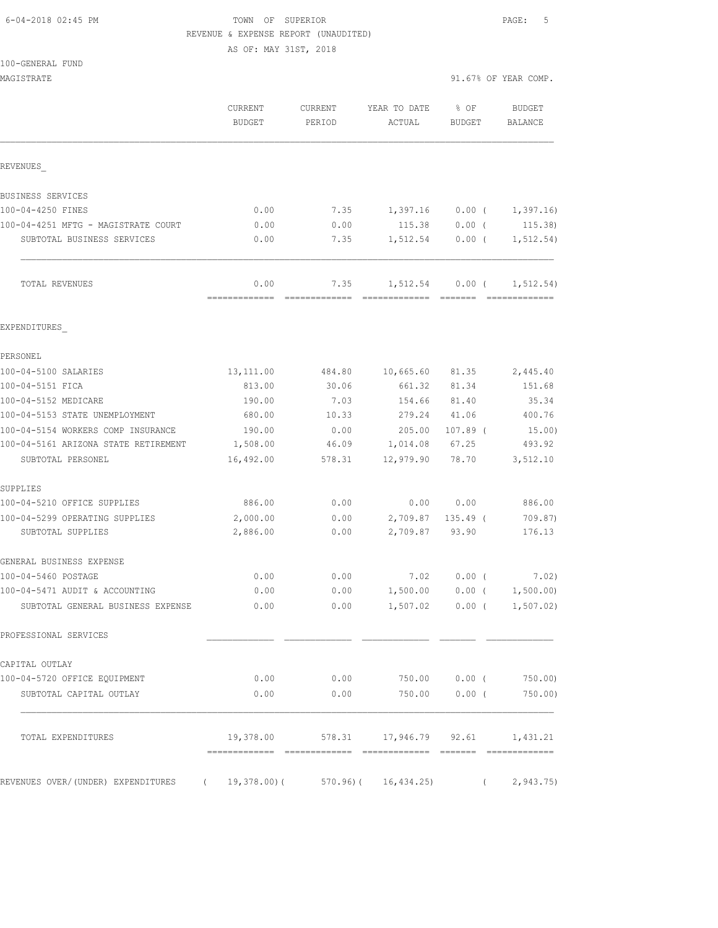## 6-04-2018 02:45 PM TOWN OF SUPERIOR PAGE: 5 REVENUE & EXPENSE REPORT (UNAUDITED)

AS OF: MAY 31ST, 2018

|  | 100-GENERAL FUND |  |
|--|------------------|--|
|  |                  |  |

| MAGISTRATE                                                           |                       |                   |                                              |                         | 91.67% OF YEAR COMP. |
|----------------------------------------------------------------------|-----------------------|-------------------|----------------------------------------------|-------------------------|----------------------|
|                                                                      | CURRENT<br>BUDGET     | CURRENT<br>PERIOD | YEAR TO DATE<br>ACTUAL                       | $8$ OF<br><b>BUDGET</b> | BUDGET<br>BALANCE    |
| REVENUES                                                             |                       |                   |                                              |                         |                      |
| BUSINESS SERVICES                                                    |                       |                   |                                              |                         |                      |
| 100-04-4250 FINES                                                    | 0.00                  | 7.35              | 1,397.16                                     | $0.00$ (                | 1,397.16)            |
| 100-04-4251 MFTG - MAGISTRATE COURT                                  | 0.00                  | 0.00              | 115.38                                       | $0.00$ (                | 115.38)              |
| SUBTOTAL BUSINESS SERVICES                                           | 0.00                  | 7.35              | 1,512.54                                     | $0.00$ (                | 1, 512.54)           |
| TOTAL REVENUES                                                       | 0.00<br>============= | 7.35              | 1,512.54<br>========================         | $0.00$ (                | 1, 512.54)           |
| EXPENDITURES                                                         |                       |                   |                                              |                         |                      |
| PERSONEL                                                             |                       |                   |                                              |                         |                      |
| 100-04-5100 SALARIES                                                 | 13, 111.00            | 484.80            | 10,665.60                                    | 81.35                   | 2,445.40             |
| 100-04-5151 FICA                                                     | 813.00                | 30.06             | 661.32                                       | 81.34                   | 151.68               |
| 100-04-5152 MEDICARE                                                 | 190.00                | 7.03              | 154.66                                       | 81.40                   | 35.34                |
| 100-04-5153 STATE UNEMPLOYMENT                                       | 680.00                | 10.33             | 279.24                                       | 41.06                   | 400.76               |
| 100-04-5154 WORKERS COMP INSURANCE                                   | 190.00                | 0.00              | 205.00                                       | $107.89$ (              | 15.00)               |
| 100-04-5161 ARIZONA STATE RETIREMENT                                 | 1,508.00              | 46.09             | 1,014.08                                     | 67.25                   | 493.92               |
| SUBTOTAL PERSONEL                                                    | 16,492.00             | 578.31            | 12,979.90                                    | 78.70                   | 3,512.10             |
| SUPPLIES                                                             |                       |                   |                                              |                         |                      |
| 100-04-5210 OFFICE SUPPLIES                                          | 886.00                | 0.00              |                                              | 0.00 0.00               | 886.00               |
| 100-04-5299 OPERATING SUPPLIES                                       | 2,000.00              | 0.00              | 2,709.87                                     | $135.49$ (              | 709.87)              |
| SUBTOTAL SUPPLIES                                                    | 2,886.00              | 0.00              | 2,709.87                                     | 93.90                   | 176.13               |
| GENERAL BUSINESS EXPENSE                                             |                       |                   |                                              |                         |                      |
| 100-04-5460 POSTAGE                                                  | 0.00                  | 0.00              | 7.02                                         | $0.00$ (                | 7.02)                |
| 100-04-5471 AUDIT & ACCOUNTING                                       | 0.00                  | 0.00              | 1,500.00                                     | $0.00$ (                | 1,500.00)            |
| SUBTOTAL GENERAL BUSINESS EXPENSE                                    |                       |                   | $0.00$ $0.00$ $1,507.02$ $0.00$ $(1,507.02)$ |                         |                      |
| PROFESSIONAL SERVICES                                                |                       |                   |                                              |                         |                      |
| CAPITAL OUTLAY                                                       |                       |                   |                                              |                         |                      |
| 100-04-5720 OFFICE EQUIPMENT                                         |                       |                   | $0.00$ 0.00 750.00 0.00 (750.00)             |                         |                      |
| SUBTOTAL CAPITAL OUTLAY                                              |                       |                   | $0.00$ 0.00 750.00 0.00 (750.00)             |                         |                      |
| TOTAL EXPENDITURES                                                   |                       |                   | 19,378.00 578.31 17,946.79 92.61 1,431.21    |                         |                      |
| REVENUES OVER/(UNDER) EXPENDITURES ( 19,378.00)( 570.96)( 16,434.25) |                       |                   |                                              |                         | (2, 943.75)          |
|                                                                      |                       |                   |                                              |                         |                      |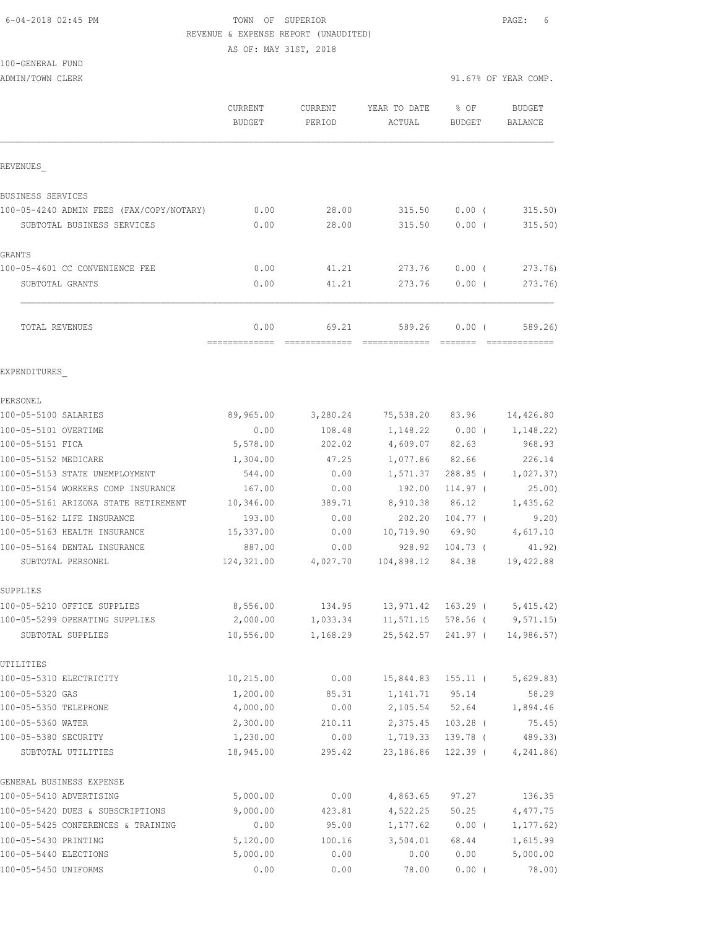### 6-04-2018 02:45 PM TOWN OF SUPERIOR PAGE: 6 REVENUE & EXPENSE REPORT (UNAUDITED) AS OF: MAY 31ST, 2018

100-GENERAL FUND

|                                          | CURRENT<br><b>BUDGET</b> | CURRENT<br>PERIOD      | YEAR TO DATE<br>ACTUAL  | % OF<br>BUDGET | BUDGET<br>BALANCE        |
|------------------------------------------|--------------------------|------------------------|-------------------------|----------------|--------------------------|
| REVENUES                                 |                          |                        |                         |                |                          |
| BUSINESS SERVICES                        |                          |                        |                         |                |                          |
| 100-05-4240 ADMIN FEES (FAX/COPY/NOTARY) | 0.00                     | 28.00                  | 315.50                  | $0.00$ (       | 315.50                   |
| SUBTOTAL BUSINESS SERVICES               | 0.00                     | 28.00                  | 315.50                  | $0.00$ (       | 315.50)                  |
| GRANTS                                   |                          |                        |                         |                |                          |
| 100-05-4601 CC CONVENIENCE FEE           | 0.00                     | 41.21                  | 273.76                  | $0.00$ (       | 273.76)                  |
| SUBTOTAL GRANTS                          | 0.00                     | 41.21                  | 273.76                  | $0.00$ (       | 273.76)                  |
| TOTAL REVENUES                           | 0.00<br>-------------    | 69.21<br>============= | 589.26<br>============= | 0.00(          | 589.26)<br>============= |
| EXPENDITURES                             |                          |                        |                         |                |                          |
| PERSONEL                                 |                          |                        |                         |                |                          |
| 100-05-5100 SALARIES                     | 89,965.00                | 3,280.24               | 75,538.20 83.96         |                | 14,426.80                |
| 100-05-5101 OVERTIME                     | 0.00                     | 108.48                 | 1,148.22                | $0.00$ (       | 1,148.22)                |
| 100-05-5151 FICA                         | 5,578.00                 | 202.02                 | 4,609.07                | 82.63          | 968.93                   |
| 100-05-5152 MEDICARE                     | 1,304.00                 | 47.25                  | 1,077.86                | 82.66          | 226.14                   |
| 100-05-5153 STATE UNEMPLOYMENT           | 544.00                   | 0.00                   | 1,571.37                | $288.85$ (     | 1,027.37)                |
| 100-05-5154 WORKERS COMP INSURANCE       | 167.00                   | 0.00                   | 192.00                  | 114.97 (       | 25.00)                   |
| 100-05-5161 ARIZONA STATE RETIREMENT     | 10,346.00                | 389.71                 | 8,910.38                | 86.12          | 1,435.62                 |
| 100-05-5162 LIFE INSURANCE               | 193.00                   | 0.00                   | 202.20                  | $104.77$ (     | 9.20)                    |
| 100-05-5163 HEALTH INSURANCE             | 15,337.00                | 0.00                   | 10,719.90               | 69.90          | 4,617.10                 |
| 100-05-5164 DENTAL INSURANCE             | 887.00                   | 0.00                   | 928.92                  | $104.73$ (     | 41.92)                   |
| SUBTOTAL PERSONEL                        | 124,321.00               | 4,027.70               | 104,898.12              | 84.38          | 19,422.88                |
| SUPPLIES                                 |                          |                        |                         |                |                          |
| 100-05-5210 OFFICE SUPPLIES              | 8,556.00                 | 134.95                 | 13,971.42 163.29 (      |                | 5,415.42)                |
| 100-05-5299 OPERATING SUPPLIES           | 2,000.00                 | 1,033.34               | 11,571.15 578.56 (      |                | 9,571.15                 |
| SUBTOTAL SUPPLIES                        | 10,556.00                | 1,168.29               | 25,542.57 241.97 (      |                | 14,986.57)               |
| UTILITIES                                |                          |                        |                         |                |                          |
| 100-05-5310 ELECTRICITY                  | 10,215.00                | 0.00                   | 15,844.83               | 155.11 (       | 5,629.83)                |
| 100-05-5320 GAS                          | 1,200.00                 | 85.31                  | 1,141.71                | 95.14          | 58.29                    |
| 100-05-5350 TELEPHONE                    | 4,000.00                 | 0.00                   | 2,105.54 52.64          |                | 1,894.46                 |
| 100-05-5360 WATER                        | 2,300.00                 | 210.11                 | 2,375.45                | $103.28$ (     | 75.45)                   |
| 100-05-5380 SECURITY                     | 1,230.00                 | 0.00                   | 1,719.33                | 139.78 (       | 489.33)                  |
| SUBTOTAL UTILITIES                       | 18,945.00                | 295.42                 | 23,186.86               | $122.39$ (     | 4, 241.86                |
| GENERAL BUSINESS EXPENSE                 |                          |                        |                         |                |                          |
| 100-05-5410 ADVERTISING                  | 5,000.00                 | 0.00                   | 4,863.65                | 97.27          | 136.35                   |
| 100-05-5420 DUES & SUBSCRIPTIONS         | 9,000.00                 | 423.81                 | 4,522.25                | 50.25          | 4,477.75                 |
| 100-05-5425 CONFERENCES & TRAINING       | 0.00                     | 95.00                  | 1,177.62                | $0.00$ (       | 1, 177.62)               |
| 100-05-5430 PRINTING                     | 5,120.00                 | 100.16                 | 3,504.01                | 68.44          | 1,615.99                 |
| 100-05-5440 ELECTIONS                    | 5,000.00                 | 0.00                   | 0.00                    | 0.00           | 5,000.00                 |
| 100-05-5450 UNIFORMS                     | 0.00                     | 0.00                   | 78.00                   | 0.00(          | 78.00)                   |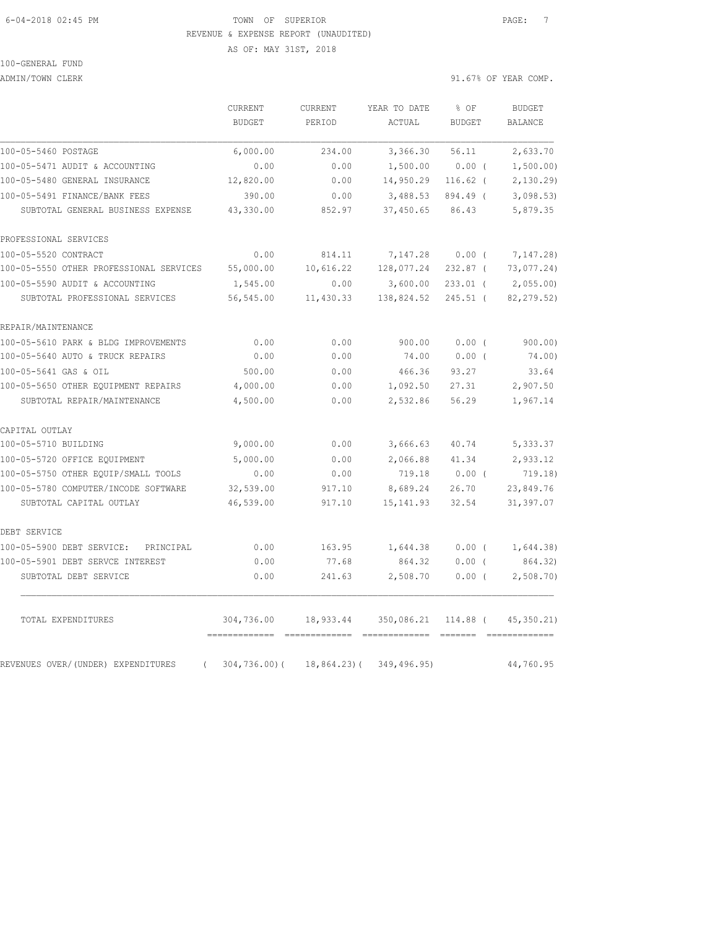#### 6-04-2018 02:45 PM TOWN OF SUPERIOR PAGE: 7 REVENUE & EXPENSE REPORT (UNAUDITED)

AS OF: MAY 31ST, 2018

# 100-GENERAL FUND

ADMIN/TOWN CLERK 31.67% OF YEAR COMP.

|                                                | ${\tt CURRENT}$ | CURRENT         | YEAR TO DATE | % OF          | <b>BUDGET</b> |
|------------------------------------------------|-----------------|-----------------|--------------|---------------|---------------|
|                                                | <b>BUDGET</b>   | PERIOD          | ACTUAL       | <b>BUDGET</b> | BALANCE       |
| 100-05-5460 POSTAGE                            | 6,000.00        | 234.00          | 3,366.30     | 56.11         | 2,633.70      |
| 100-05-5471 AUDIT & ACCOUNTING                 | 0.00            | 0.00            | 1,500.00     | 0.00(         | 1,500.00)     |
| 100-05-5480 GENERAL INSURANCE                  | 12,820.00       | 0.00            | 14,950.29    | $116.62$ (    | 2,130.29      |
| 100-05-5491 FINANCE/BANK FEES                  | 390.00          | 0.00            | 3,488.53     | 894.49 (      | 3,098.53      |
| SUBTOTAL GENERAL BUSINESS EXPENSE              | 43,330.00       | 852.97          | 37,450.65    | 86.43         | 5,879.35      |
| PROFESSIONAL SERVICES                          |                 |                 |              |               |               |
| 100-05-5520 CONTRACT                           | 0.00            | 814.11          | 7,147.28     | $0.00$ (      | 7,147.28)     |
| 100-05-5550 OTHER PROFESSIONAL SERVICES        | 55,000.00       | 10,616.22       | 128,077.24   | $232.87$ (    | 73,077.24)    |
| 100-05-5590 AUDIT & ACCOUNTING                 | 1,545.00        | 0.00            | 3,600.00     | $233.01$ (    | 2,055.00)     |
| SUBTOTAL PROFESSIONAL SERVICES                 | 56,545.00       | 11,430.33       | 138,824.52   | $245.51$ (    | 82, 279.52)   |
| REPAIR/MAINTENANCE                             |                 |                 |              |               |               |
| 100-05-5610 PARK & BLDG IMPROVEMENTS           | 0.00            | 0.00            | 900.00       | $0.00$ (      | 900.00)       |
| 100-05-5640 AUTO & TRUCK REPAIRS               | 0.00            | 0.00            | 74.00        | $0.00$ (      | 74.00)        |
| 100-05-5641 GAS & OIL                          | 500.00          | 0.00            | 466.36       | 93.27         | 33.64         |
| 100-05-5650 OTHER EQUIPMENT REPAIRS            | 4,000.00        | 0.00            | 1,092.50     | 27.31         | 2,907.50      |
| SUBTOTAL REPAIR/MAINTENANCE                    | 4,500.00        | 0.00            | 2,532.86     | 56.29         | 1,967.14      |
| CAPITAL OUTLAY                                 |                 |                 |              |               |               |
| 100-05-5710 BUILDING                           | 9,000.00        | 0.00            | 3,666.63     | 40.74         | 5,333.37      |
| 100-05-5720 OFFICE EQUIPMENT                   | 5,000.00        | 0.00            | 2,066.88     | 41.34         | 2,933.12      |
| 100-05-5750 OTHER EQUIP/SMALL TOOLS            | 0.00            | 0.00            | 719.18       | $0.00$ (      | 719.18)       |
| 100-05-5780 COMPUTER/INCODE SOFTWARE           | 32,539.00       | 917.10          | 8,689.24     | 26.70         | 23,849.76     |
| SUBTOTAL CAPITAL OUTLAY                        | 46,539.00       | 917.10          | 15, 141.93   | 32.54         | 31,397.07     |
| DEBT SERVICE                                   |                 |                 |              |               |               |
| 100-05-5900 DEBT SERVICE:<br>PRINCIPAL         | 0.00            | 163.95          | 1,644.38     | $0.00$ (      | 1,644.38)     |
| 100-05-5901 DEBT SERVCE INTEREST               | 0.00            | 77.68           | 864.32       | $0.00$ (      | 864.32)       |
| SUBTOTAL DEBT SERVICE                          | 0.00            | 241.63          | 2,508.70     | $0.00$ (      | 2,508.70      |
| TOTAL EXPENDITURES                             | 304,736.00      | 18,933.44       | 350,086.21   | 114.88 (      | 45, 350.21)   |
| REVENUES OVER/(UNDER) EXPENDITURES<br>$\left($ | $304, 736.00$ ( | $18,864.23$ ) ( | 349, 496.95) |               | 44,760.95     |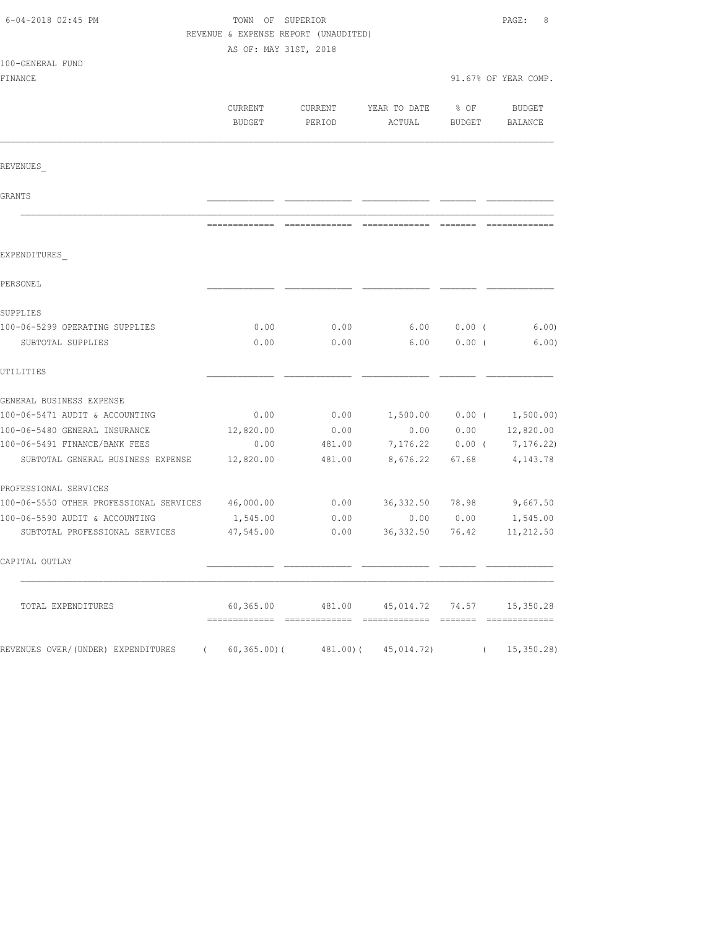| 6-04-2018 02:45 PM                                | TOWN OF SUPERIOR<br>REVENUE & EXPENSE REPORT (UNAUDITED) |                   |                                            |                       | PAGE:<br>8                  |  |
|---------------------------------------------------|----------------------------------------------------------|-------------------|--------------------------------------------|-----------------------|-----------------------------|--|
| 100-GENERAL FUND                                  | AS OF: MAY 31ST, 2018                                    |                   |                                            |                       |                             |  |
| FINANCE                                           |                                                          |                   |                                            |                       | 91.67% OF YEAR COMP.        |  |
|                                                   |                                                          |                   |                                            |                       |                             |  |
|                                                   | CURRENT<br>BUDGET                                        | CURRENT<br>PERIOD | YEAR TO DATE<br>ACTUAL                     | % OF<br><b>BUDGET</b> | BUDGET<br>BALANCE           |  |
| REVENUES                                          |                                                          |                   |                                            |                       |                             |  |
| GRANTS                                            |                                                          |                   |                                            |                       |                             |  |
|                                                   |                                                          |                   |                                            |                       |                             |  |
| EXPENDITURES                                      |                                                          |                   |                                            |                       |                             |  |
| PERSONEL                                          |                                                          |                   |                                            |                       |                             |  |
| SUPPLIES                                          |                                                          |                   |                                            |                       |                             |  |
| 100-06-5299 OPERATING SUPPLIES                    | 0.00                                                     | 0.00              | 6.00                                       | $0.00$ (              | 6.00)                       |  |
| SUBTOTAL SUPPLIES                                 | 0.00                                                     | 0.00              | 6.00                                       | $0.00$ (              | 6.00)                       |  |
| UTILITIES                                         |                                                          |                   |                                            |                       |                             |  |
| GENERAL BUSINESS EXPENSE                          |                                                          |                   |                                            |                       |                             |  |
| 100-06-5471 AUDIT & ACCOUNTING                    | 0.00                                                     | 0.00              |                                            |                       | $1,500.00$ 0.00 ( 1,500.00) |  |
| 100-06-5480 GENERAL INSURANCE                     | 12,820.00                                                | 0.00              | 0.00                                       | 0.00                  | 12,820.00                   |  |
| 100-06-5491 FINANCE/BANK FEES                     | 0.00                                                     | 481.00            | 7,176.22                                   | $0.00$ (              | 7,176.22)                   |  |
| SUBTOTAL GENERAL BUSINESS EXPENSE                 | 12,820.00                                                | 481.00            | 8,676.22                                   | 67.68                 | 4, 143. 78                  |  |
| PROFESSIONAL SERVICES                             |                                                          |                   |                                            |                       |                             |  |
| 100-06-5550 OTHER PROFESSIONAL SERVICES 46,000.00 |                                                          | 0.00              | 36,332.50 78.98                            |                       | 9,667.50                    |  |
| 100-06-5590 AUDIT & ACCOUNTING                    | 1,545.00                                                 | 0.00              | 0.00                                       | 0.00                  | 1,545.00                    |  |
| SUBTOTAL PROFESSIONAL SERVICES                    | 47,545.00                                                | 0.00              | 36, 332.50                                 | 76.42                 | 11,212.50                   |  |
| CAPITAL OUTLAY                                    |                                                          |                   |                                            |                       |                             |  |
| TOTAL EXPENDITURES                                |                                                          |                   | 60,365.00 481.00 45,014.72 74.57 15,350.28 |                       |                             |  |
| REVENUES OVER/(UNDER) EXPENDITURES (              |                                                          |                   | $60,365.00$ ( $481.00$ ( $45,014.72$ )     |                       | (15, 350.28)                |  |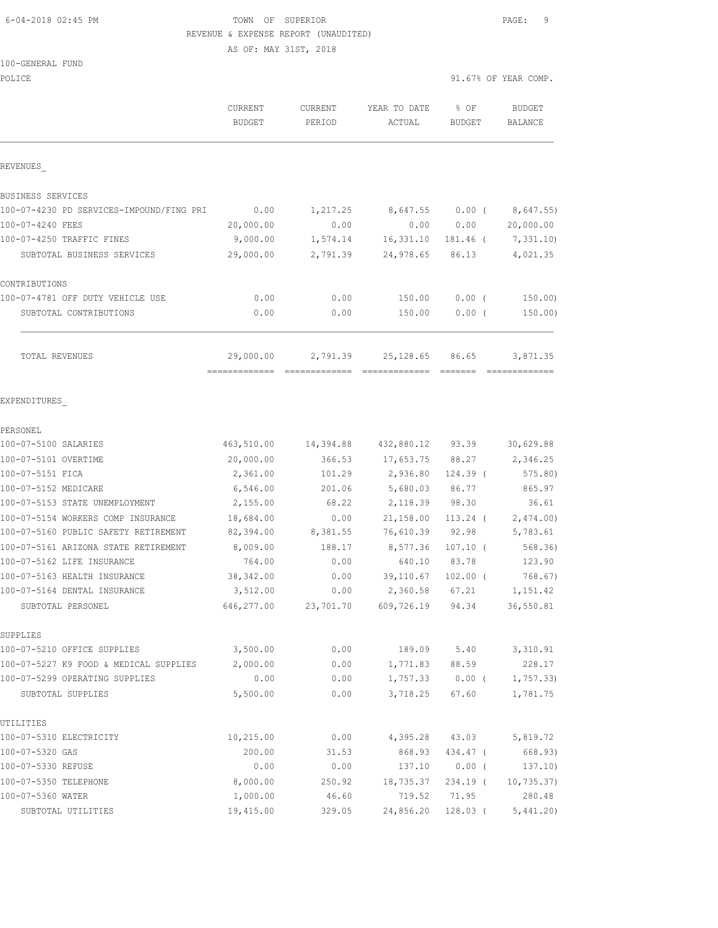### 6-04-2018 02:45 PM TOWN OF SUPERIOR PAGE: 9 REVENUE & EXPENSE REPORT (UNAUDITED)

AS OF: MAY 31ST, 2018

| 100-GENERAL FUND |  |
|------------------|--|
|------------------|--|

.<br>POLICE

| POLICE                                   |                          |                   |                            |                                                                                                                                                                                                                                                                                                                                                                                                                                                                                                 | 91.67% OF YEAR COMP.            |
|------------------------------------------|--------------------------|-------------------|----------------------------|-------------------------------------------------------------------------------------------------------------------------------------------------------------------------------------------------------------------------------------------------------------------------------------------------------------------------------------------------------------------------------------------------------------------------------------------------------------------------------------------------|---------------------------------|
|                                          | CURRENT<br><b>BUDGET</b> | CURRENT<br>PERIOD | YEAR TO DATE<br>ACTUAL     | % OF<br><b>BUDGET</b>                                                                                                                                                                                                                                                                                                                                                                                                                                                                           | <b>BUDGET</b><br><b>BALANCE</b> |
| REVENUES                                 |                          |                   |                            |                                                                                                                                                                                                                                                                                                                                                                                                                                                                                                 |                                 |
| BUSINESS SERVICES                        |                          |                   |                            |                                                                                                                                                                                                                                                                                                                                                                                                                                                                                                 |                                 |
| 100-07-4230 PD SERVICES-IMPOUND/FING PRI | 0.00                     | 1,217.25          | 8,647.55                   | $0.00$ (                                                                                                                                                                                                                                                                                                                                                                                                                                                                                        | 8,647.55)                       |
| 100-07-4240 FEES                         | 20,000.00                | 0.00              | 0.00                       | 0.00                                                                                                                                                                                                                                                                                                                                                                                                                                                                                            | 20,000.00                       |
| 100-07-4250 TRAFFIC FINES                | 9,000.00                 | 1,574.14          | 16,331.10                  | 181.46 (                                                                                                                                                                                                                                                                                                                                                                                                                                                                                        | 7,331.10)                       |
| SUBTOTAL BUSINESS SERVICES               | 29,000.00                | 2,791.39          | 24,978.65                  | 86.13                                                                                                                                                                                                                                                                                                                                                                                                                                                                                           | 4,021.35                        |
| CONTRIBUTIONS                            |                          |                   |                            |                                                                                                                                                                                                                                                                                                                                                                                                                                                                                                 |                                 |
| 100-07-4781 OFF DUTY VEHICLE USE         | 0.00                     | 0.00              | 150.00                     | 0.00(                                                                                                                                                                                                                                                                                                                                                                                                                                                                                           | 150.00                          |
| SUBTOTAL CONTRIBUTIONS                   | 0.00                     | 0.00              | 150.00                     | $0.00$ (                                                                                                                                                                                                                                                                                                                                                                                                                                                                                        | 150.00)                         |
| TOTAL REVENUES                           | 29,000.00                | 2,791.39          | 25,128.65                  | 86.65<br>$\begin{array}{cccccccccc} \multicolumn{2}{c}{} & \multicolumn{2}{c}{} & \multicolumn{2}{c}{} & \multicolumn{2}{c}{} & \multicolumn{2}{c}{} & \multicolumn{2}{c}{} & \multicolumn{2}{c}{} & \multicolumn{2}{c}{} & \multicolumn{2}{c}{} & \multicolumn{2}{c}{} & \multicolumn{2}{c}{} & \multicolumn{2}{c}{} & \multicolumn{2}{c}{} & \multicolumn{2}{c}{} & \multicolumn{2}{c}{} & \multicolumn{2}{c}{} & \multicolumn{2}{c}{} & \multicolumn{2}{c}{} & \multicolumn{2}{c}{} & \mult$ | 3,871.35<br>=============       |
| EXPENDITURES                             |                          |                   |                            |                                                                                                                                                                                                                                                                                                                                                                                                                                                                                                 |                                 |
| PERSONEL                                 |                          |                   |                            |                                                                                                                                                                                                                                                                                                                                                                                                                                                                                                 |                                 |
| 100-07-5100 SALARIES                     | 463,510.00               | 14,394.88         | 432,880.12 93.39           |                                                                                                                                                                                                                                                                                                                                                                                                                                                                                                 | 30,629.88                       |
| 100-07-5101 OVERTIME                     | 20,000.00                | 366.53            | 17,653.75                  | 88.27                                                                                                                                                                                                                                                                                                                                                                                                                                                                                           | 2,346.25                        |
| 100-07-5151 FICA                         | 2,361.00                 | 101.29            | 2,936.80                   | 124.39 (                                                                                                                                                                                                                                                                                                                                                                                                                                                                                        | 575.80)                         |
| 100-07-5152 MEDICARE                     | 6,546.00                 | 201.06            | 5,680.03                   | 86.77                                                                                                                                                                                                                                                                                                                                                                                                                                                                                           | 865.97                          |
| 100-07-5153 STATE UNEMPLOYMENT           | 2,155.00                 | 68.22             | 2,118.39                   | 98.30                                                                                                                                                                                                                                                                                                                                                                                                                                                                                           | 36.61                           |
| 100-07-5154 WORKERS COMP INSURANCE       | 18,684.00                | 0.00              | 21,158.00                  | $113.24$ (                                                                                                                                                                                                                                                                                                                                                                                                                                                                                      | 2,474.00                        |
| 100-07-5160 PUBLIC SAFETY RETIREMENT     | 82,394.00                | 8,381.55          | 76,610.39                  | 92.98                                                                                                                                                                                                                                                                                                                                                                                                                                                                                           | 5,783.61                        |
| 100-07-5161 ARIZONA STATE RETIREMENT     | 8,009.00                 | 188.17            | 8,577.36                   | $107.10$ (                                                                                                                                                                                                                                                                                                                                                                                                                                                                                      | 568.36)                         |
| 100-07-5162 LIFE INSURANCE               | 764.00                   | 0.00              | 640.10                     | 83.78                                                                                                                                                                                                                                                                                                                                                                                                                                                                                           | 123.90                          |
| 100-07-5163 HEALTH INSURANCE             | 38, 342.00               | 0.00              | 39,110.67                  | $102.00$ (                                                                                                                                                                                                                                                                                                                                                                                                                                                                                      | 768.67)                         |
| 100-07-5164 DENTAL INSURANCE             | 3,512.00                 | 0.00              | 2,360.58                   | 67.21                                                                                                                                                                                                                                                                                                                                                                                                                                                                                           | 1,151.42                        |
| SUBTOTAL PERSONEL                        | 646, 277.00              |                   | 23,701.70 609,726.19 94.34 |                                                                                                                                                                                                                                                                                                                                                                                                                                                                                                 | 36,550.81                       |
| SUPPLIES                                 |                          |                   |                            |                                                                                                                                                                                                                                                                                                                                                                                                                                                                                                 |                                 |
| 100-07-5210 OFFICE SUPPLIES              | 3,500.00                 | 0.00              | 189.09 5.40                |                                                                                                                                                                                                                                                                                                                                                                                                                                                                                                 | 3,310.91                        |
| 100-07-5227 K9 FOOD & MEDICAL SUPPLIES   | 2,000.00                 | 0.00              | 1,771.83 88.59             |                                                                                                                                                                                                                                                                                                                                                                                                                                                                                                 | 228.17                          |
| 100-07-5299 OPERATING SUPPLIES           | 0.00                     | 0.00              | 1,757.33                   | $0.00$ (                                                                                                                                                                                                                                                                                                                                                                                                                                                                                        | 1,757.33                        |
| SUBTOTAL SUPPLIES                        | 5,500.00                 | 0.00              | 3,718.25                   | 67.60                                                                                                                                                                                                                                                                                                                                                                                                                                                                                           | 1,781.75                        |
| UTILITIES                                |                          |                   |                            |                                                                                                                                                                                                                                                                                                                                                                                                                                                                                                 |                                 |
| 100-07-5310 ELECTRICITY                  | 10,215.00                | 0.00              | 4,395.28                   | 43.03                                                                                                                                                                                                                                                                                                                                                                                                                                                                                           | 5,819.72                        |
| 100-07-5320 GAS                          | 200.00                   | 31.53             | 868.93                     | 434.47 (                                                                                                                                                                                                                                                                                                                                                                                                                                                                                        | 668.93)                         |
| 100-07-5330 REFUSE                       | 0.00                     | 0.00              | 137.10                     | $0.00$ (                                                                                                                                                                                                                                                                                                                                                                                                                                                                                        | 137.10)                         |
| 100-07-5350 TELEPHONE                    | 8,000.00                 | 250.92            | 18,735.37                  | 234.19 (                                                                                                                                                                                                                                                                                                                                                                                                                                                                                        | 10, 735.37)                     |
| 100-07-5360 WATER                        | 1,000.00                 | 46.60             | 719.52                     | 71.95                                                                                                                                                                                                                                                                                                                                                                                                                                                                                           | 280.48                          |
| SUBTOTAL UTILITIES                       | 19,415.00                | 329.05            | 24,856.20                  | 128.03 (                                                                                                                                                                                                                                                                                                                                                                                                                                                                                        | 5,441.20                        |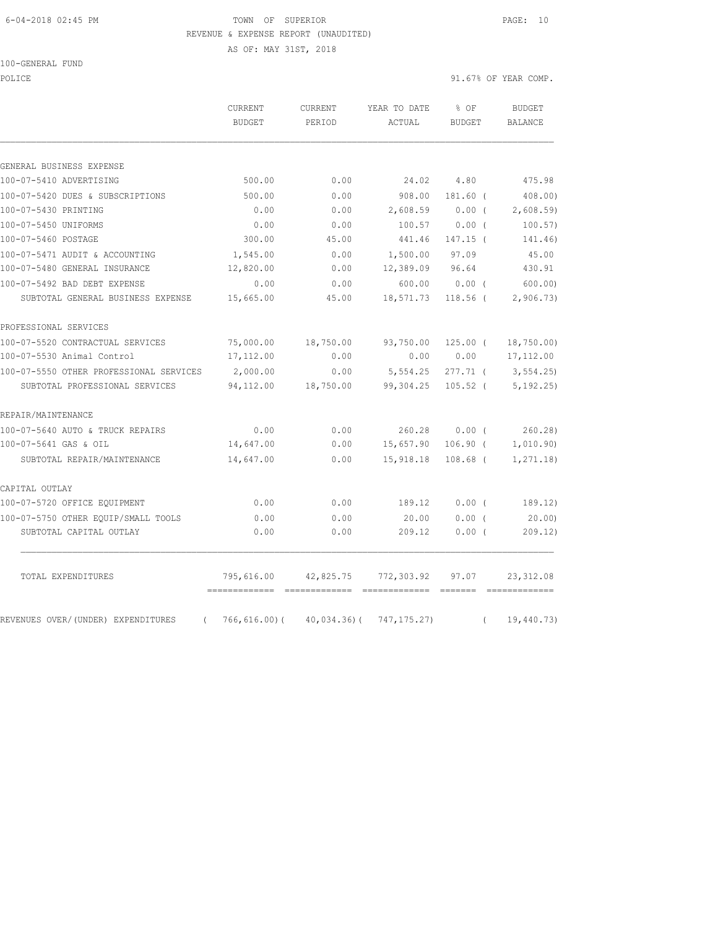#### 6-04-2018 02:45 PM TOWN OF SUPERIOR PAGE: 10 REVENUE & EXPENSE REPORT (UNAUDITED)

AS OF: MAY 31ST, 2018

100-GENERAL FUND

POLICE 91.67% OF YEAR COMP.

|                                         | <b>CURRENT</b><br><b>BUDGET</b> | CURRENT<br>PERIOD | YEAR TO DATE<br>ACTUAL | % OF<br><b>BUDGET</b> | <b>BUDGET</b><br><b>BALANCE</b> |
|-----------------------------------------|---------------------------------|-------------------|------------------------|-----------------------|---------------------------------|
|                                         |                                 |                   |                        |                       |                                 |
| GENERAL BUSINESS EXPENSE                |                                 |                   |                        |                       |                                 |
| 100-07-5410 ADVERTISING                 | 500.00                          | 0.00              | 24.02                  | 4.80                  | 475.98                          |
| 100-07-5420 DUES & SUBSCRIPTIONS        | 500.00                          | 0.00              | 908.00                 | 181.60 (              | 408.00)                         |
| 100-07-5430 PRINTING                    | 0.00                            | 0.00              | 2,608.59               | $0.00$ (              | 2,608.59                        |
| 100-07-5450 UNIFORMS                    | 0.00                            | 0.00              | 100.57                 | $0.00$ (              | 100.57)                         |
| 100-07-5460 POSTAGE                     | 300.00                          | 45.00             | 441.46                 | 147.15 (              | 141.46)                         |
| 100-07-5471 AUDIT & ACCOUNTING          | 1,545.00                        | 0.00              | 1,500.00               | 97.09                 | 45.00                           |
| 100-07-5480 GENERAL INSURANCE           | 12,820.00                       | 0.00              | 12,389.09              | 96.64                 | 430.91                          |
| 100-07-5492 BAD DEBT EXPENSE            | 0.00                            | 0.00              | 600.00                 | $0.00$ (              | 600.00                          |
| SUBTOTAL GENERAL BUSINESS EXPENSE       | 15,665.00                       | 45.00             | 18,571.73              | $118.56$ (            | 2,906.73                        |
| PROFESSIONAL SERVICES                   |                                 |                   |                        |                       |                                 |
| 100-07-5520 CONTRACTUAL SERVICES        | 75,000.00                       | 18,750.00         | 93,750.00              | $125.00$ (            | 18,750.00)                      |
| 100-07-5530 Animal Control              | 17,112.00                       | 0.00              | 0.00                   | 0.00                  | 17, 112.00                      |
| 100-07-5550 OTHER PROFESSIONAL SERVICES | 2,000.00                        | 0.00              | 5,554.25               | $277.71$ (            | 3,554.25                        |
| SUBTOTAL PROFESSIONAL SERVICES          | 94,112.00                       | 18,750.00         | 99,304.25              | $105.52$ (            | 5, 192.25)                      |
| REPAIR/MAINTENANCE                      |                                 |                   |                        |                       |                                 |
| 100-07-5640 AUTO & TRUCK REPAIRS        | 0.00                            | 0.00              | 260.28                 | 0.00(                 | 260.28                          |
| 100-07-5641 GAS & OIL                   | 14,647.00                       | 0.00              | 15,657.90              | $106.90$ (            | 1,010.90)                       |
| SUBTOTAL REPAIR/MAINTENANCE             | 14,647.00                       | 0.00              | 15,918.18              | $108.68$ (            | 1, 271.18)                      |
| CAPITAL OUTLAY                          |                                 |                   |                        |                       |                                 |
| 100-07-5720 OFFICE EQUIPMENT            | 0.00                            | 0.00              | 189.12                 | $0.00$ (              | 189.12)                         |
| 100-07-5750 OTHER EOUIP/SMALL TOOLS     | 0.00                            | 0.00              | 20.00                  | $0.00$ (              | 20.00                           |
| SUBTOTAL CAPITAL OUTLAY                 | 0.00                            | 0.00              | 209.12                 | $0.00$ (              | 209.12)                         |
| TOTAL EXPENDITURES                      | 795,616.00                      | 42,825.75         | 772,303.92             | 97.07                 | 23, 312.08                      |
| REVENUES OVER/(UNDER) EXPENDITURES      | $766, 616.00$ (                 | $40,034.36$ (     | 747, 175.27)           |                       | 19,440.73)                      |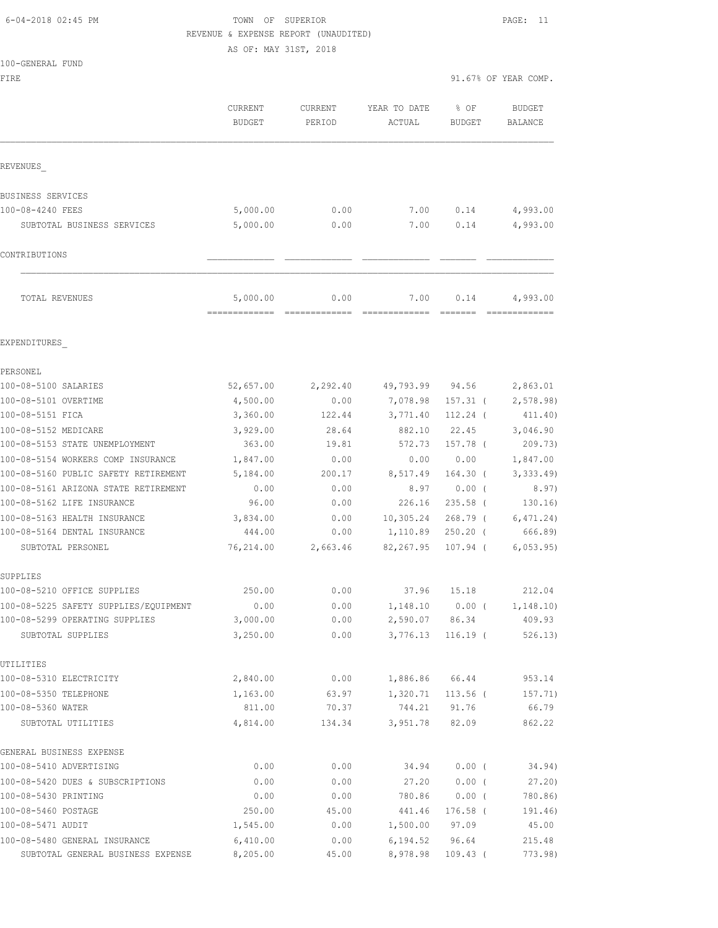## 6-04-2018 02:45 PM TOWN OF SUPERIOR PAGE: 11 REVENUE & EXPENSE REPORT (UNAUDITED)

AS OF: MAY 31ST, 2018

|  | 100-GENERAL FUND |  |
|--|------------------|--|
|  |                  |  |

FIRE  $91.67$ % OF YEAR COMP.

|                                                                    | <b>CURRENT</b><br>BUDGET  | <b>CURRENT</b><br>PERIOD | YEAR TO DATE<br>ACTUAL | $8$ OF<br><b>BUDGET</b> | <b>BUDGET</b><br>BALANCE |
|--------------------------------------------------------------------|---------------------------|--------------------------|------------------------|-------------------------|--------------------------|
| REVENUES                                                           |                           |                          |                        |                         |                          |
| BUSINESS SERVICES                                                  |                           |                          |                        |                         |                          |
| 100-08-4240 FEES                                                   | 5,000.00                  | 0.00                     | 7.00                   | 0.14                    | 4,993.00                 |
| SUBTOTAL BUSINESS SERVICES                                         | 5,000.00                  | 0.00                     | 7.00                   | 0.14                    | 4,993.00                 |
| CONTRIBUTIONS                                                      |                           |                          |                        |                         |                          |
| TOTAL REVENUES                                                     | 5,000.00<br>============= | 0.00                     | 7.00                   | 0.14                    | 4,993.00                 |
| EXPENDITURES                                                       |                           |                          |                        |                         |                          |
| PERSONEL                                                           |                           |                          |                        |                         |                          |
| 100-08-5100 SALARIES                                               | 52,657.00                 | 2,292.40                 | 49,793.99 94.56        |                         | 2,863.01                 |
| 100-08-5101 OVERTIME                                               | 4,500.00                  | 0.00                     | 7,078.98               | $157.31$ (              | 2,578.98)                |
| 100-08-5151 FICA                                                   | 3,360.00                  | 122.44                   | 3,771.40               | $112.24$ (              | 411.40)                  |
| 100-08-5152 MEDICARE                                               | 3,929.00                  | 28.64                    | 882.10                 | 22.45                   | 3,046.90                 |
| 100-08-5153 STATE UNEMPLOYMENT                                     | 363.00                    | 19.81                    | 572.73                 | 157.78 (                | 209.73)                  |
| 100-08-5154 WORKERS COMP INSURANCE                                 | 1,847.00                  | 0.00                     | 0.00                   | 0.00                    | 1,847.00                 |
| 100-08-5160 PUBLIC SAFETY RETIREMENT                               | 5,184.00                  | 200.17                   | 8,517.49               | $164.30$ (              | 3,333.49                 |
| 100-08-5161 ARIZONA STATE RETIREMENT<br>100-08-5162 LIFE INSURANCE | 0.00<br>96.00             | 0.00<br>0.00             | 8.97<br>226.16         | $0.00$ (<br>$235.58$ (  | 8.97)<br>130.16)         |
| 100-08-5163 HEALTH INSURANCE                                       | 3,834.00                  | 0.00                     | 10,305.24              | $268.79$ (              | 6, 471.24)               |
| 100-08-5164 DENTAL INSURANCE                                       | 444.00                    | 0.00                     | 1,110.89               | $250.20$ (              | 666.89)                  |
| SUBTOTAL PERSONEL                                                  | 76,214.00                 | 2,663.46                 | 82,267.95              | $107.94$ (              | 6,053.95                 |
| SUPPLIES                                                           |                           |                          |                        |                         |                          |
| 100-08-5210 OFFICE SUPPLIES                                        | 250.00                    | 0.00                     | 37.96                  | 15.18                   | 212.04                   |
| 100-08-5225 SAFETY SUPPLIES/EQUIPMENT                              | 0.00                      | 0.00                     | 1,148.10               | 0.00(                   | 1, 148.10)               |
| 100-08-5299 OPERATING SUPPLIES                                     | 3,000.00                  | 0.00                     | 2,590.07 86.34         |                         | 409.93                   |
| SUBTOTAL SUPPLIES                                                  | 3,250.00                  | 0.00                     | 3,776.13               | $116.19$ (              | 526.13)                  |
| UTILITIES                                                          |                           |                          |                        |                         |                          |
| 100-08-5310 ELECTRICITY                                            | 2,840.00                  | 0.00                     | 1,886.86               | 66.44                   | 953.14                   |
| 100-08-5350 TELEPHONE                                              | 1,163.00                  | 63.97                    | 1,320.71               | $113.56$ (              | 157.71)                  |
| 100-08-5360 WATER                                                  | 811.00                    | 70.37                    | 744.21                 | 91.76                   | 66.79                    |
| SUBTOTAL UTILITIES                                                 | 4,814.00                  | 134.34                   | 3,951.78               | 82.09                   | 862.22                   |
| GENERAL BUSINESS EXPENSE                                           |                           |                          |                        |                         |                          |
| 100-08-5410 ADVERTISING                                            | 0.00                      | 0.00                     | 34.94                  | 0.00(                   | 34.94)                   |
| 100-08-5420 DUES & SUBSCRIPTIONS                                   | 0.00                      | 0.00                     | 27.20                  | 0.00(                   | 27.20                    |
| 100-08-5430 PRINTING                                               | 0.00                      | 0.00                     | 780.86                 | $0.00$ (                | 780.86)                  |
| 100-08-5460 POSTAGE                                                | 250.00                    | 45.00                    | 441.46                 | $176.58$ (              | 191.46)                  |
| 100-08-5471 AUDIT                                                  | 1,545.00                  | 0.00                     | 1,500.00               | 97.09                   | 45.00                    |
| 100-08-5480 GENERAL INSURANCE                                      | 6,410.00                  | 0.00                     | 6, 194.52              | 96.64                   | 215.48                   |

SUBTOTAL GENERAL BUSINESS EXPENSE 8,205.00 45.00 8,978.98 109.43 ( 773.98)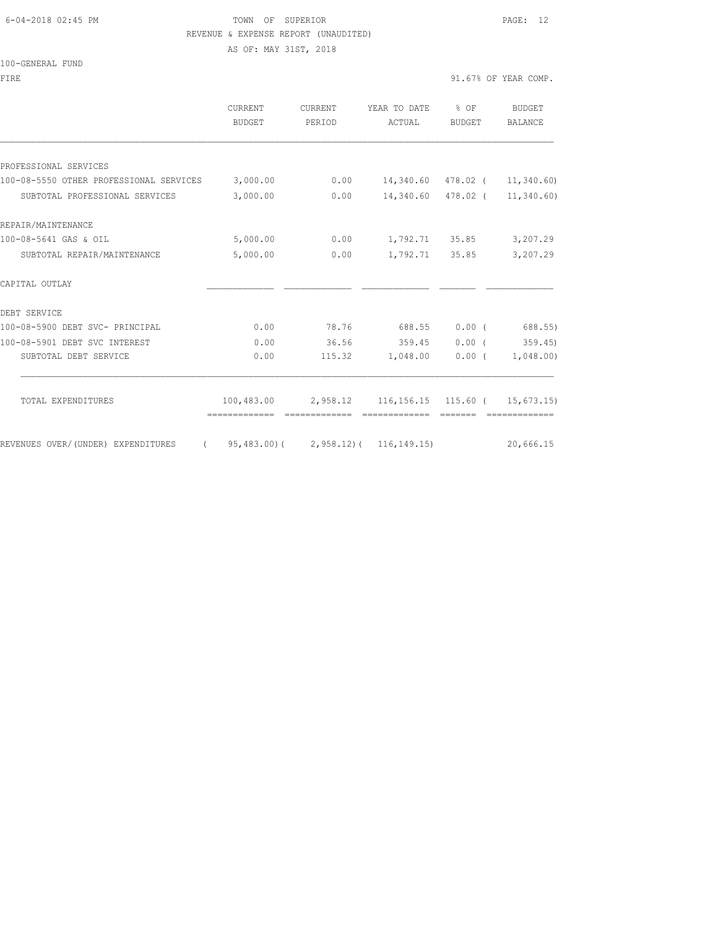#### 6-04-2018 02:45 PM TOWN OF SUPERIOR PAGE: 12 REVENUE & EXPENSE REPORT (UNAUDITED)

AS OF: MAY 31ST, 2018

100-GENERAL FUND

| FIRE | 91.67% OF YEAR COMP. |
|------|----------------------|
|      |                      |

|                                         | CURRENT<br><b>BUDGET</b>    | CURRENT<br>PERIOD                     | YEAR TO DATE<br>ACTUAL                                   | % OF<br>BUDGET | BUDGET<br>BALANCE |
|-----------------------------------------|-----------------------------|---------------------------------------|----------------------------------------------------------|----------------|-------------------|
|                                         |                             |                                       |                                                          |                |                   |
| PROFESSIONAL SERVICES                   |                             |                                       |                                                          |                |                   |
| 100-08-5550 OTHER PROFESSIONAL SERVICES | 3,000.00                    | 0.00                                  | 14,340.60 478.02 (                                       |                | 11,340.60         |
| SUBTOTAL PROFESSIONAL SERVICES          | 3,000.00                    | 0.00                                  | 14,340.60 478.02 (                                       |                | 11,340.60)        |
| REPAIR/MAINTENANCE                      |                             |                                       |                                                          |                |                   |
| 100-08-5641 GAS & OIL                   | 5,000.00                    | 0.00                                  |                                                          | 1,792.71 35.85 | 3,207.29          |
| SUBTOTAL REPAIR/MAINTENANCE             | 5,000.00                    | 0.00                                  | 1,792.71                                                 | 35.85          | 3,207.29          |
| CAPITAL OUTLAY                          |                             |                                       |                                                          |                |                   |
| DEBT SERVICE                            |                             |                                       |                                                          |                |                   |
| 100-08-5900 DEBT SVC- PRINCIPAL         | 0.00                        | 78.76                                 | 688.55                                                   | 0.00(          | 688.55)           |
| 100-08-5901 DEBT SVC INTEREST           | 0.00                        | 36.56                                 | 359.45                                                   | $0.00$ (       | 359.45            |
| SUBTOTAL DEBT SERVICE                   | 0.00                        | 115.32                                | 1,048.00                                                 | $0.00$ (       | 1,048.00          |
|                                         |                             |                                       |                                                          |                |                   |
| TOTAL EXPENDITURES                      | 100,483.00<br>============= | 2,958.12<br>=============             | $116, 156.15$ $115.60$ ( $15, 673.15$ )<br>============= |                | =============     |
|                                         |                             |                                       |                                                          |                |                   |
| REVENUES OVER/(UNDER) EXPENDITURES      |                             | $95,483.00$ ( 2,958.12) ( 116,149.15) |                                                          |                | 20,666.15         |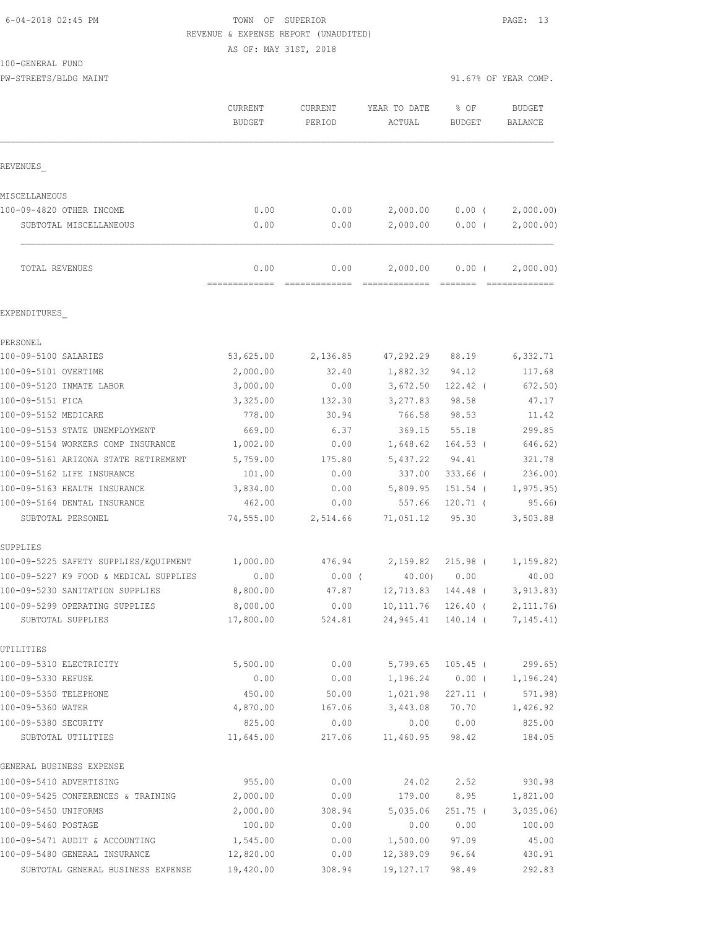## 6-04-2018 02:45 PM TOWN OF SUPERIOR PAGE: 13 REVENUE & EXPENSE REPORT (UNAUDITED)

AS OF: MAY 31ST, 2018

100-GENERAL FUND

PW-STREETS/BLDG MAINT 91.67% OF YEAR COMP.

|                                                     | CURRENT<br><b>BUDGET</b> | <b>CURRENT</b><br>PERIOD | YEAR TO DATE<br>ACTUAL           | % OF<br><b>BUDGET</b> | <b>BUDGET</b><br><b>BALANCE</b> |
|-----------------------------------------------------|--------------------------|--------------------------|----------------------------------|-----------------------|---------------------------------|
| REVENUES                                            |                          |                          |                                  |                       |                                 |
| MISCELLANEOUS                                       |                          |                          |                                  |                       |                                 |
| 100-09-4820 OTHER INCOME                            | 0.00                     | 0.00                     | 2,000.00                         | $0.00$ (              | 2,000.00                        |
| SUBTOTAL MISCELLANEOUS                              | 0.00                     | 0.00                     | 2,000.00                         | $0.00$ (              | 2,000.00)                       |
| TOTAL REVENUES                                      | 0.00                     | 0.00                     | 2,000.00                         | $0.00$ (              | 2,000.00)                       |
| EXPENDITURES                                        |                          |                          |                                  |                       |                                 |
| PERSONEL                                            |                          |                          |                                  |                       |                                 |
| 100-09-5100 SALARIES                                | 53,625.00                | 2,136.85                 | 47,292.29                        | 88.19                 | 6,332.71                        |
| 100-09-5101 OVERTIME                                | 2,000.00                 | 32.40                    | 1,882.32                         | 94.12                 | 117.68                          |
| 100-09-5120 INMATE LABOR                            | 3,000.00                 | 0.00                     | 3,672.50                         | 122.42 (              | 672.50                          |
| 100-09-5151 FICA                                    | 3,325.00                 | 132.30                   | 3,277.83                         | 98.58                 | 47.17                           |
| 100-09-5152 MEDICARE                                | 778.00                   | 30.94                    | 766.58                           | 98.53                 | 11.42                           |
| 100-09-5153 STATE UNEMPLOYMENT                      | 669.00                   | 6.37                     | 369.15                           | 55.18                 | 299.85                          |
| 100-09-5154 WORKERS COMP INSURANCE                  | 1,002.00                 | 0.00                     | 1,648.62                         | $164.53$ (            | 646.62)                         |
| 100-09-5161 ARIZONA STATE RETIREMENT                | 5,759.00                 | 175.80                   | 5,437.22                         | 94.41                 | 321.78                          |
| 100-09-5162 LIFE INSURANCE                          | 101.00                   | 0.00                     | 337.00                           | 333.66 (              | 236.00)                         |
| 100-09-5163 HEALTH INSURANCE                        | 3,834.00                 | 0.00                     | 5,809.95                         | $151.54$ (            | 1, 975.95)                      |
| 100-09-5164 DENTAL INSURANCE                        | 462.00                   | 0.00                     | 557.66                           | $120.71$ (            | 95.66                           |
| SUBTOTAL PERSONEL                                   | 74,555.00                | 2,514.66                 | 71,051.12                        | 95.30                 | 3,503.88                        |
| SUPPLIES                                            |                          |                          |                                  |                       |                                 |
| 100-09-5225 SAFETY SUPPLIES/EQUIPMENT               | 1,000.00                 | 476.94                   | 2,159.82                         | $215.98$ (            | 1, 159.82)                      |
| 100-09-5227 K9 FOOD & MEDICAL SUPPLIES              | 0.00                     | $0.00$ (                 | 40.00                            | 0.00                  | 40.00                           |
| 100-09-5230 SANITATION SUPPLIES                     | 8,800.00                 | 47.87                    | 12,713.83                        | 144.48 (              | 3, 913.83)                      |
| 100-09-5299 OPERATING SUPPLIES<br>SUBTOTAL SUPPLIES | 8,000.00<br>17,800.00    | 0.00<br>524.81           | 10, 111.76<br>24,945.41 140.14 ( | $126.40$ (            | 2, 111.76)<br>7,145.41)         |
| UTILITIES                                           |                          |                          |                                  |                       |                                 |
| 100-09-5310 ELECTRICITY                             | 5,500.00                 | 0.00                     | 5,799.65                         | $105.45$ (            | 299.65)                         |
| 100-09-5330 REFUSE                                  | 0.00                     | 0.00                     | 1,196.24                         | $0.00$ (              | 1,196.24)                       |
| 100-09-5350 TELEPHONE                               | 450.00                   | 50.00                    | 1,021.98                         | $227.11$ (            | 571.98)                         |
| 100-09-5360 WATER                                   | 4,870.00                 | 167.06                   | 3,443.08                         | 70.70                 | 1,426.92                        |
| 100-09-5380 SECURITY                                | 825.00                   | 0.00                     | 0.00                             | 0.00                  | 825.00                          |
| SUBTOTAL UTILITIES                                  | 11,645.00                | 217.06                   | 11,460.95                        | 98.42                 | 184.05                          |
| GENERAL BUSINESS EXPENSE                            |                          |                          |                                  |                       |                                 |
| 100-09-5410 ADVERTISING                             | 955.00                   | 0.00                     | 24.02                            | 2.52                  | 930.98                          |
| 100-09-5425 CONFERENCES & TRAINING                  | 2,000.00                 | 0.00                     | 179.00                           | 8.95                  | 1,821.00                        |
| 100-09-5450 UNIFORMS                                | 2,000.00                 | 308.94                   | 5,035.06                         | 251.75 (              | 3,035.06                        |
| 100-09-5460 POSTAGE                                 | 100.00                   | 0.00                     | 0.00                             | 0.00                  | 100.00                          |
| 100-09-5471 AUDIT & ACCOUNTING                      | 1,545.00                 | 0.00                     | 1,500.00                         | 97.09                 | 45.00                           |
| 100-09-5480 GENERAL INSURANCE                       | 12,820.00                | 0.00                     | 12,389.09                        | 96.64                 | 430.91                          |
| SUBTOTAL GENERAL BUSINESS EXPENSE                   | 19,420.00                | 308.94                   | 19, 127. 17                      | 98.49                 | 292.83                          |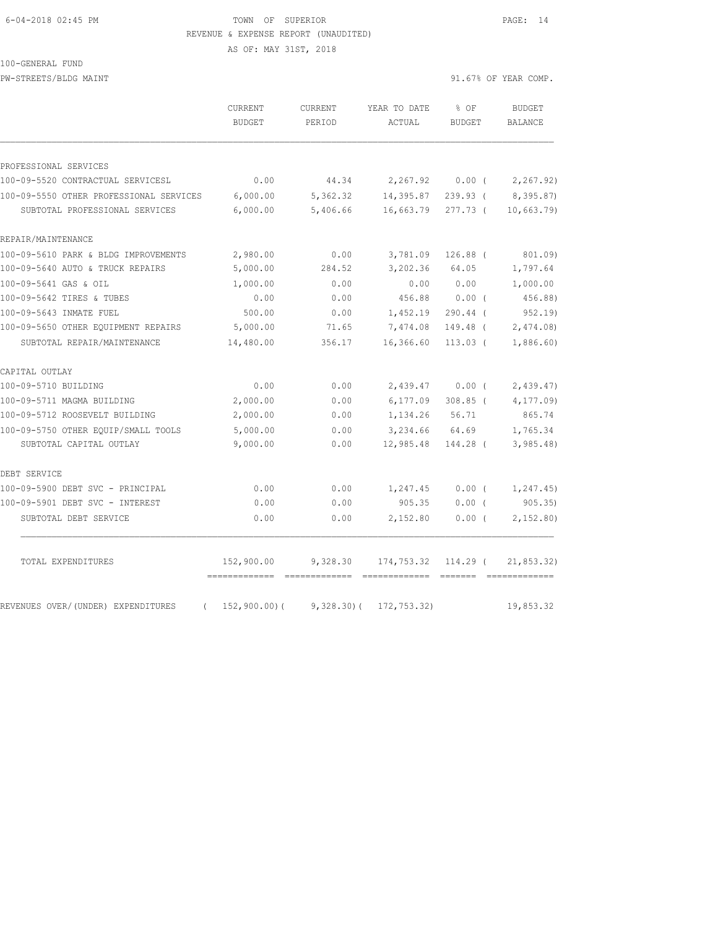#### 6-04-2018 02:45 PM TOWN OF SUPERIOR PAGE: 14 REVENUE & EXPENSE REPORT (UNAUDITED)

AS OF: MAY 31ST, 2018

100-GENERAL FUND PW-STREETS/BLDG MAINT 31.67% OF YEAR COMP.

|                                                | CURRENT<br><b>BUDGET</b> | CURRENT<br>PERIOD | YEAR TO DATE<br>ACTUAL | % OF<br><b>BUDGET</b> | <b>BUDGET</b><br><b>BALANCE</b> |
|------------------------------------------------|--------------------------|-------------------|------------------------|-----------------------|---------------------------------|
| PROFESSIONAL SERVICES                          |                          |                   |                        |                       |                                 |
| 100-09-5520 CONTRACTUAL SERVICESL              | 0.00                     | 44.34             | 2,267.92               | $0.00$ (              | 2,267.92)                       |
| 100-09-5550 OTHER PROFESSIONAL SERVICES        | 6,000.00                 | 5,362.32          | 14,395.87              | $239.93$ (            | 8,395.87)                       |
| SUBTOTAL PROFESSIONAL SERVICES                 | 6,000.00                 | 5,406.66          | 16,663.79              | 277.73 (              | 10,663.79                       |
| REPAIR/MAINTENANCE                             |                          |                   |                        |                       |                                 |
| 100-09-5610 PARK & BLDG IMPROVEMENTS           | 2,980.00                 | 0.00              | 3,781.09               | $126.88$ (            | 801.09)                         |
| 100-09-5640 AUTO & TRUCK REPAIRS               | 5,000.00                 | 284.52            | 3,202.36               | 64.05                 | 1,797.64                        |
| 100-09-5641 GAS & OIL                          | 1,000.00                 | 0.00              | 0.00                   | 0.00                  | 1,000.00                        |
| 100-09-5642 TIRES & TUBES                      | 0.00                     | 0.00              | 456.88                 | 0.00(                 | 456.88)                         |
| 100-09-5643 INMATE FUEL                        | 500.00                   | 0.00              | 1,452.19               | $290.44$ (            | 952.19                          |
| 100-09-5650 OTHER EQUIPMENT REPAIRS            | 5,000.00                 | 71.65             | 7,474.08               | 149.48 (              | 2,474.08                        |
| SUBTOTAL REPAIR/MAINTENANCE                    | 14,480.00                | 356.17            | 16,366.60              | $113.03$ (            | 1,886.60)                       |
| CAPITAL OUTLAY                                 |                          |                   |                        |                       |                                 |
| 100-09-5710 BUILDING                           | 0.00                     | 0.00              | 2,439.47               | $0.00$ (              | 2,439.47                        |
| 100-09-5711 MAGMA BUILDING                     | 2,000.00                 | 0.00              | 6,177.09               | $308.85$ (            | 4,177.09)                       |
| 100-09-5712 ROOSEVELT BUILDING                 | 2,000.00                 | 0.00              | 1,134.26               | 56.71                 | 865.74                          |
| 100-09-5750 OTHER EOUIP/SMALL TOOLS            | 5,000.00                 | 0.00              | 3,234.66               | 64.69                 | 1,765.34                        |
| SUBTOTAL CAPITAL OUTLAY                        | 9,000.00                 | 0.00              | 12,985.48              | 144.28 (              | 3,985.48                        |
| DEBT SERVICE                                   |                          |                   |                        |                       |                                 |
| 100-09-5900 DEBT SVC - PRINCIPAL               | 0.00                     | 0.00              | 1,247.45               | $0.00$ (              | 1, 247.45)                      |
| 100-09-5901 DEBT SVC - INTEREST                | 0.00                     | 0.00              | 905.35                 | $0.00$ (              | 905.35                          |
| SUBTOTAL DEBT SERVICE                          | 0.00                     | 0.00              | 2,152.80               | 0.00(                 | 2,152.80                        |
| TOTAL EXPENDITURES                             | 152,900.00               | 9,328.30          | 174,753.32             | $114.29$ (            | 21,853.32)                      |
| REVENUES OVER/(UNDER) EXPENDITURES<br>$\left($ | 152,900.00) (            | $9,328.30$ (      | 172,753.32)            |                       | 19,853.32                       |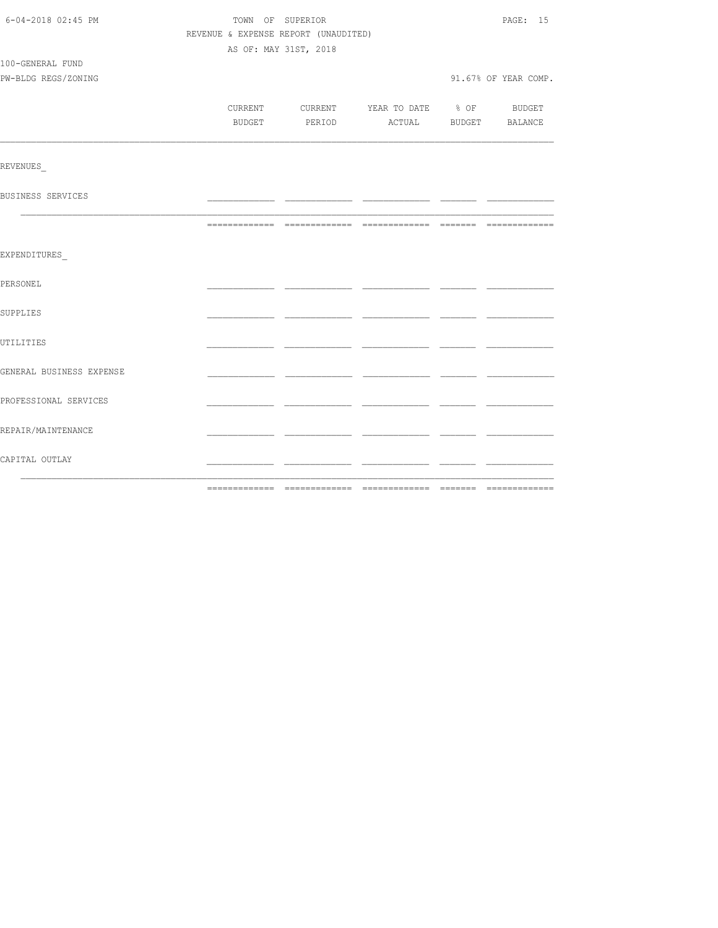| 6-04-2018 02:45 PM<br>TOWN OF SUPERIOR |  |                                          |  |  | PAGE: 15             |
|----------------------------------------|--|------------------------------------------|--|--|----------------------|
|                                        |  | REVENUE & EXPENSE REPORT (UNAUDITED)     |  |  |                      |
|                                        |  | AS OF: MAY 31ST, 2018                    |  |  |                      |
| 100-GENERAL FUND                       |  |                                          |  |  |                      |
| PW-BLDG REGS/ZONING                    |  |                                          |  |  | 91.67% OF YEAR COMP. |
|                                        |  |                                          |  |  |                      |
|                                        |  | CURRENT CURRENT YEAR TO DATE % OF BUDGET |  |  |                      |
|                                        |  | BUDGET PERIOD ACTUAL BUDGET BALANCE      |  |  |                      |
|                                        |  |                                          |  |  |                      |
| REVENUES                               |  |                                          |  |  |                      |
| BUSINESS SERVICES                      |  |                                          |  |  |                      |
|                                        |  |                                          |  |  |                      |
|                                        |  |                                          |  |  |                      |
| EXPENDITURES                           |  |                                          |  |  |                      |
|                                        |  |                                          |  |  |                      |
| PERSONEL                               |  |                                          |  |  |                      |
| SUPPLIES                               |  |                                          |  |  |                      |
|                                        |  |                                          |  |  |                      |
| UTILITIES                              |  |                                          |  |  |                      |
| GENERAL BUSINESS EXPENSE               |  |                                          |  |  |                      |
|                                        |  |                                          |  |  |                      |
| PROFESSIONAL SERVICES                  |  |                                          |  |  |                      |
|                                        |  |                                          |  |  |                      |
| REPAIR/MAINTENANCE                     |  |                                          |  |  |                      |
| CAPITAL OUTLAY                         |  |                                          |  |  |                      |
|                                        |  |                                          |  |  |                      |
|                                        |  |                                          |  |  |                      |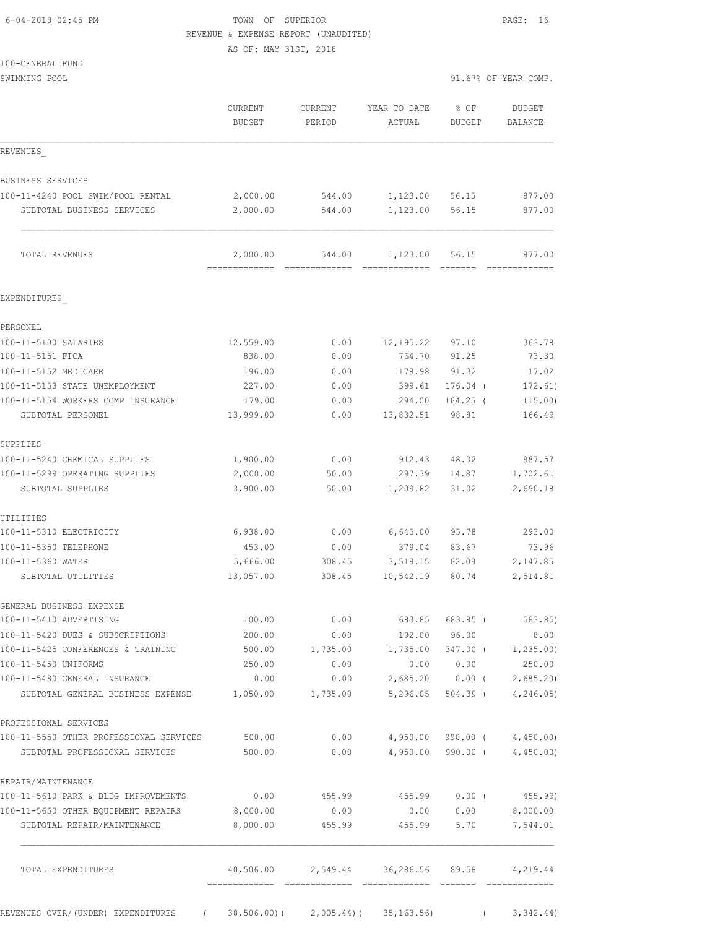## 6-04-2018 02:45 PM TOWN OF SUPERIOR PAGE: 16 REVENUE & EXPENSE REPORT (UNAUDITED)

AS OF: MAY 31ST, 2018

| 100-GENERAL FUND |  |
|------------------|--|

| SWIMMING POOL                                                               |                                           |                          |                                    | 91.67% OF YEAR COMP.   |                          |  |
|-----------------------------------------------------------------------------|-------------------------------------------|--------------------------|------------------------------------|------------------------|--------------------------|--|
|                                                                             | CURRENT<br><b>BUDGET</b>                  | <b>CURRENT</b><br>PERIOD | YEAR TO DATE<br>ACTUAL             | % OF<br><b>BUDGET</b>  | <b>BUDGET</b><br>BALANCE |  |
| REVENUES                                                                    |                                           |                          |                                    |                        |                          |  |
| BUSINESS SERVICES                                                           |                                           |                          |                                    |                        |                          |  |
| 100-11-4240 POOL SWIM/POOL RENTAL                                           | 2,000.00                                  | 544.00                   | 1,123.00                           | 56.15                  | 877.00                   |  |
| SUBTOTAL BUSINESS SERVICES                                                  | 2,000.00                                  | 544.00                   | 1,123.00                           | 56.15                  | 877.00                   |  |
| TOTAL REVENUES                                                              | 2,000.00<br>-------------- -------------- | 544.00                   | 1,123.00                           | 56.15                  | 877.00<br>=============  |  |
| EXPENDITURES                                                                |                                           |                          |                                    |                        |                          |  |
| PERSONEL                                                                    |                                           |                          |                                    |                        |                          |  |
| 100-11-5100 SALARIES                                                        | 12,559.00                                 | 0.00                     | 12, 195.22                         | 97.10                  | 363.78                   |  |
| 100-11-5151 FICA                                                            | 838.00                                    | 0.00                     | 764.70                             | 91.25                  | 73.30                    |  |
| 100-11-5152 MEDICARE                                                        | 196.00                                    | 0.00                     | 178.98                             | 91.32                  | 17.02                    |  |
| 100-11-5153 STATE UNEMPLOYMENT                                              | 227.00                                    | 0.00                     | 399.61                             | $176.04$ (             | 172.61)                  |  |
| 100-11-5154 WORKERS COMP INSURANCE                                          | 179.00                                    | 0.00                     | 294.00                             | $164.25$ (             | 115.00)                  |  |
| SUBTOTAL PERSONEL                                                           | 13,999.00                                 | 0.00                     | 13,832.51                          | 98.81                  | 166.49                   |  |
| SUPPLIES                                                                    |                                           |                          |                                    |                        |                          |  |
| 100-11-5240 CHEMICAL SUPPLIES                                               | 1,900.00                                  | 0.00                     | 912.43                             | 48.02                  | 987.57                   |  |
| 100-11-5299 OPERATING SUPPLIES                                              | 2,000.00                                  | 50.00                    | 297.39                             | 14.87                  | 1,702.61                 |  |
| SUBTOTAL SUPPLIES                                                           | 3,900.00                                  | 50.00                    | 1,209.82                           | 31.02                  | 2,690.18                 |  |
| UTILITIES                                                                   |                                           |                          |                                    |                        |                          |  |
| 100-11-5310 ELECTRICITY                                                     | 6,938.00                                  | 0.00                     | 6,645.00                           | 95.78                  | 293.00                   |  |
| 100-11-5350 TELEPHONE                                                       | 453.00                                    | 0.00                     | 379.04                             | 83.67                  | 73.96                    |  |
| 100-11-5360 WATER                                                           | 5,666.00                                  | 308.45                   | 3,518.15                           | 62.09                  | 2,147.85                 |  |
| SUBTOTAL UTILITIES                                                          | 13,057.00                                 | 308.45                   | 10,542.19                          | 80.74                  | 2,514.81                 |  |
| GENERAL BUSINESS EXPENSE                                                    |                                           |                          |                                    |                        |                          |  |
| 100-11-5410 ADVERTISING                                                     | 100.00                                    | 0.00                     | 683.85                             | $683.85$ (             | 583.85)                  |  |
| 100-11-5420 DUES & SUBSCRIPTIONS                                            | 200.00                                    | 0.00                     | 192.00                             | 96.00                  | 8.00                     |  |
| 100-11-5425 CONFERENCES & TRAINING                                          | 500.00                                    | 1,735.00                 | 1,735.00                           | 347.00 (               | 1, 235.00                |  |
| 100-11-5450 UNIFORMS                                                        | 250.00                                    | 0.00                     | 0.00                               | 0.00                   | 250.00                   |  |
| 100-11-5480 GENERAL INSURANCE<br>SUBTOTAL GENERAL BUSINESS EXPENSE 1,050.00 | 0.00                                      | 0.00<br>1,735.00         | 2,685.20<br>5,296.05               | $0.00$ (<br>$504.39$ ( | 2,685.20<br>4, 246.05    |  |
| PROFESSIONAL SERVICES                                                       |                                           |                          |                                    |                        |                          |  |
| 100-11-5550 OTHER PROFESSIONAL SERVICES                                     | 500.00                                    | 0.00                     |                                    | 4,950.00 990.00 (      | 4,450.00                 |  |
| SUBTOTAL PROFESSIONAL SERVICES                                              | 500.00                                    | 0.00                     | 4,950.00                           | 990.00 (               | 4,450.00                 |  |
| REPAIR/MAINTENANCE                                                          |                                           |                          |                                    |                        |                          |  |
| 100-11-5610 PARK & BLDG IMPROVEMENTS                                        | 0.00                                      | 455.99                   | 455.99                             | $0.00$ (               | 455.99)                  |  |
| 100-11-5650 OTHER EQUIPMENT REPAIRS                                         | 8,000.00                                  | 0.00                     | 0.00                               | 0.00                   | 8,000.00                 |  |
| SUBTOTAL REPAIR/MAINTENANCE                                                 | 8,000.00                                  | 455.99                   | 455.99                             | 5.70                   | 7,544.01                 |  |
| TOTAL EXPENDITURES                                                          |                                           |                          | 40,506.00 2,549.44 36,286.56 89.58 |                        | 4,219.44                 |  |
|                                                                             |                                           |                          |                                    |                        |                          |  |
| REVENUES OVER/(UNDER) EXPENDITURES<br>$\sqrt{2}$                            | 38,506.00)(                               | 2,005.44)(               | 35, 163.56                         | $\left($               | 3,342.44)                |  |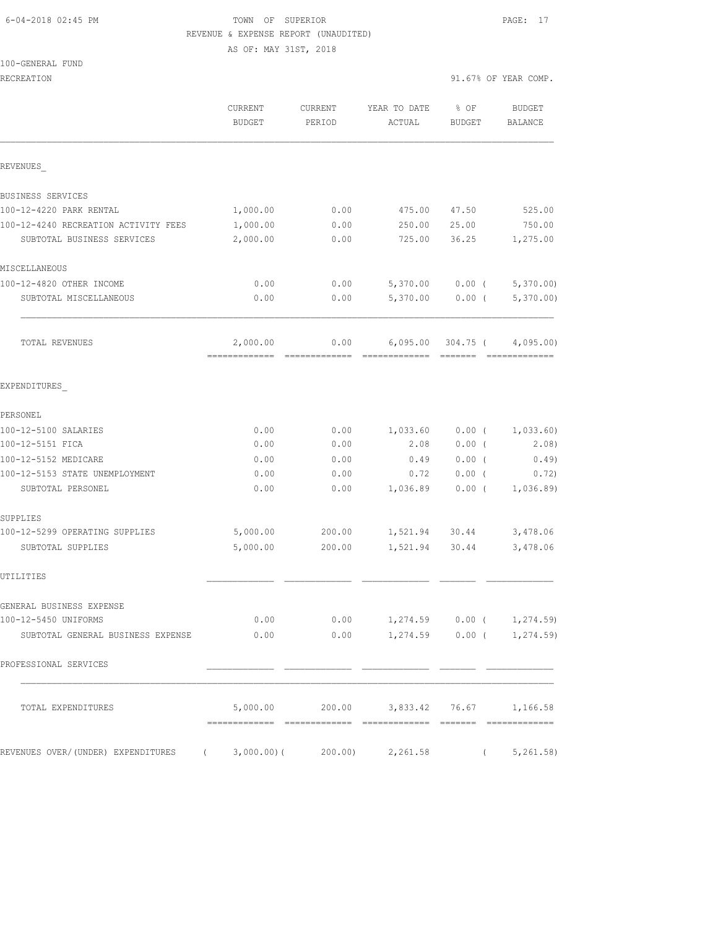### 6-04-2018 02:45 PM TOWN OF SUPERIOR PAGE: 17 REVENUE & EXPENSE REPORT (UNAUDITED) AS OF: MAY 31ST, 2018

100-GENERAL FUND

|                                      | CURRENT<br><b>BUDGET</b>           | CURRENT<br>PERIOD | YEAR TO DATE<br>ACTUAL | % OF<br><b>BUDGET</b> | <b>BUDGET</b><br>BALANCE    |
|--------------------------------------|------------------------------------|-------------------|------------------------|-----------------------|-----------------------------|
| REVENUES                             |                                    |                   |                        |                       |                             |
| BUSINESS SERVICES                    |                                    |                   |                        |                       |                             |
| 100-12-4220 PARK RENTAL              | 1,000.00                           | 0.00              | 475.00                 | 47.50                 | 525.00                      |
| 100-12-4240 RECREATION ACTIVITY FEES | 1,000.00                           | 0.00              | 250.00                 | 25.00                 | 750.00                      |
| SUBTOTAL BUSINESS SERVICES           | 2,000.00                           | 0.00              | 725.00                 | 36.25                 | 1,275.00                    |
| MISCELLANEOUS                        |                                    |                   |                        |                       |                             |
| 100-12-4820 OTHER INCOME             | 0.00                               | 0.00              | 5,370.00               | $0.00$ (              | 5,370.00                    |
| SUBTOTAL MISCELLANEOUS               | 0.00                               | 0.00              | 5,370.00               | $0.00$ (              | 5,370.00                    |
| TOTAL REVENUES                       | 2,000.00                           | 0.00              | 6,095.00               | 304.75 (              | 4,095.00                    |
| EXPENDITURES                         |                                    |                   |                        |                       |                             |
| PERSONEL                             |                                    |                   |                        |                       |                             |
| 100-12-5100 SALARIES                 | 0.00                               | 0.00              | 1,033.60               | $0.00$ (              | 1,033.60)                   |
| 100-12-5151 FICA                     | 0.00                               | 0.00              | 2.08                   | $0.00$ (              | 2.08)                       |
| 100-12-5152 MEDICARE                 | 0.00                               | 0.00              | 0.49                   | 0.00(                 | 0.49)                       |
| 100-12-5153 STATE UNEMPLOYMENT       | 0.00                               | 0.00              | 0.72                   | $0.00$ (              | 0.72)                       |
| SUBTOTAL PERSONEL                    | 0.00                               | 0.00              | 1,036.89               | $0.00$ (              | 1,036.89                    |
| SUPPLIES                             |                                    |                   |                        |                       |                             |
| 100-12-5299 OPERATING SUPPLIES       | 5,000.00                           | 200.00            |                        | 1,521.94 30.44        | 3,478.06                    |
| SUBTOTAL SUPPLIES                    | 5,000.00                           | 200.00            | 1,521.94               | 30.44                 | 3,478.06                    |
| UTILITIES                            |                                    |                   |                        |                       |                             |
| GENERAL BUSINESS EXPENSE             |                                    |                   |                        |                       |                             |
| 100-12-5450 UNIFORMS                 | 0.00                               | 0.00              |                        |                       | $1,274.59$ 0.00 ( 1,274.59) |
| SUBTOTAL GENERAL BUSINESS EXPENSE    | 0.00                               | 0.00              |                        |                       | $1,274.59$ 0.00 ( 1,274.59) |
| PROFESSIONAL SERVICES                |                                    |                   |                        |                       |                             |
| TOTAL EXPENDITURES                   | 5,000.00                           | 200.00            |                        |                       | 3,833.42 76.67 1,166.58     |
| REVENUES OVER/(UNDER) EXPENDITURES   | $(3,000.00)$ $(200.00)$ $2,261.58$ |                   |                        |                       | 5, 261.58)                  |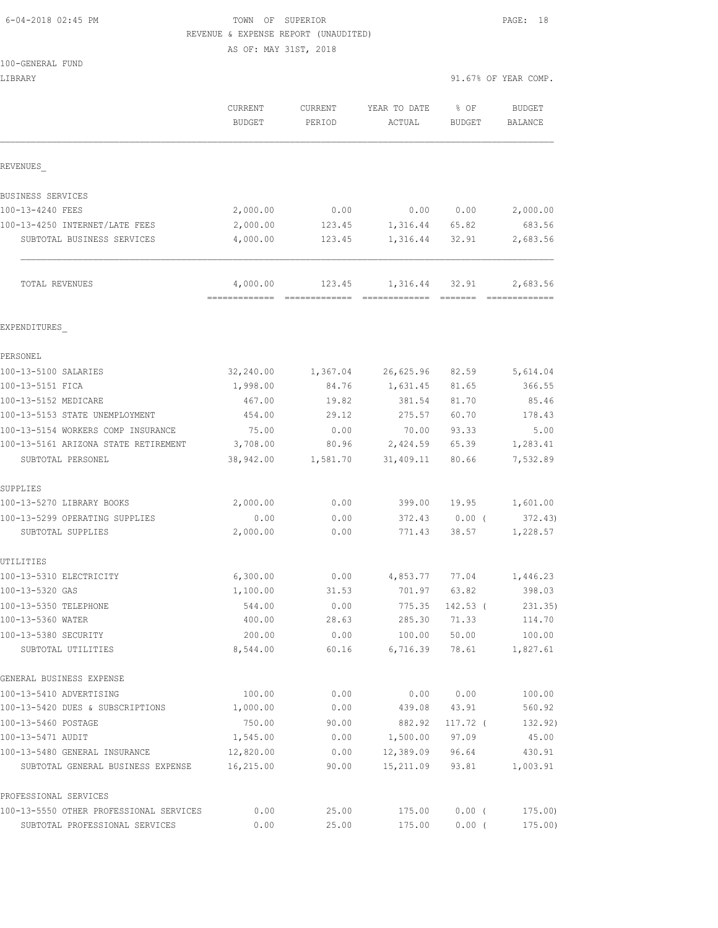## 6-04-2018 02:45 PM TOWN OF SUPERIOR PAGE: 18 REVENUE & EXPENSE REPORT (UNAUDITED)

AS OF: MAY 31ST, 2018

|  | 100-GENERAL FUND |  |
|--|------------------|--|
|  |                  |  |

| LIBRARY                                    |                       |                   |                                |                | 91.67% OF YEAR COMP. |
|--------------------------------------------|-----------------------|-------------------|--------------------------------|----------------|----------------------|
|                                            | CURRENT<br>BUDGET     | CURRENT<br>PERIOD | YEAR TO DATE<br>ACTUAL         | % OF<br>BUDGET | BUDGET<br>BALANCE    |
|                                            |                       |                   |                                |                |                      |
| REVENUES                                   |                       |                   |                                |                |                      |
| BUSINESS SERVICES                          |                       |                   |                                |                |                      |
| 100-13-4240 FEES                           | 2,000.00              | 0.00              |                                | 0.00 0.00      | 2,000.00             |
| 100-13-4250 INTERNET/LATE FEES             | 2,000.00              | 123.45            | 1,316.44                       | 65.82          | 683.56               |
| SUBTOTAL BUSINESS SERVICES                 | 4,000.00              | 123.45            | 1,316.44                       | 32.91          | 2,683.56             |
| TOTAL REVENUES                             | 4,000.00              |                   | 123.45    1,316.44    32.91    |                | 2,683.56             |
|                                            |                       |                   |                                |                |                      |
| EXPENDITURES                               |                       |                   |                                |                |                      |
| PERSONEL<br>100-13-5100 SALARIES           |                       |                   |                                |                |                      |
| 100-13-5151 FICA                           | 32,240.00<br>1,998.00 | 84.76             | 1,367.04 26,625.96<br>1,631.45 | 82.59<br>81.65 | 5,614.04<br>366.55   |
| 100-13-5152 MEDICARE                       | 467.00                | 19.82             | 381.54                         | 81.70          | 85.46                |
| 100-13-5153 STATE UNEMPLOYMENT             | 454.00                | 29.12             | 275.57                         | 60.70          | 178.43               |
| 100-13-5154 WORKERS COMP INSURANCE         | 75.00                 | 0.00              | 70.00                          | 93.33          | 5.00                 |
| 100-13-5161 ARIZONA STATE RETIREMENT       | 3,708.00              | 80.96             | 2,424.59                       | 65.39          | 1,283.41             |
| SUBTOTAL PERSONEL                          | 38,942.00             | 1,581.70          | 31,409.11                      | 80.66          | 7,532.89             |
| SUPPLIES                                   |                       |                   |                                |                |                      |
| 100-13-5270 LIBRARY BOOKS                  | 2,000.00              | 0.00              | 399.00                         | 19.95          | 1,601.00             |
| 100-13-5299 OPERATING SUPPLIES             | 0.00                  | 0.00              | 372.43                         | $0.00$ (       | 372.43               |
| SUBTOTAL SUPPLIES                          | 2,000.00              | 0.00              | 771.43                         | 38.57          | 1,228.57             |
| UTILITIES                                  |                       |                   |                                |                |                      |
| 100-13-5310 ELECTRICITY                    | 6,300.00              | 0.00              | 4,853.77                       | 77.04          | 1,446.23             |
| 100-13-5320 GAS                            | 1,100.00              | 31.53             | 701.97 63.82                   |                | 398.03               |
| 100-13-5350 TELEPHONE                      | 544.00                | 0.00              | 775.35                         | 142.53 (       | 231.35)              |
| 100-13-5360 WATER                          | 400.00                | 28.63             | 285.30                         | 71.33          | 114.70               |
| 100-13-5380 SECURITY<br>SUBTOTAL UTILITIES | 200.00<br>8,544.00    | 0.00<br>60.16     | 100.00<br>6,716.39             | 50.00<br>78.61 | 100.00<br>1,827.61   |
| GENERAL BUSINESS EXPENSE                   |                       |                   |                                |                |                      |
| 100-13-5410 ADVERTISING                    | 100.00                | 0.00              | 0.00                           | 0.00           | 100.00               |
| 100-13-5420 DUES & SUBSCRIPTIONS           | 1,000.00              | 0.00              | 439.08                         | 43.91          | 560.92               |
| 100-13-5460 POSTAGE                        | 750.00                | 90.00             | 882.92                         | 117.72 (       | 132.92)              |
| 100-13-5471 AUDIT                          | 1,545.00              |                   | $0.00$ 1,500.00                | 97.09          | 45.00                |
| 100-13-5480 GENERAL INSURANCE              | 12,820.00             | 0.00              | 12,389.09                      | 96.64          | 430.91               |
| SUBTOTAL GENERAL BUSINESS EXPENSE          | 16,215.00             | 90.00             | 15,211.09                      | 93.81          | 1,003.91             |
| PROFESSIONAL SERVICES                      |                       |                   |                                |                |                      |

100-13-5550 OTHER PROFESSIONAL SERVICES 0.00 25.00 175.00 0.00 ( 175.00) SUBTOTAL PROFESSIONAL SERVICES 0.00 25.00 175.00 0.00 ( 175.00)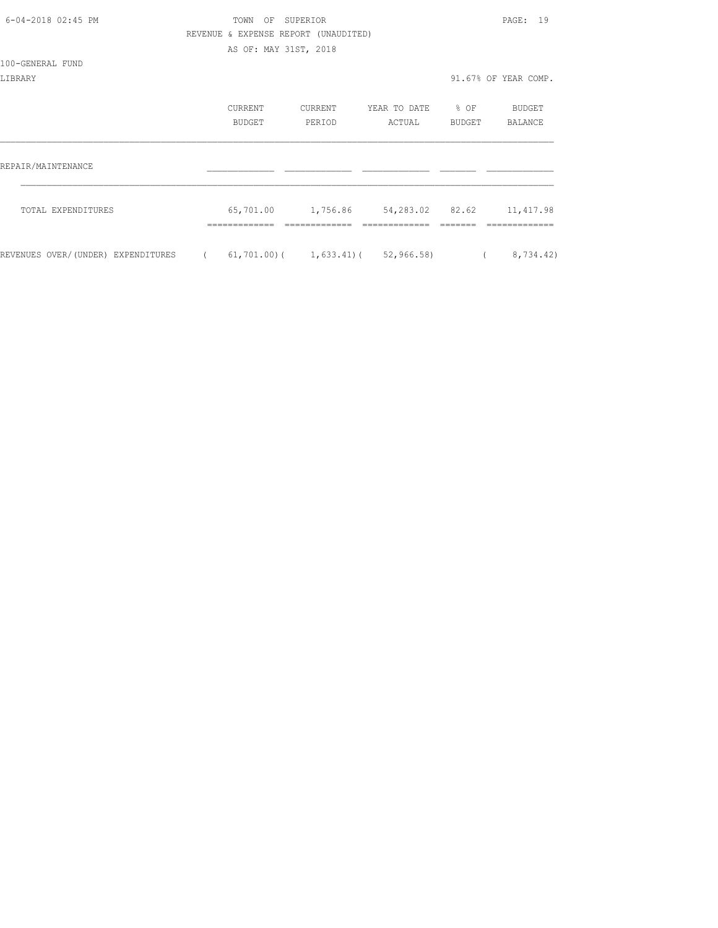| 6-04-2018 02:45 PM                 |            | TOWN                                 | OF SUPERIOR |                                                      |                  | PAGE: 19             |
|------------------------------------|------------|--------------------------------------|-------------|------------------------------------------------------|------------------|----------------------|
|                                    |            | REVENUE & EXPENSE REPORT (UNAUDITED) |             |                                                      |                  |                      |
|                                    |            | AS OF: MAY 31ST, 2018                |             |                                                      |                  |                      |
| 100-GENERAL FUND                   |            |                                      |             |                                                      |                  |                      |
| LIBRARY                            |            |                                      |             |                                                      |                  | 91.67% OF YEAR COMP. |
|                                    |            | CURRENT                              | CURRENT     | YEAR TO DATE                                         | $\textdegree$ OF | BUDGET               |
|                                    |            | <b>BUDGET</b>                        | PERIOD      | ACTUAL                                               | BUDGET           | BALANCE              |
| REPAIR/MAINTENANCE                 |            |                                      |             |                                                      |                  |                      |
|                                    |            |                                      |             |                                                      |                  |                      |
| TOTAL EXPENDITURES                 |            |                                      |             | 65,701.00   1,756.86   54,283.02   82.62   11,417.98 |                  |                      |
| REVENUES OVER/(UNDER) EXPENDITURES | $\sqrt{2}$ |                                      |             | $61, 701.00$ ( $1, 633.41$ ( $52, 966.58$ )          |                  | 8,734.42)            |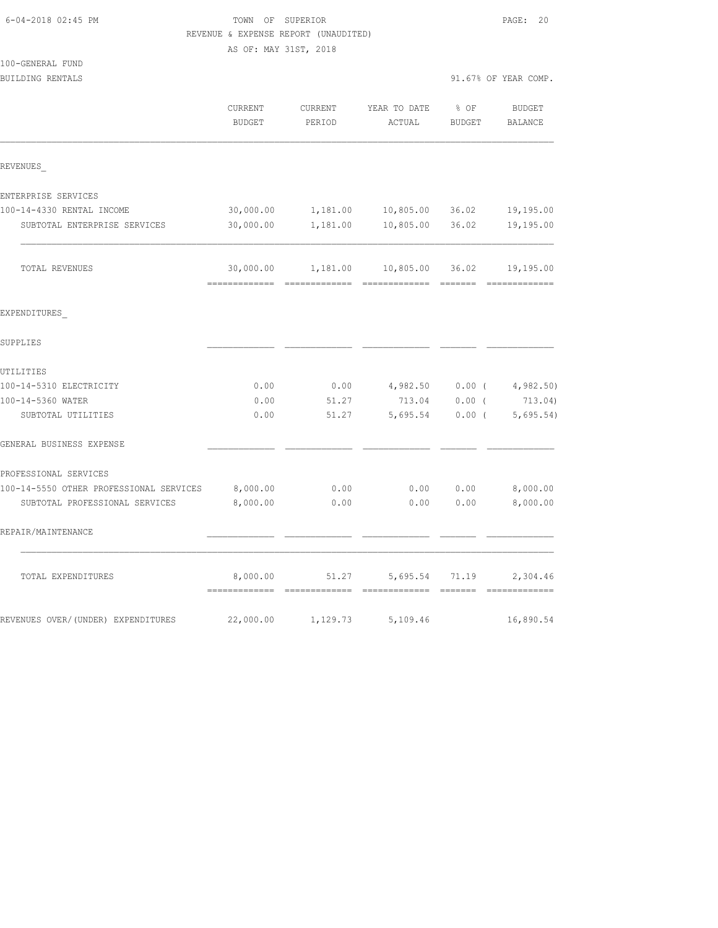|                                         |                       | REVENUE & EXPENSE REPORT (UNAUDITED) |                                       |               |                       |
|-----------------------------------------|-----------------------|--------------------------------------|---------------------------------------|---------------|-----------------------|
|                                         | AS OF: MAY 31ST, 2018 |                                      |                                       |               |                       |
| 100-GENERAL FUND                        |                       |                                      |                                       |               |                       |
| BUILDING RENTALS                        |                       |                                      |                                       |               | 91.67% OF YEAR COMP.  |
|                                         | CURRENT               | CURRENT                              | YEAR TO DATE                          | % OF          | <b>BUDGET</b>         |
|                                         | <b>BUDGET</b>         | PERIOD                               | ACTUAL                                | <b>BUDGET</b> | BALANCE               |
|                                         |                       |                                      |                                       |               |                       |
| REVENUES                                |                       |                                      |                                       |               |                       |
| ENTERPRISE SERVICES                     |                       |                                      |                                       |               |                       |
| 100-14-4330 RENTAL INCOME               | 30,000.00             | 1,181.00                             | 10,805.00                             | 36.02         | 19,195.00             |
| SUBTOTAL ENTERPRISE SERVICES            | 30,000.00             | 1,181.00                             | 10,805.00                             | 36.02         | 19,195.00             |
| TOTAL REVENUES                          |                       |                                      | 30,000.00  1,181.00  10,805.00  36.02 |               | 19,195.00             |
| EXPENDITURES                            |                       |                                      |                                       |               |                       |
| SUPPLIES                                |                       |                                      |                                       |               |                       |
| UTILITIES                               |                       |                                      |                                       |               |                       |
| 100-14-5310 ELECTRICITY                 | 0.00                  | 0.00                                 | 4,982.50                              |               | $0.00$ ( $4,982.50$ ) |
| 100-14-5360 WATER                       | 0.00                  | 51.27                                | 713.04                                | $0.00$ (      | 713.04)               |
| SUBTOTAL UTILITIES                      | 0.00                  | 51.27                                | 5,695.54                              | $0.00$ (      | 5,695.54)             |
| GENERAL BUSINESS EXPENSE                |                       |                                      |                                       |               |                       |
| PROFESSIONAL SERVICES                   |                       |                                      |                                       |               |                       |
| 100-14-5550 OTHER PROFESSIONAL SERVICES | 8,000.00              | 0.00                                 | 0.00                                  | 0.00          | 8,000.00              |
| SUBTOTAL PROFESSIONAL SERVICES          | 8,000.00              | 0.00                                 | 0.00                                  | 0.00          | 8,000.00              |
| REPAIR/MAINTENANCE                      |                       |                                      |                                       |               |                       |
| TOTAL EXPENDITURES                      | 8,000.00              | 51.27                                | 5,695.54 71.19                        |               | 2,304.46              |
| REVENUES OVER/(UNDER) EXPENDITURES      | 22,000.00             | 1,129.73                             | 5,109.46                              |               | 16,890.54             |

6-04-2018 02:45 PM TOWN OF SUPERIOR PAGE: 20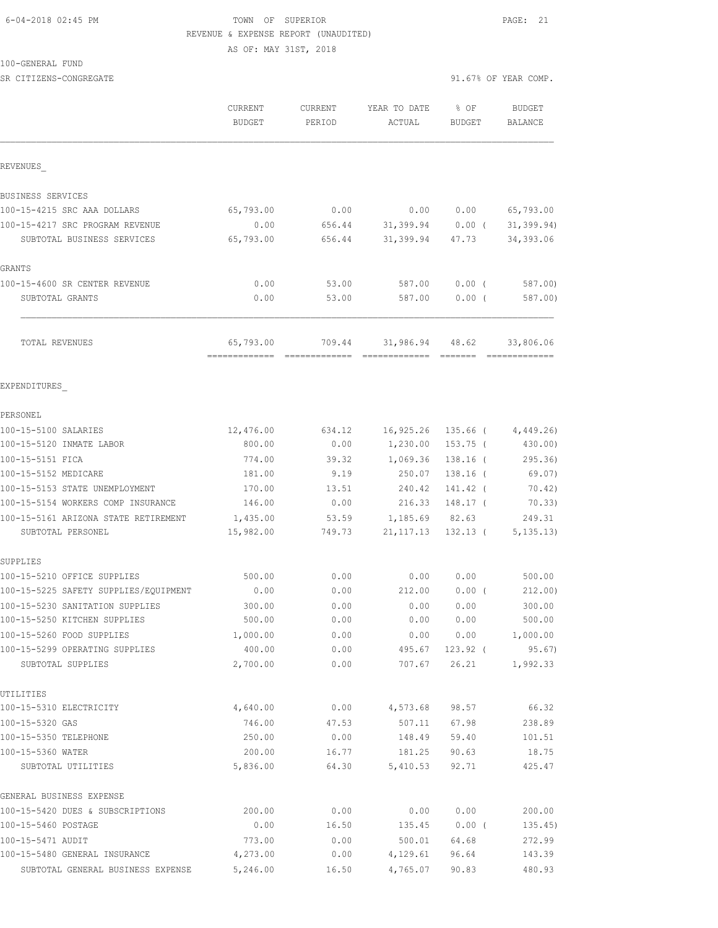## 6-04-2018 02:45 PM TOWN OF SUPERIOR PAGE: 21 REVENUE & EXPENSE REPORT (UNAUDITED)

AS OF: MAY 31ST, 2018

100-GENERAL FUND

SR CITIZENS-CONGREGATE 91.67% OF YEAR COMP.

|                                                     | CURRENT<br><b>BUDGET</b> | CURRENT<br>PERIOD | YEAR TO DATE<br>ACTUAL | % OF<br><b>BUDGET</b> | <b>BUDGET</b><br><b>BALANCE</b> |
|-----------------------------------------------------|--------------------------|-------------------|------------------------|-----------------------|---------------------------------|
| REVENUES                                            |                          |                   |                        |                       |                                 |
| BUSINESS SERVICES                                   |                          |                   |                        |                       |                                 |
| 100-15-4215 SRC AAA DOLLARS                         | 65,793.00                | 0.00              |                        | 0.00 0.00             | 65,793.00                       |
| 100-15-4217 SRC PROGRAM REVENUE                     | 0.00                     | 656.44            |                        | $31,399.94$ 0.00 (    | 31, 399.94)                     |
| SUBTOTAL BUSINESS SERVICES                          | 65,793.00                | 656.44            |                        | 31,399.94 47.73       | 34, 393.06                      |
| GRANTS                                              |                          |                   |                        |                       |                                 |
| 100-15-4600 SR CENTER REVENUE                       | 0.00                     | 53.00             | 587.00                 | $0.00$ (              | 587.00)                         |
| SUBTOTAL GRANTS                                     | 0.00                     | 53.00             | 587.00                 | $0.00$ (              | 587.00)                         |
| TOTAL REVENUES                                      |                          | 65,793.00 709.44  |                        | 31,986.94 48.62       | 33,806.06                       |
| EXPENDITURES                                        |                          |                   |                        |                       |                                 |
| PERSONEL                                            |                          |                   |                        |                       |                                 |
| 100-15-5100 SALARIES                                | 12,476.00                |                   | 634.12 16,925.26       |                       | 135.66 (4,449.26)               |
| 100-15-5120 INMATE LABOR                            | 800.00                   |                   | $0.00$ $1,230.00$      | 153.75 (              | 430.00)                         |
| 100-15-5151 FICA                                    | 774.00                   | 39.32             | 1,069.36               | 138.16 (              | 295.36)                         |
| 100-15-5152 MEDICARE                                | 181.00                   | 9.19              | 250.07                 | 138.16 (              | 69.07)                          |
| 100-15-5153 STATE UNEMPLOYMENT                      | 170.00                   | 13.51             | 240.42                 | 141.42 (              | 70.42)                          |
| 100-15-5154 WORKERS COMP INSURANCE                  | 146.00                   | 0.00              |                        | 216.33 148.17 (       | 70.33)                          |
| 100-15-5161 ARIZONA STATE RETIREMENT                | 1,435.00                 | 53.59             | 1,185.69 82.63         |                       | 249.31                          |
| SUBTOTAL PERSONEL                                   | 15,982.00                | 749.73            |                        | 21, 117.13 132.13 (   | 5, 135.13                       |
| SUPPLIES                                            |                          |                   |                        |                       |                                 |
| 100-15-5210 OFFICE SUPPLIES                         | 500.00                   | 0.00              | 0.00                   | 0.00                  | 500.00                          |
| 100-15-5225 SAFETY SUPPLIES/EQUIPMENT               | 0.00                     | 0.00              | 212.00                 | $0.00$ (              | 212.00)                         |
| 100-15-5230 SANITATION SUPPLIES                     | 300.00                   | 0.00              | 0.00                   | 0.00                  | 300.00                          |
| 100-15-5250 KITCHEN SUPPLIES                        | 500.00                   | 0.00              | 0.00                   | 0.00                  | 500.00                          |
| 100-15-5260 FOOD SUPPLIES                           | 1,000.00                 | 0.00              | 0.00                   | 0.00                  | 1,000.00                        |
| 100-15-5299 OPERATING SUPPLIES<br>SUBTOTAL SUPPLIES | 400.00<br>2,700.00       | 0.00<br>0.00      | 495.67<br>707.67       | $123.92$ (<br>26.21   | 95.67)<br>1,992.33              |
| UTILITIES                                           |                          |                   |                        |                       |                                 |
| 100-15-5310 ELECTRICITY                             | 4,640.00                 | 0.00              | 4,573.68               | 98.57                 | 66.32                           |
| 100-15-5320 GAS                                     | 746.00                   | 47.53             | 507.11                 | 67.98                 | 238.89                          |
| 100-15-5350 TELEPHONE                               | 250.00                   | 0.00              | 148.49                 | 59.40                 | 101.51                          |
| 100-15-5360 WATER                                   | 200.00                   | 16.77             | 181.25                 | 90.63                 | 18.75                           |
| SUBTOTAL UTILITIES                                  | 5,836.00                 | 64.30             | 5,410.53               | 92.71                 | 425.47                          |
| GENERAL BUSINESS EXPENSE                            |                          |                   |                        |                       |                                 |
| 100-15-5420 DUES & SUBSCRIPTIONS                    | 200.00                   | 0.00              | 0.00                   | 0.00                  | 200.00                          |
| 100-15-5460 POSTAGE                                 | 0.00                     | 16.50             | 135.45                 | $0.00$ (              | 135.45)                         |
| 100-15-5471 AUDIT                                   | 773.00                   | 0.00              | 500.01                 | 64.68                 | 272.99                          |
| 100-15-5480 GENERAL INSURANCE                       | 4,273.00                 | 0.00              | 4,129.61               | 96.64                 | 143.39                          |
| SUBTOTAL GENERAL BUSINESS EXPENSE                   | 5,246.00                 | 16.50             | 4,765.07               | 90.83                 | 480.93                          |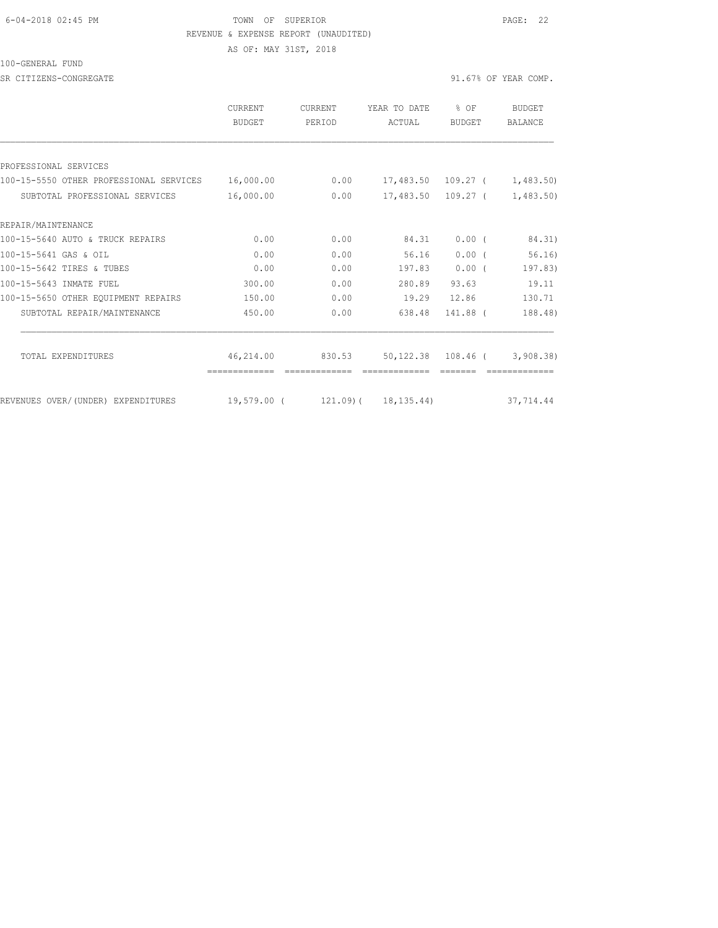#### 6-04-2018 02:45 PM TOWN OF SUPERIOR PAGE: 22 REVENUE & EXPENSE REPORT (UNAUDITED)

AS OF: MAY 31ST, 2018

#### 100-GENERAL FUND

SR CITIZENS-CONGREGATE SALL ASSESSED A SERVICE OF STRAIN OF STRAIN OF STRAIN OF YEAR COMP.

|                                         | <b>CURRENT</b><br>BUDGET   | <b>CURRENT</b><br>PERIOD | YEAR TO DATE<br>ACTUAL   | % OF<br><b>BUDGET</b> | BUDGET<br><b>BALANCE</b>     |
|-----------------------------------------|----------------------------|--------------------------|--------------------------|-----------------------|------------------------------|
|                                         |                            |                          |                          |                       |                              |
| PROFESSIONAL SERVICES                   |                            |                          |                          |                       |                              |
| 100-15-5550 OTHER PROFESSIONAL SERVICES | 16,000.00                  | 0.00                     | 17,483.50 109.27 (       |                       | 1,483.50)                    |
| SUBTOTAL PROFESSIONAL SERVICES          | 16,000.00                  | 0.00                     |                          | 17,483.50 109.27 (    | 1,483.50                     |
| REPAIR/MAINTENANCE                      |                            |                          |                          |                       |                              |
| 100-15-5640 AUTO & TRUCK REPAIRS        | 0.00                       | 0.00                     | 84.31                    | 0.00(                 | 84.31)                       |
| 100-15-5641 GAS & OIL                   | 0.00                       | 0.00                     | 56.16                    | 0.00(                 | 56.16)                       |
| 100-15-5642 TIRES & TUBES               | 0.00                       | 0.00                     | 197.83                   | $0.00$ (              | 197.83)                      |
| 100-15-5643 INMATE FUEL                 | 300.00                     | 0.00                     | 280.89                   | 93.63                 | 19.11                        |
| 100-15-5650 OTHER EQUIPMENT REPAIRS     | 150.00                     | 0.00                     | 19.29                    | 12.86                 | 130.71                       |
| SUBTOTAL REPAIR/MAINTENANCE             | 450.00                     | 0.00                     | 638.48                   | 141.88 (              | 188.48)                      |
|                                         |                            |                          |                          |                       |                              |
| TOTAL EXPENDITURES                      | 46,214.00<br>============= | 830.53                   |                          |                       | 50,122.38 108.46 ( 3,908.38) |
| REVENUES OVER/(UNDER) EXPENDITURES      | 19,579.00 (                |                          | $121.09$ ( $18.135.44$ ) |                       | 37,714.44                    |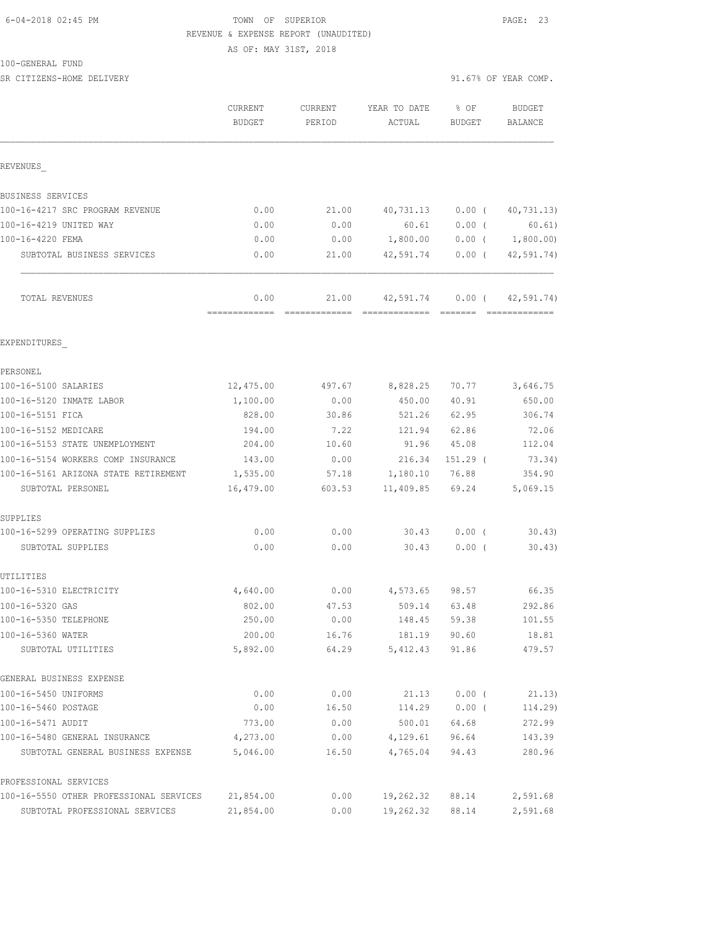## 6-04-2018 02:45 PM TOWN OF SUPERIOR PAGE: 23 REVENUE & EXPENSE REPORT (UNAUDITED)

AS OF: MAY 31ST, 2018

100-GENERAL FUND

| SR CITIZENS-HOME DELIVERY               |                          |                   |                                  |                  | 91.67% OF YEAR COMP.        |
|-----------------------------------------|--------------------------|-------------------|----------------------------------|------------------|-----------------------------|
|                                         | CURRENT<br><b>BUDGET</b> | CURRENT<br>PERIOD | YEAR TO DATE<br>ACTUAL           | $8$ OF<br>BUDGET | BUDGET<br>BALANCE           |
| REVENUES                                |                          |                   |                                  |                  |                             |
| BUSINESS SERVICES                       |                          |                   |                                  |                  |                             |
| 100-16-4217 SRC PROGRAM REVENUE         | 0.00                     | 21.00             |                                  |                  | 40,731.13 0.00 ( 40,731.13) |
| 100-16-4219 UNITED WAY                  | 0.00                     | 0.00              |                                  | 60.61 0.00 (     | 60.61)                      |
| 100-16-4220 FEMA                        | 0.00                     | 0.00              | $1,800.00$ 0.00 ( 1,800.00)      |                  |                             |
| SUBTOTAL BUSINESS SERVICES              | 0.00                     | 21.00             |                                  | 42,591.74 0.00 ( | 42, 591.74)                 |
| <b>TOTAL REVENUES</b>                   | 0.00                     |                   | 21.00 42,591.74 0.00 (42,591.74) |                  | --------------              |
| EXPENDITURES                            |                          |                   |                                  |                  |                             |
| PERSONEL                                |                          |                   |                                  |                  |                             |
| 100-16-5100 SALARIES                    | 12,475.00                | 497.67            | 8,828.25                         | 70.77            | 3,646.75                    |
| 100-16-5120 INMATE LABOR                | 1,100.00                 | 0.00              | 450.00                           | 40.91            | 650.00                      |
| 100-16-5151 FICA                        | 828.00                   | 30.86             | 521.26                           | 62.95            | 306.74                      |
| 100-16-5152 MEDICARE                    | 194.00                   | 7.22              | 121.94 62.86                     |                  | 72.06                       |
| 100-16-5153 STATE UNEMPLOYMENT          | 204.00                   | 10.60             | 91.96 45.08                      |                  | 112.04                      |
| 100-16-5154 WORKERS COMP INSURANCE      | 143.00                   |                   | $0.00$ 216.34                    | 151.29 (         | 73.34)                      |
| 100-16-5161 ARIZONA STATE RETIREMENT    | 1,535.00                 |                   | 57.18 1,180.10 76.88             |                  | 354.90                      |
| SUBTOTAL PERSONEL                       | 16,479.00                | 603.53            | 11,409.85                        | 69.24            | 5,069.15                    |
| SUPPLIES                                |                          |                   |                                  |                  |                             |
| 100-16-5299 OPERATING SUPPLIES          | 0.00                     | 0.00              | 30.43                            | $0.00$ (         | 30.43                       |
| SUBTOTAL SUPPLIES                       | 0.00                     | 0.00              | 30.43                            | $0.00$ (         | 30.43)                      |
| UTILITIES                               |                          |                   |                                  |                  |                             |
| 100-16-5310 ELECTRICITY                 | 4,640.00                 | 0.00              | 4,573.65                         | 98.57            | 66.35                       |
| 100-16-5320 GAS                         | 802.00                   | 47.53             | 509.14                           | 63.48            | 292.86                      |
| 100-16-5350 TELEPHONE                   | 250.00                   | 0.00              | 148.45                           | 59.38            | 101.55                      |
| 100-16-5360 WATER<br>SUBTOTAL UTILITIES | 200.00<br>5,892.00       | 16.76<br>64.29    | 181.19<br>5,412.43               | 90.60<br>91.86   | 18.81<br>479.57             |
|                                         |                          |                   |                                  |                  |                             |
| GENERAL BUSINESS EXPENSE                |                          |                   |                                  |                  |                             |
| 100-16-5450 UNIFORMS                    | 0.00                     | 0.00              | 21.13                            | $0.00$ (         | 21.13)                      |
| 100-16-5460 POSTAGE                     | 0.00                     | 16.50             | 114.29                           | 0.00(            | 114.29)                     |
| 100-16-5471 AUDIT                       | 773.00                   | 0.00              | 500.01                           | 64.68            | 272.99                      |
| 100-16-5480 GENERAL INSURANCE           | 4,273.00                 | 0.00              | 4,129.61                         | 96.64            | 143.39                      |
| SUBTOTAL GENERAL BUSINESS EXPENSE       | 5,046.00                 | 16.50             | 4,765.04                         | 94.43            | 280.96                      |
| PROFESSIONAL SERVICES                   |                          |                   |                                  |                  |                             |
| 100-16-5550 OTHER PROFESSIONAL SERVICES | 21,854.00                | 0.00              | 19,262.32                        | 88.14            | 2,591.68                    |

SUBTOTAL PROFESSIONAL SERVICES 21,854.00 0.00 19,262.32 88.14 2,591.68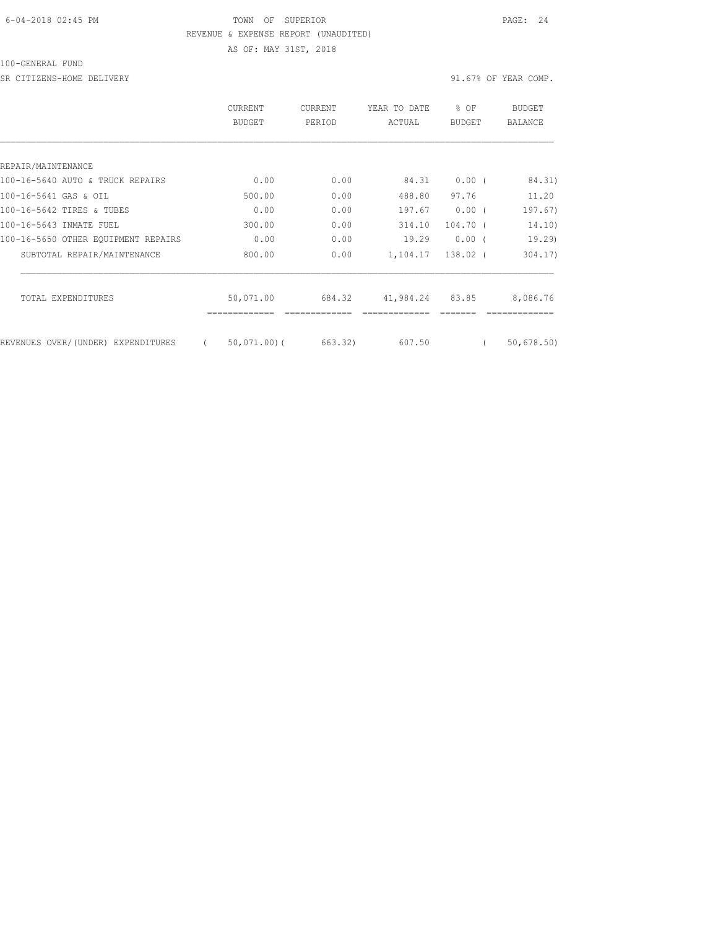#### 6-04-2018 02:45 PM TOWN OF SUPERIOR PAGE: 24 REVENUE & EXPENSE REPORT (UNAUDITED)

100-GENERAL FUND

SR CITIZENS-HOME DELIVERY 31.67% OF YEAR COMP.

AS OF: MAY 31ST, 2018

|                                     | <b>CURRENT</b><br>BUDGET | <b>CURRENT</b><br>PERIOD | YEAR TO DATE<br>ACTUAL | g.<br>OF<br><b>BUDGET</b> | BUDGET<br><b>BALANCE</b> |
|-------------------------------------|--------------------------|--------------------------|------------------------|---------------------------|--------------------------|
|                                     |                          |                          |                        |                           |                          |
| REPAIR/MAINTENANCE                  |                          |                          |                        |                           |                          |
| 100-16-5640 AUTO & TRUCK REPAIRS    | 0.00                     | 0.00                     | 84.31                  | $0.00$ (                  | 84.31)                   |
| 100-16-5641 GAS & OIL               | 500.00                   | 0.00                     | 488.80                 | 97.76                     | 11.20                    |
| 100-16-5642 TIRES & TUBES           | 0.00                     | 0.00                     | 197.67                 | 0.00(                     | 197.67)                  |
| 100-16-5643 INMATE FUEL             | 300.00                   | 0.00                     | 314.10                 | 104.70 (                  | 14.10)                   |
| 100-16-5650 OTHER EOUIPMENT REPAIRS | 0.00                     | 0.00                     | 19.29                  | $0.00$ (                  | 19.29                    |
| SUBTOTAL REPAIR/MAINTENANCE         | 800.00                   | 0.00                     | 1,104.17               | $138.02$ (                | 304.17                   |
| TOTAL EXPENDITURES                  | 50,071.00                | 684.32                   | 41,984.24              | 83.85                     | 8,086.76                 |
| REVENUES OVER/(UNDER) EXPENDITURES  | $50,071,00$ (            | 663.32)                  | 607.50                 |                           | 50, 678.50               |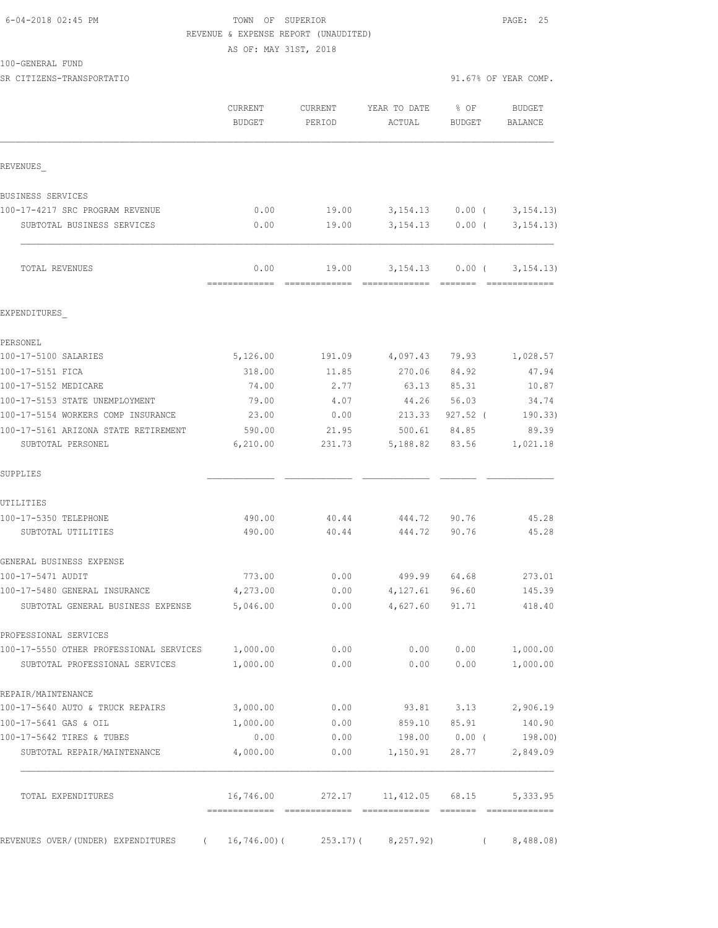| 6-04-2018 02:45 PM |  |
|--------------------|--|
|                    |  |

## TOWN OF SUPERIOR **PAGE: 25** REVENUE & EXPENSE REPORT (UNAUDITED)

AS OF: MAY 31ST, 2018

100-GENERAL FUND

|                                         | CURRENT<br><b>BUDGET</b> | CURRENT<br>PERIOD                      | YEAR TO DATE<br>ACTUAL           | % OF<br>BUDGET    | <b>BUDGET</b><br>BALANCE     |
|-----------------------------------------|--------------------------|----------------------------------------|----------------------------------|-------------------|------------------------------|
| REVENUES                                |                          |                                        |                                  |                   |                              |
| BUSINESS SERVICES                       |                          |                                        |                                  |                   |                              |
| 100-17-4217 SRC PROGRAM REVENUE         | 0.00                     | 19.00                                  |                                  | 3,154.13 0.00 (   | 3, 154.13                    |
| SUBTOTAL BUSINESS SERVICES              | 0.00                     | 19.00                                  |                                  | $3,154.13$ 0.00 ( | 3, 154.13)                   |
| TOTAL REVENUES                          | 0.00                     | 19.00<br>-------------- -------------- | 3,154.13<br>-------------- ----- | $0.00$ (          | 3, 154.13)<br>-------------- |
| EXPENDITURES                            |                          |                                        |                                  |                   |                              |
| PERSONEL                                |                          |                                        |                                  |                   |                              |
| 100-17-5100 SALARIES                    | 5,126.00                 | 191.09                                 | 4,097.43                         | 79.93             | 1,028.57                     |
| 100-17-5151 FICA                        | 318.00                   | 11.85                                  | 270.06                           | 84.92             | 47.94                        |
| 100-17-5152 MEDICARE                    | 74.00                    | 2.77                                   | 63.13                            | 85.31             | 10.87                        |
| 100-17-5153 STATE UNEMPLOYMENT          | 79.00                    | 4.07                                   | 44.26                            | 56.03             | 34.74                        |
| 100-17-5154 WORKERS COMP INSURANCE      | 23.00                    | 0.00                                   | 213.33                           | $927.52$ (        | 190.33)                      |
| 100-17-5161 ARIZONA STATE RETIREMENT    | 590.00                   | 21.95                                  | 500.61                           | 84.85             | 89.39                        |
| SUBTOTAL PERSONEL                       | 6, 210.00                | 231.73                                 |                                  | 5,188.82 83.56    | 1,021.18                     |
| SUPPLIES                                |                          |                                        |                                  |                   |                              |
| UTILITIES                               |                          |                                        |                                  |                   |                              |
| 100-17-5350 TELEPHONE                   | 490.00                   | 40.44                                  | 444.72                           | 90.76             | 45.28                        |
| SUBTOTAL UTILITIES                      | 490.00                   | 40.44                                  | 444.72                           | 90.76             | 45.28                        |
| GENERAL BUSINESS EXPENSE                |                          |                                        |                                  |                   |                              |
| 100-17-5471 AUDIT                       | 773.00                   | 0.00                                   | 499.99 64.68                     |                   | 273.01                       |
| 100-17-5480 GENERAL INSURANCE           | 4,273.00                 | 0.00                                   | 4,127.61                         | 96.60             | 145.39                       |
| SUBTOTAL GENERAL BUSINESS EXPENSE       | 5,046.00                 | 0.00                                   | 4,627.60                         | 91.71             | 418.40                       |
| PROFESSIONAL SERVICES                   |                          |                                        |                                  |                   |                              |
| 100-17-5550 OTHER PROFESSIONAL SERVICES | 1,000.00                 | 0.00                                   | 0.00                             | 0.00              | 1,000.00                     |
| SUBTOTAL PROFESSIONAL SERVICES          | 1,000.00                 | 0.00                                   | 0.00                             | 0.00              | 1,000.00                     |
| REPAIR/MAINTENANCE                      |                          |                                        |                                  |                   |                              |
| 100-17-5640 AUTO & TRUCK REPAIRS        | 3,000.00                 | 0.00                                   |                                  | 93.81 3.13        | 2,906.19                     |
| 100-17-5641 GAS & OIL                   | 1,000.00                 | 0.00                                   | 859.10                           | 85.91             | 140.90                       |
| 100-17-5642 TIRES & TUBES               | 0.00                     | 0.00                                   |                                  | 198.00 0.00 (     | 198.00)                      |
| SUBTOTAL REPAIR/MAINTENANCE             | 4,000.00                 | 0.00                                   | 1,150.91                         | 28.77             | 2,849.09                     |
| TOTAL EXPENDITURES                      | 16,746.00                | 272.17                                 | 11,412.05                        | 68.15             | 5,333.95                     |
| REVENUES OVER/(UNDER) EXPENDITURES      | 16,746.00)(<br>$\left($  | 253.17) (                              | 8, 257.92)                       | $\left($          | 8,488.08                     |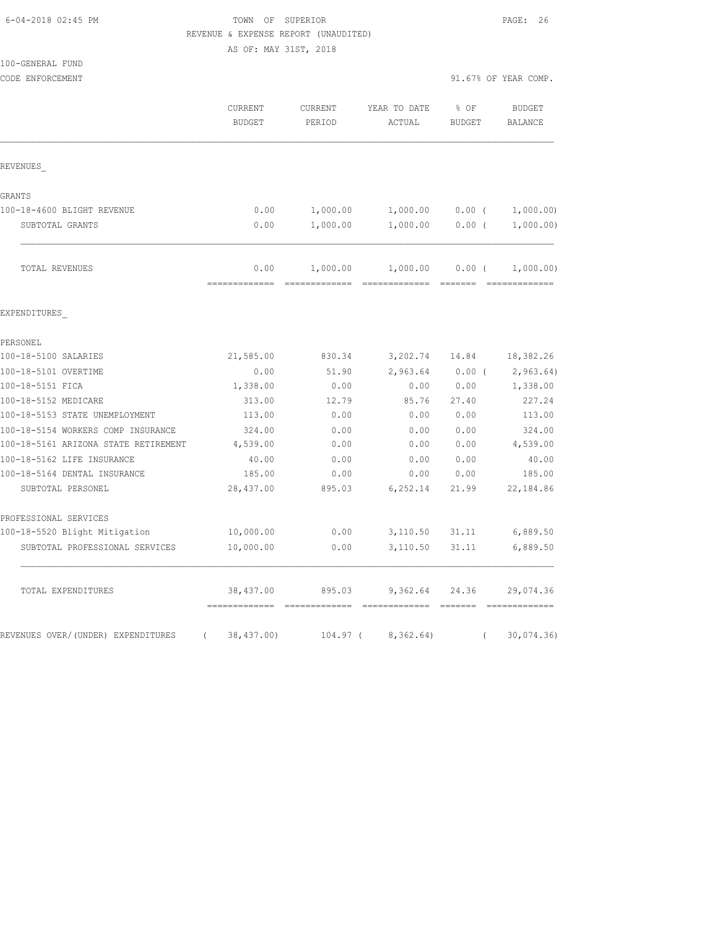|  | 6-04-2018 02:45 PM |  |
|--|--------------------|--|
|--|--------------------|--|

## TOWN OF SUPERIOR **Example 26** PAGE: 26 REVENUE & EXPENSE REPORT (UNAUDITED)

AS OF: MAY 31ST, 2018

| 100-GENERAL FUND |  |
|------------------|--|
|------------------|--|

| CODE ENFORCEMENT                               |                                              |                   |                        | 91.67% OF YEAR COMP.  |                                 |
|------------------------------------------------|----------------------------------------------|-------------------|------------------------|-----------------------|---------------------------------|
|                                                | CURRENT<br><b>BUDGET</b>                     | CURRENT<br>PERIOD | YEAR TO DATE<br>ACTUAL | % OF<br><b>BUDGET</b> | <b>BUDGET</b><br><b>BALANCE</b> |
| REVENUES                                       |                                              |                   |                        |                       |                                 |
| GRANTS                                         |                                              |                   |                        |                       |                                 |
| 100-18-4600 BLIGHT REVENUE                     | 0.00                                         | 1,000.00          | 1,000.00               | $0.00$ (              | 1,000.00)                       |
| SUBTOTAL GRANTS                                | 0.00                                         | 1,000.00          | 1,000.00               | $0.00$ (              | 1,000.00)                       |
| TOTAL REVENUES                                 | 0.00                                         | 1,000.00          | 1,000.00               | $0.00$ (              | 1,000.00)                       |
| EXPENDITURES                                   |                                              |                   |                        |                       |                                 |
| PERSONEL                                       |                                              |                   |                        |                       |                                 |
| 100-18-5100 SALARIES                           | 21,585.00                                    | 830.34            | 3,202.74               | 14.84                 | 18,382.26                       |
| 100-18-5101 OVERTIME                           | 0.00                                         | 51.90             | 2,963.64               | $0.00$ (              | 2,963.64)                       |
| 100-18-5151 FICA                               | 1,338.00                                     | 0.00              | 0.00                   | 0.00                  | 1,338.00                        |
| 100-18-5152 MEDICARE                           | 313.00                                       | 12.79             | 85.76                  | 27.40                 | 227.24                          |
| 100-18-5153 STATE UNEMPLOYMENT                 | 113.00                                       | 0.00              | 0.00                   | 0.00                  | 113.00                          |
| 100-18-5154 WORKERS COMP INSURANCE             | 324.00                                       | 0.00              | 0.00                   | 0.00                  | 324.00                          |
| 100-18-5161 ARIZONA STATE RETIREMENT           | 4,539.00                                     | 0.00              | 0.00                   | 0.00                  | 4,539.00                        |
| 100-18-5162 LIFE INSURANCE                     | 40.00                                        | 0.00              | 0.00                   | 0.00                  | 40.00                           |
| 100-18-5164 DENTAL INSURANCE                   | 185.00                                       | 0.00              | 0.00                   | 0.00                  | 185.00                          |
| SUBTOTAL PERSONEL                              | 28,437.00                                    | 895.03            | 6, 252.14              | 21.99                 | 22,184.86                       |
| PROFESSIONAL SERVICES                          |                                              |                   |                        |                       |                                 |
| 100-18-5520 Blight Mitigation                  | 10,000.00                                    | 0.00              | 3,110.50               | 31.11                 | 6,889.50                        |
| SUBTOTAL PROFESSIONAL SERVICES                 | 10,000.00                                    | 0.00              | 3,110.50               | 31.11                 | 6,889.50                        |
| TOTAL EXPENDITURES                             | 38,437.00                                    | 895.03            | 9,362.64               | 24.36                 | 29,074.36                       |
| REVENUES OVER/(UNDER) EXPENDITURES<br>$\left($ | ==============================<br>38,437.00) | 104.97 (          | 8,362.64)              | $\left($              | 30,074.36                       |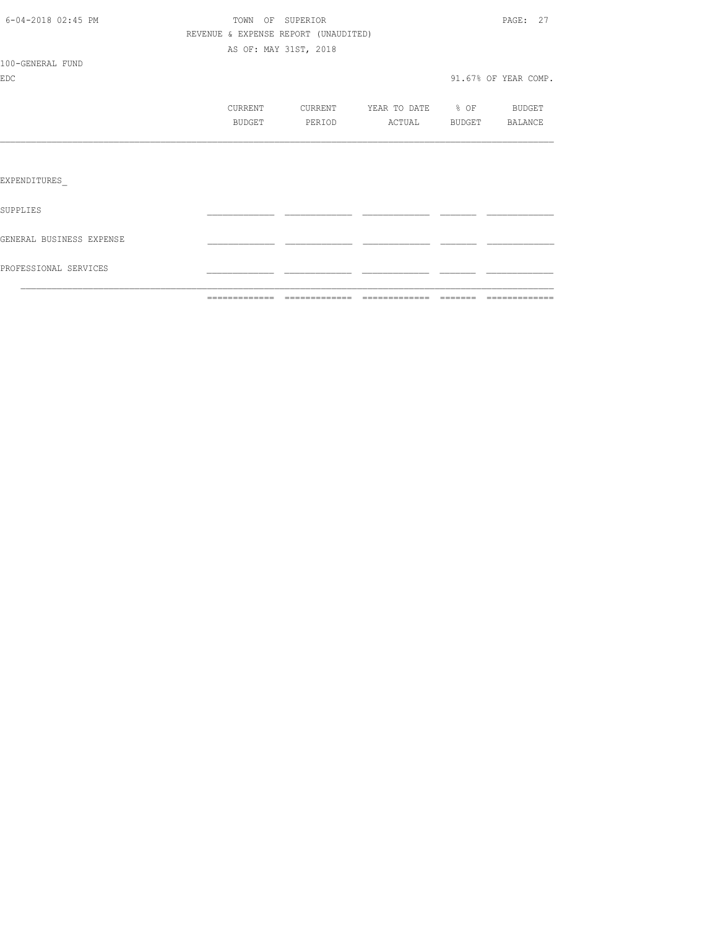| PROFESSIONAL SERVICES    |                                      |                       |                                  |                      |
|--------------------------|--------------------------------------|-----------------------|----------------------------------|----------------------|
| GENERAL BUSINESS EXPENSE |                                      |                       |                                  |                      |
| SUPPLIES                 |                                      |                       |                                  |                      |
| EXPENDITURES             |                                      |                       |                                  |                      |
|                          |                                      |                       |                                  |                      |
|                          | <b>BUDGET</b>                        | PERIOD                | ACTUAL                           | BUDGET BALANCE       |
|                          | CURRENT                              |                       | CURRENT YEAR TO DATE % OF BUDGET |                      |
| EDC                      |                                      |                       |                                  | 91.67% OF YEAR COMP. |
| 100-GENERAL FUND         |                                      |                       |                                  |                      |
|                          |                                      | AS OF: MAY 31ST, 2018 |                                  |                      |
|                          | REVENUE & EXPENSE REPORT (UNAUDITED) |                       |                                  |                      |
| 6-04-2018 02:45 PM       | TOWN OF SUPERIOR                     |                       |                                  | PAGE: 27             |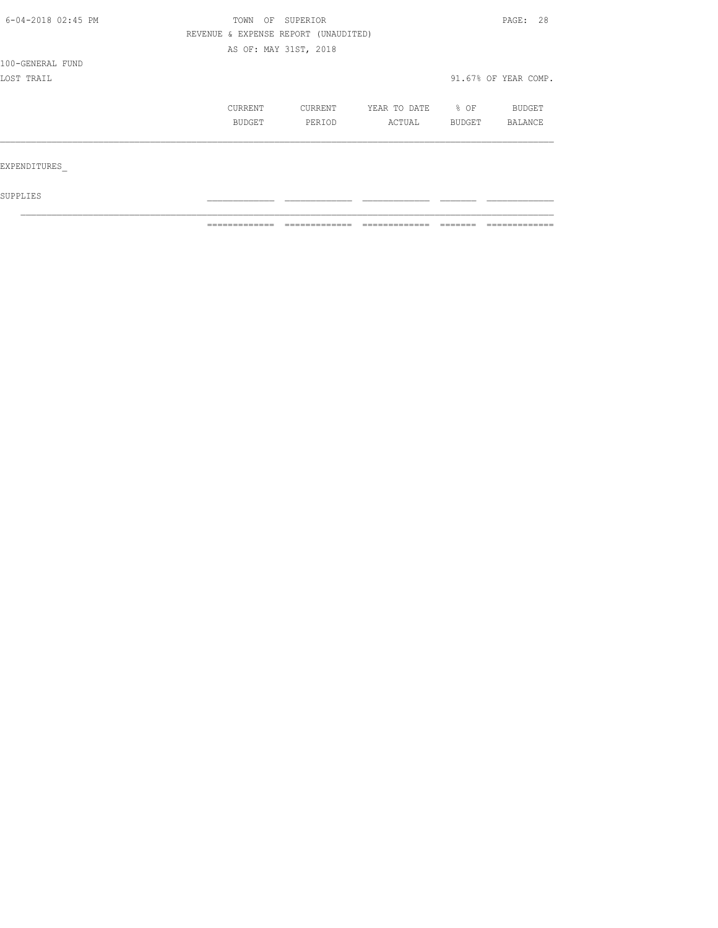| 6-04-2018 02:45 PM                                                                                                                               | TOWN |  |        | PAGE: 28             |  |
|--------------------------------------------------------------------------------------------------------------------------------------------------|------|--|--------|----------------------|--|
| OF SUPERIOR<br>REVENUE & EXPENSE REPORT (UNAUDITED)<br>AS OF: MAY 31ST, 2018<br>CURRENT<br>CURRENT<br>YEAR TO DATE<br>BUDGET<br>PERIOD<br>ACTUAL |      |  |        |                      |  |
|                                                                                                                                                  |      |  |        |                      |  |
| 100-GENERAL FUND                                                                                                                                 |      |  |        |                      |  |
| LOST TRAIL                                                                                                                                       |      |  |        | 91.67% OF YEAR COMP. |  |
|                                                                                                                                                  |      |  | % OF   | BUDGET               |  |
|                                                                                                                                                  |      |  | BUDGET | BALANCE              |  |
|                                                                                                                                                  |      |  |        |                      |  |
| EXPENDITURES                                                                                                                                     |      |  |        |                      |  |
| SUPPLIES                                                                                                                                         |      |  |        |                      |  |

 $\mathcal{L}_\text{max}$ 

============= ============= ============= ======= =============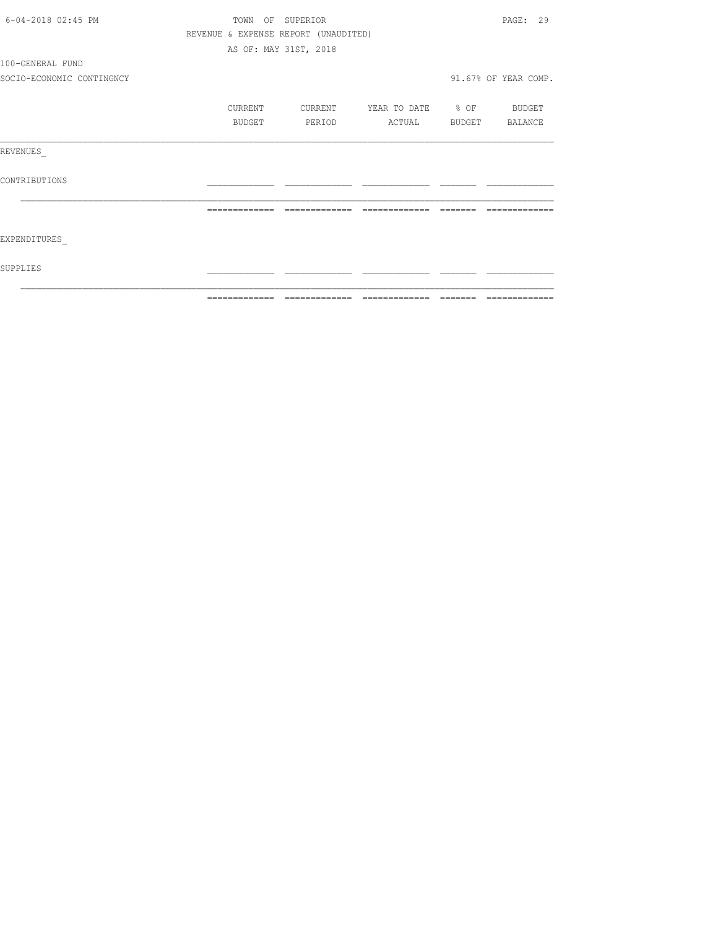| 6-04-2018 02:45 PM        |               | TOWN OF SUPERIOR                     |                          |          | PAGE: 29              |
|---------------------------|---------------|--------------------------------------|--------------------------|----------|-----------------------|
|                           |               | REVENUE & EXPENSE REPORT (UNAUDITED) |                          |          |                       |
|                           |               | AS OF: MAY 31ST, 2018                |                          |          |                       |
| 100-GENERAL FUND          |               |                                      |                          |          |                       |
| SOCIO-ECONOMIC CONTINGNCY |               |                                      |                          |          | 91.67% OF YEAR COMP.  |
|                           | CURRENT       | CURRENT                              | YEAR TO DATE % OF BUDGET |          |                       |
|                           | <b>BUDGET</b> | PERIOD                               |                          |          | ACTUAL BUDGET BALANCE |
| REVENUES                  |               |                                      |                          |          |                       |
| CONTRIBUTIONS             |               |                                      |                          |          |                       |
|                           | ============= | =============                        | =============            | -------- |                       |
| EXPENDITURES              |               |                                      |                          |          |                       |
| SUPPLIES                  |               |                                      |                          |          |                       |
|                           | ------------- |                                      |                          | ________ | -------------         |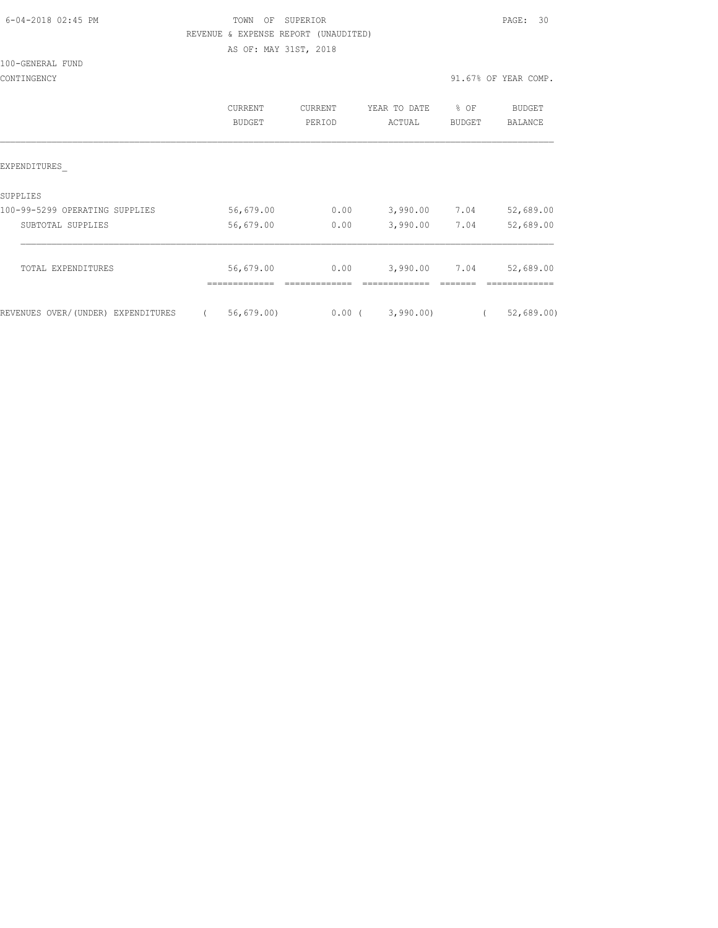| 6-04-2018 02:45 PM |  |
|--------------------|--|

# FOWN OF SUPERIOR **Example 2018** PAGE: 30 REVENUE & EXPENSE REPORT (UNAUDITED)

AS OF: MAY 31ST, 2018

#### 100-GENERAL FUND

|                                    | CURRENT<br>BUDGET          | <b>CURRENT</b><br>PERIOD | YEAR TO DATE<br>ACTUAL | % OF<br><b>BUDGET</b> | <b>BUDGET</b><br>BALANCE |
|------------------------------------|----------------------------|--------------------------|------------------------|-----------------------|--------------------------|
| EXPENDITURES                       |                            |                          |                        |                       |                          |
| SUPPLIES                           |                            |                          |                        |                       |                          |
| 100-99-5299 OPERATING SUPPLIES     | 56,679.00                  | 0.00                     | 3,990.00               | 7.04                  | 52,689.00                |
| SUBTOTAL SUPPLIES                  | 56,679.00                  | 0.00                     | 3,990.00               | 7.04                  | 52,689.00                |
| TOTAL EXPENDITURES                 | 56,679.00<br>------------- | 0.00                     | 3,990.00               | 7.04                  | 52,689.00                |
| REVENUES OVER/(UNDER) EXPENDITURES | 56, 679.00                 | 0.00(                    | 3,990.00               |                       | 52,689.00                |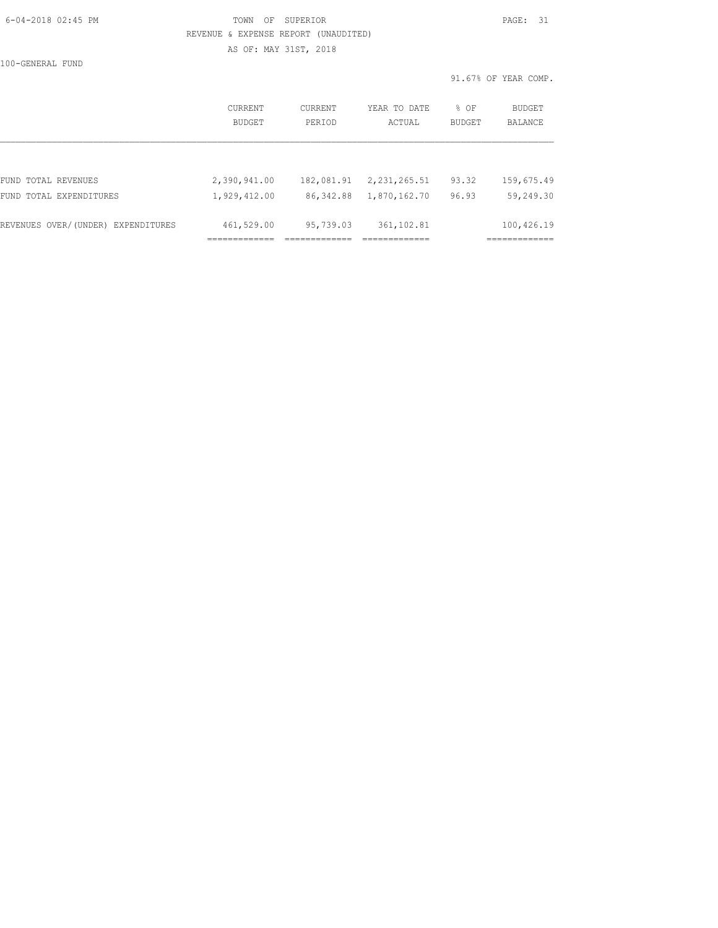## 6-04-2018 02:45 PM TOWN OF SUPERIOR PAGE: 31 REVENUE & EXPENSE REPORT (UNAUDITED) AS OF: MAY 31ST, 2018

100-GENERAL FUND

|                                    |                          |                   |                        |                | 91.67% OF YEAR COMP. |
|------------------------------------|--------------------------|-------------------|------------------------|----------------|----------------------|
|                                    | <b>CURRENT</b><br>BUDGET | CURRENT<br>PERIOD | YEAR TO DATE<br>ACTUAL | % OF<br>BUDGET | BUDGET<br>BALANCE    |
|                                    |                          |                   |                        |                |                      |
| FUND TOTAL REVENUES                | 2,390,941.00             | 182,081.91        | 2,231,265.51           | 93.32          | 159,675.49           |
| FUND TOTAL EXPENDITURES            | 1,929,412.00             | 86, 342.88        | 1,870,162.70           | 96.93          | 59,249.30            |
| REVENUES OVER/(UNDER) EXPENDITURES | 461,529.00               | 95,739.03         | 361, 102.81            |                | 100,426.19           |
|                                    | -----------              |                   | -------------          |                | ------------         |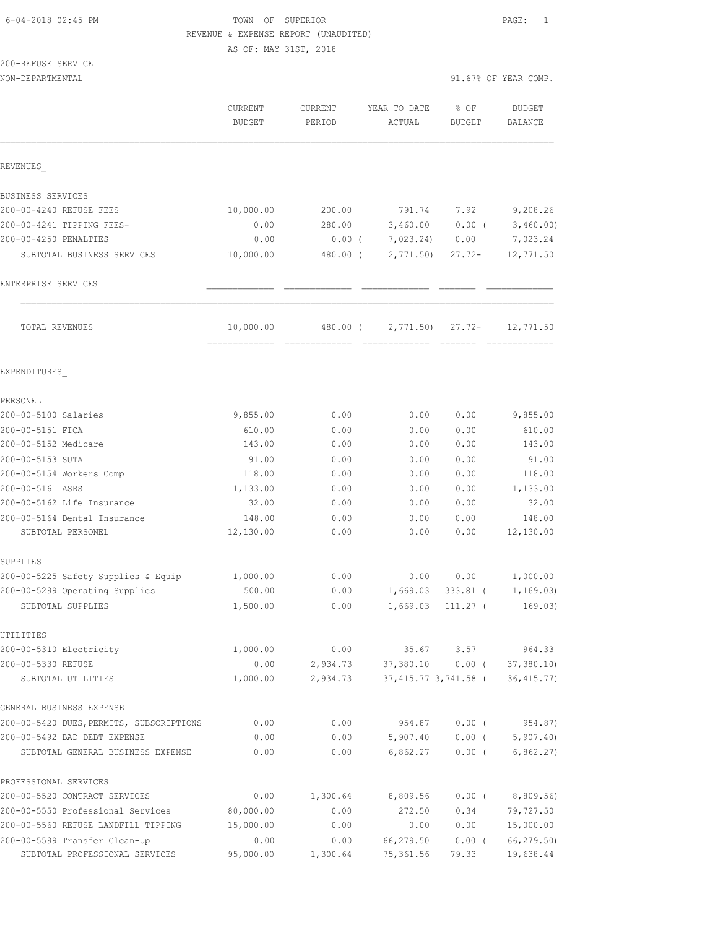## 6-04-2018 02:45 PM TOWN OF SUPERIOR PAGE: 1 REVENUE & EXPENSE REPORT (UNAUDITED)

AS OF: MAY 31ST, 2018

| 200-REFUSE SERVICE |  |
|--------------------|--|
|                    |  |

NON-DEPARTMENTAL 91.67% OF YEAR COMP.

|                                          | CURRENT<br><b>BUDGET</b> | <b>CURRENT</b><br>PERIOD | YEAR TO DATE<br>ACTUAL | % OF<br><b>BUDGET</b> | <b>BUDGET</b><br><b>BALANCE</b> |
|------------------------------------------|--------------------------|--------------------------|------------------------|-----------------------|---------------------------------|
| REVENUES                                 |                          |                          |                        |                       |                                 |
| BUSINESS SERVICES                        |                          |                          |                        |                       |                                 |
| 200-00-4240 REFUSE FEES                  | 10,000.00                | 200.00                   | 791.74                 | 7.92                  | 9,208.26                        |
| 200-00-4241 TIPPING FEES-                | 0.00                     | 280.00                   | 3,460.00               | 0.00(                 | 3,460.00)                       |
| 200-00-4250 PENALTIES                    | 0.00                     | $0.00$ (                 | 7,023.24)              | 0.00                  | 7,023.24                        |
| SUBTOTAL BUSINESS SERVICES               | 10,000.00                | 480.00 (                 | 2,771.50               | $27.72-$              | 12,771.50                       |
| ENTERPRISE SERVICES                      |                          |                          |                        |                       |                                 |
| TOTAL REVENUES                           | 10,000.00                | 480.00 (                 | 2,771.50               | $27.72 -$             | 12,771.50                       |
|                                          |                          |                          |                        |                       |                                 |
| EXPENDITURES                             |                          |                          |                        |                       |                                 |
| PERSONEL                                 |                          |                          |                        |                       |                                 |
| 200-00-5100 Salaries                     | 9,855.00                 | 0.00                     | 0.00                   | 0.00                  | 9,855.00                        |
| 200-00-5151 FICA                         | 610.00                   | 0.00                     | 0.00                   | 0.00                  | 610.00                          |
| 200-00-5152 Medicare                     | 143.00                   | 0.00                     | 0.00                   | 0.00                  | 143.00                          |
| 200-00-5153 SUTA                         | 91.00                    | 0.00                     | 0.00                   | 0.00                  | 91.00                           |
| 200-00-5154 Workers Comp                 | 118.00                   | 0.00                     | 0.00                   | 0.00                  | 118.00                          |
| 200-00-5161 ASRS                         | 1,133.00                 | 0.00                     | 0.00                   | 0.00                  | 1,133.00                        |
| 200-00-5162 Life Insurance               | 32.00                    | 0.00                     | 0.00                   | 0.00                  | 32.00                           |
| 200-00-5164 Dental Insurance             | 148.00                   | 0.00                     | 0.00                   | 0.00                  | 148.00                          |
| SUBTOTAL PERSONEL                        | 12,130.00                | 0.00                     | 0.00                   | 0.00                  | 12,130.00                       |
| SUPPLIES                                 |                          |                          |                        |                       |                                 |
| 200-00-5225 Safety Supplies & Equip      | 1,000.00                 | 0.00                     | 0.00                   | 0.00                  | 1,000.00                        |
| 200-00-5299 Operating Supplies           | 500.00                   | 0.00                     | 1,669.03               | 333.81 (              | 1, 169.03)                      |
| SUBTOTAL SUPPLIES                        | 1,500.00                 | 0.00                     | 1,669.03               | 111.27 (              | 169.03)                         |
| UTILITIES                                |                          |                          |                        |                       |                                 |
| 200-00-5310 Electricity                  | 1,000.00                 | 0.00                     | 35.67                  | 3.57                  | 964.33                          |
| 200-00-5330 REFUSE                       | 0.00                     | 2,934.73                 | 37,380.10              | $0.00$ (              | 37, 380.10                      |
| SUBTOTAL UTILITIES                       | 1,000.00                 | 2,934.73                 |                        | 37,415.77 3,741.58 (  | 36, 415.77)                     |
| GENERAL BUSINESS EXPENSE                 |                          |                          |                        |                       |                                 |
| 200-00-5420 DUES, PERMITS, SUBSCRIPTIONS | 0.00                     | 0.00                     | 954.87                 | $0.00$ (              | 954.87)                         |
| 200-00-5492 BAD DEBT EXPENSE             | 0.00                     | 0.00                     | 5,907.40               | $0.00$ (              | 5, 907.40                       |
| SUBTOTAL GENERAL BUSINESS EXPENSE        | 0.00                     | 0.00                     | 6,862.27               | $0.00$ (              | 6,862.27)                       |
| PROFESSIONAL SERVICES                    |                          |                          |                        |                       |                                 |
| 200-00-5520 CONTRACT SERVICES            | 0.00                     | 1,300.64                 | 8,809.56               | $0.00$ (              | 8,809.56)                       |
| 200-00-5550 Professional Services        | 80,000.00                | 0.00                     | 272.50                 | 0.34                  | 79,727.50                       |
| 200-00-5560 REFUSE LANDFILL TIPPING      | 15,000.00                | 0.00                     | 0.00                   | 0.00                  | 15,000.00                       |
| 200-00-5599 Transfer Clean-Up            | 0.00                     | 0.00                     | 66,279.50              | $0.00$ (              | 66,279.50)                      |

SUBTOTAL PROFESSIONAL SERVICES 95,000.00 1,300.64 75,361.56 79.33 19,638.44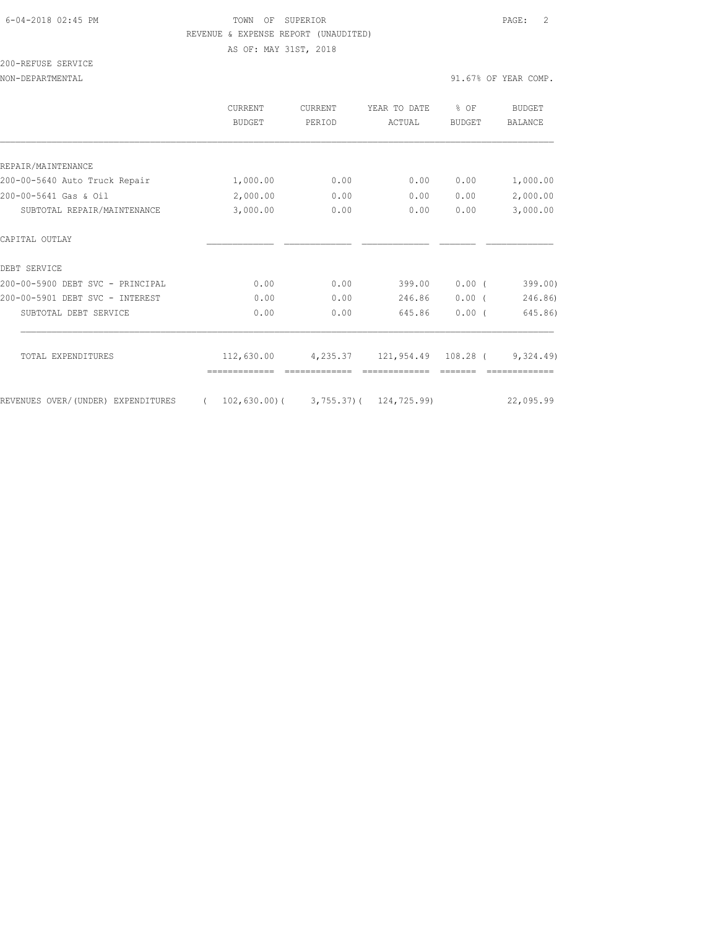## 6-04-2018 02:45 PM TOWN OF SUPERIOR PAGE: 2 REVENUE & EXPENSE REPORT (UNAUDITED)

AS OF: MAY 31ST, 2018

200-REFUSE SERVICE

|                                    | <b>CURRENT</b><br><b>BUDGET</b>                         | CURRENT<br>PERIOD | YEAR TO DATE<br>ACTUAL | % OF<br><b>BUDGET</b> | <b>BUDGET</b><br><b>BALANCE</b> |
|------------------------------------|---------------------------------------------------------|-------------------|------------------------|-----------------------|---------------------------------|
|                                    |                                                         |                   |                        |                       |                                 |
| REPAIR/MAINTENANCE                 |                                                         |                   |                        |                       |                                 |
| 200-00-5640 Auto Truck Repair      | 1,000.00                                                | 0.00              | 0.00                   | 0.00                  | 1,000.00                        |
| 200-00-5641 Gas & Oil              | 2,000.00                                                | 0.00              | 0.00                   | 0.00                  | 2,000.00                        |
| SUBTOTAL REPAIR/MAINTENANCE        | 3,000.00                                                | 0.00              | 0.00                   | 0.00                  | 3,000.00                        |
| CAPITAL OUTLAY                     |                                                         |                   |                        |                       |                                 |
| DEBT SERVICE                       |                                                         |                   |                        |                       |                                 |
| 200-00-5900 DEBT SVC - PRINCIPAL   | 0.00                                                    | 0.00              | 399.00                 | $0.00$ (              | 399.00)                         |
| 200-00-5901 DEBT SVC - INTEREST    | 0.00                                                    | 0.00              | 246.86                 | $0.00$ (              | 246.86)                         |
| SUBTOTAL DEBT SERVICE              | 0.00                                                    | 0.00              | 645.86                 | $0.00$ (              | 645.86)                         |
| TOTAL EXPENDITURES                 | 112,630.00                                              | 4,235.37          | 121,954.49             | 108.28 (              | 9,324.49                        |
|                                    |                                                         |                   |                        |                       |                                 |
| REVENUES OVER/(UNDER) EXPENDITURES | $102, 630.00$ ( 3, 755.37) ( 124, 725.99)<br>$\sqrt{2}$ |                   |                        |                       | 22,095.99                       |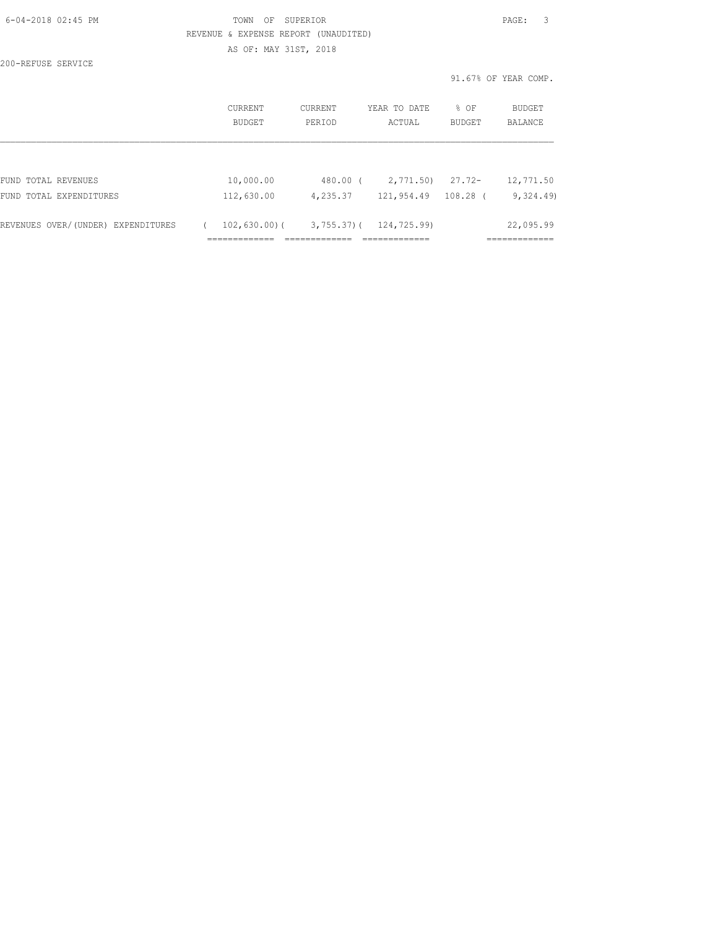| 6-04-2018 02:45 PM                 |                                      | OF<br>TOWN<br>SUPERIOR |          |                              |        | 3<br>PAGE:           |
|------------------------------------|--------------------------------------|------------------------|----------|------------------------------|--------|----------------------|
|                                    | REVENUE & EXPENSE REPORT (UNAUDITED) |                        |          |                              |        |                      |
|                                    | AS OF: MAY 31ST, 2018                |                        |          |                              |        |                      |
| 200-REFUSE SERVICE                 |                                      |                        |          |                              |        |                      |
|                                    |                                      |                        |          |                              |        | 91.67% OF YEAR COMP. |
|                                    |                                      | CURRENT                | CURRENT  | YEAR TO DATE                 | % OF   | BUDGET               |
|                                    |                                      | BUDGET                 | PERIOD   | ACTUAL                       | BUDGET | BALANCE              |
|                                    |                                      |                        |          |                              |        |                      |
| FUND TOTAL REVENUES                |                                      | 10,000.00              | 480.00 ( | 2,771.50) 27.72-             |        | 12,771.50            |
| FUND TOTAL EXPENDITURES            |                                      | 112,630.00             |          | 4,235.37 121,954.49 108.28 ( |        | 9,324.49             |
| REVENUES OVER/(UNDER) EXPENDITURES |                                      | 102,630.00)(           |          | $3,755.37$ ( $124,725.99$ )  |        | 22,095.99            |

============= ============= ============= =============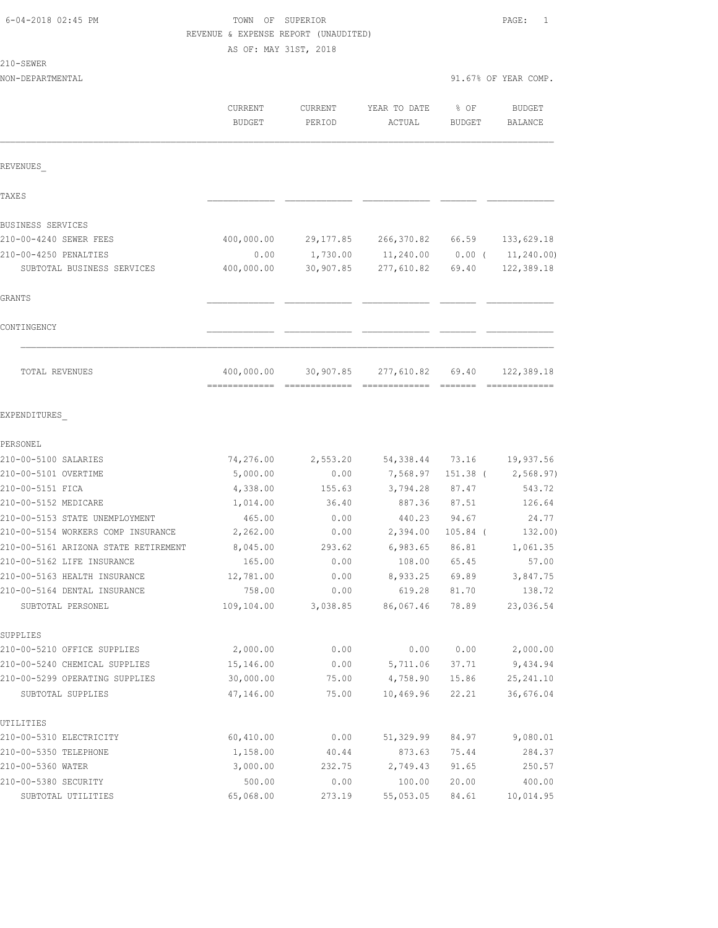210-SEWER

# TOWN OF SUPERIOR **Example 2018** PAGE: 1 REVENUE & EXPENSE REPORT (UNAUDITED)

AS OF: MAY 31ST, 2018

NON-DEPARTMENTAL 91.67% OF YEAR COMP.

|                                      | CURRENT<br><b>BUDGET</b>   | <b>CURRENT</b><br>PERIOD | YEAR TO DATE<br>ACTUAL | % OF<br><b>BUDGET</b> | <b>BUDGET</b><br><b>BALANCE</b> |
|--------------------------------------|----------------------------|--------------------------|------------------------|-----------------------|---------------------------------|
| REVENUES                             |                            |                          |                        |                       |                                 |
| <b>TAXES</b>                         |                            |                          |                        |                       |                                 |
| BUSINESS SERVICES                    |                            |                          |                        |                       |                                 |
| 210-00-4240 SEWER FEES               | 400,000.00                 | 29,177.85                | 266,370.82             | 66.59                 | 133,629.18                      |
| 210-00-4250 PENALTIES                | 0.00                       | 1,730.00                 | 11,240.00              | $0.00$ (              | 11, 240.00                      |
| SUBTOTAL BUSINESS SERVICES           | 400,000.00                 | 30,907.85                | 277,610.82             | 69.40                 | 122,389.18                      |
| <b>GRANTS</b>                        |                            |                          |                        |                       |                                 |
| CONTINGENCY                          |                            |                          |                        |                       |                                 |
| TOTAL REVENUES                       | 400,000.00<br>------------ | 30,907.85                | 277,610.82             | 69.40                 | 122,389.18                      |
| EXPENDITURES                         |                            |                          |                        |                       |                                 |
| PERSONEL                             |                            |                          |                        |                       |                                 |
| 210-00-5100 SALARIES                 | 74,276.00                  | 2,553.20                 | 54,338.44              | 73.16                 | 19,937.56                       |
| 210-00-5101 OVERTIME                 | 5,000.00                   | 0.00                     | 7,568.97               | 151.38 (              | 2,568.97)                       |
| 210-00-5151 FICA                     | 4,338.00                   | 155.63                   | 3,794.28               | 87.47                 | 543.72                          |
| 210-00-5152 MEDICARE                 | 1,014.00                   | 36.40                    | 887.36                 | 87.51                 | 126.64                          |
| 210-00-5153 STATE UNEMPLOYMENT       | 465.00                     | 0.00                     | 440.23                 | 94.67                 | 24.77                           |
| 210-00-5154 WORKERS COMP INSURANCE   | 2,262.00                   | 0.00                     | 2,394.00               | $105.84$ (            | 132.00)                         |
| 210-00-5161 ARIZONA STATE RETIREMENT | 8,045.00                   | 293.62                   | 6,983.65               | 86.81                 | 1,061.35                        |
| 210-00-5162 LIFE INSURANCE           | 165.00                     | 0.00                     | 108.00                 | 65.45                 | 57.00                           |
| 210-00-5163 HEALTH INSURANCE         | 12,781.00                  | 0.00                     | 8,933.25               | 69.89                 | 3,847.75                        |
| 210-00-5164 DENTAL INSURANCE         | 758.00                     | 0.00                     | 619.28                 | 81.70                 | 138.72                          |
| SUBTOTAL PERSONEL                    | 109,104.00                 | 3,038.85                 | 86,067.46              | 78.89                 | 23,036.54                       |
| SUPPLIES                             |                            |                          |                        |                       |                                 |
| 210-00-5210 OFFICE SUPPLIES          | 2,000.00                   | 0.00                     | 0.00                   | 0.00                  | 2,000.00                        |
| 210-00-5240 CHEMICAL SUPPLIES        | 15,146.00                  | 0.00                     | 5,711.06               | 37.71                 | 9,434.94                        |
| 210-00-5299 OPERATING SUPPLIES       | 30,000.00                  | 75.00                    | 4,758.90               | 15.86                 | 25, 241.10                      |
| SUBTOTAL SUPPLIES                    | 47,146.00                  | 75.00                    | 10,469.96              | 22.21                 | 36,676.04                       |
| UTILITIES                            |                            |                          |                        |                       |                                 |
| 210-00-5310 ELECTRICITY              | 60,410.00                  | 0.00                     | 51,329.99              | 84.97                 | 9,080.01                        |
| 210-00-5350 TELEPHONE                | 1,158.00                   | 40.44                    | 873.63                 | 75.44                 | 284.37                          |
| 210-00-5360 WATER                    | 3,000.00                   | 232.75                   | 2,749.43               | 91.65                 | 250.57                          |
| 210-00-5380 SECURITY                 | 500.00                     | 0.00                     | 100.00                 | 20.00                 | 400.00                          |
| SUBTOTAL UTILITIES                   | 65,068.00                  | 273.19                   | 55,053.05              | 84.61                 | 10,014.95                       |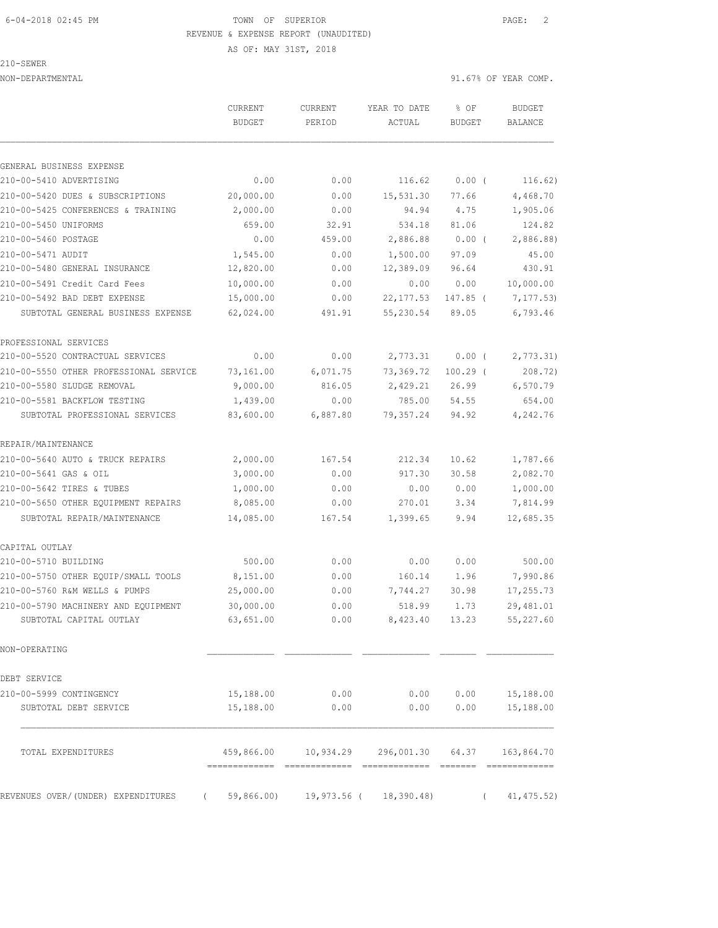## 6-04-2018 02:45 PM TOWN OF SUPERIOR PAGE: 2 REVENUE & EXPENSE REPORT (UNAUDITED)

AS OF: MAY 31ST, 2018

210-SEWER

NON-DEPARTMENTAL 91.67% OF YEAR COMP.

|                                                                        | CURRENT<br><b>BUDGET</b> | CURRENT<br>PERIOD | YEAR TO DATE<br>ACTUAL                               | % OF<br><b>BUDGET</b> | <b>BUDGET</b><br><b>BALANCE</b> |
|------------------------------------------------------------------------|--------------------------|-------------------|------------------------------------------------------|-----------------------|---------------------------------|
|                                                                        |                          |                   |                                                      |                       |                                 |
| GENERAL BUSINESS EXPENSE                                               |                          |                   |                                                      |                       |                                 |
| 210-00-5410 ADVERTISING                                                | 0.00                     | 0.00              | 116.62                                               | $0.00$ (              | 116.62)                         |
| 210-00-5420 DUES & SUBSCRIPTIONS<br>210-00-5425 CONFERENCES & TRAINING | 20,000.00                | 0.00              | 15,531.30                                            | 77.66                 | 4,468.70                        |
| 210-00-5450 UNIFORMS                                                   | 2,000.00<br>659.00       | 0.00              | 94.94<br>534.18                                      | 4.75                  | 1,905.06                        |
| 210-00-5460 POSTAGE                                                    | 0.00                     | 32.91<br>459.00   | 2,886.88                                             | 81.06<br>$0.00$ (     | 124.82<br>2,886.88)             |
| 210-00-5471 AUDIT                                                      | 1,545.00                 | 0.00              | 1,500.00                                             | 97.09                 | 45.00                           |
| 210-00-5480 GENERAL INSURANCE                                          | 12,820.00                | 0.00              | 12,389.09                                            | 96.64                 | 430.91                          |
| 210-00-5491 Credit Card Fees                                           | 10,000.00                | 0.00              | 0.00                                                 | 0.00                  | 10,000.00                       |
| 210-00-5492 BAD DEBT EXPENSE                                           | 15,000.00                | 0.00              | 22, 177.53                                           | 147.85 (              | 7, 177.53                       |
| SUBTOTAL GENERAL BUSINESS EXPENSE                                      | 62,024.00                | 491.91            | 55,230.54                                            | 89.05                 | 6,793.46                        |
| PROFESSIONAL SERVICES                                                  |                          |                   |                                                      |                       |                                 |
| 210-00-5520 CONTRACTUAL SERVICES                                       | 0.00                     | 0.00              | 2,773.31                                             | 0.00(                 | 2,773.31)                       |
| 210-00-5550 OTHER PROFESSIONAL SERVICE                                 | 73,161.00                | 6,071.75          | 73,369.72                                            | $100.29$ (            | 208.72)                         |
| 210-00-5580 SLUDGE REMOVAL                                             | 9,000.00                 | 816.05            | 2,429.21                                             | 26.99                 | 6,570.79                        |
| 210-00-5581 BACKFLOW TESTING                                           | 1,439.00                 | 0.00              | 785.00                                               | 54.55                 | 654.00                          |
| SUBTOTAL PROFESSIONAL SERVICES                                         | 83,600.00                | 6,887.80          | 79, 357.24                                           | 94.92                 | 4,242.76                        |
| REPAIR/MAINTENANCE                                                     |                          |                   |                                                      |                       |                                 |
| 210-00-5640 AUTO & TRUCK REPAIRS                                       | 2,000.00                 | 167.54            | 212.34                                               | 10.62                 | 1,787.66                        |
| 210-00-5641 GAS & OIL                                                  | 3,000.00                 | 0.00              | 917.30                                               | 30.58                 | 2,082.70                        |
| 210-00-5642 TIRES & TUBES                                              | 1,000.00                 | 0.00              | 0.00                                                 | 0.00                  | 1,000.00                        |
| 210-00-5650 OTHER EQUIPMENT REPAIRS                                    | 8,085.00                 | 0.00              | 270.01                                               | 3.34                  | 7,814.99                        |
| SUBTOTAL REPAIR/MAINTENANCE                                            | 14,085.00                | 167.54            | 1,399.65                                             | 9.94                  | 12,685.35                       |
| CAPITAL OUTLAY                                                         |                          |                   |                                                      |                       |                                 |
| 210-00-5710 BUILDING                                                   | 500.00                   | 0.00              | 0.00                                                 | 0.00                  | 500.00                          |
| 210-00-5750 OTHER EQUIP/SMALL TOOLS                                    | 8,151.00                 | 0.00              | 160.14                                               | 1.96                  | 7,990.86                        |
| 210-00-5760 R&M WELLS & PUMPS                                          | 25,000.00                | 0.00              | 7,744.27                                             | 30.98                 | 17,255.73                       |
| 210-00-5790 MACHINERY AND EQUIPMENT                                    | 30,000.00                | 0.00              | 518.99                                               | 1.73                  | 29, 481.01                      |
| SUBTOTAL CAPITAL OUTLAY                                                | 63,651.00                | 0.00              |                                                      | 8,423.40 13.23        | 55,227.60                       |
| NON-OPERATING                                                          |                          |                   |                                                      |                       |                                 |
| DEBT SERVICE                                                           |                          |                   |                                                      |                       |                                 |
| 210-00-5999 CONTINGENCY                                                | 15,188.00                | 0.00              | 0.00                                                 | 0.00                  | 15,188.00                       |
| SUBTOTAL DEBT SERVICE                                                  | 15,188.00                | 0.00              | 0.00                                                 | 0.00                  | 15,188.00                       |
| TOTAL EXPENDITURES                                                     |                          |                   | 459,866.00  10,934.29  296,001.30  64.37  163,864.70 |                       |                                 |

REVENUES OVER/(UNDER) EXPENDITURES ( 59,866.00) 19,973.56 ( 18,390.48) ( 41,475.52)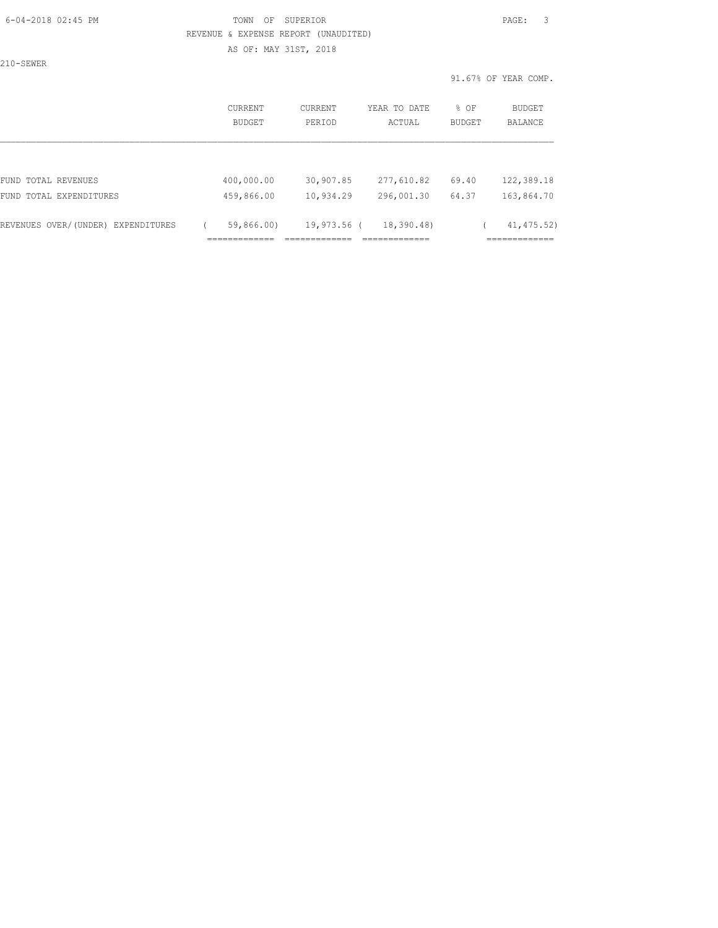### 6-04-2018 02:45 PM TOWN OF SUPERIOR PAGE: 3 REVENUE & EXPENSE REPORT (UNAUDITED) AS OF: MAY 31ST, 2018

210-SEWER

| CURRENT<br><b>BUDGET</b> | CURRENT<br>PERIOD | YEAR TO DATE<br>ACTUAL | % OF<br><b>BUDGET</b> | BUDGET<br>BALANCE |
|--------------------------|-------------------|------------------------|-----------------------|-------------------|
|                          |                   |                        |                       |                   |
|                          | 30,907.85         | 277,610.82             | 69.40                 | 122,389.18        |
| 459,866.00               | 10,934.29         | 296,001.30             | 64.37                 | 163,864.70        |
| 59,866.00)               |                   | 18,390.48)             |                       | 41, 475.52)       |
|                          | 400,000.00        |                        | 19,973.56 (           |                   |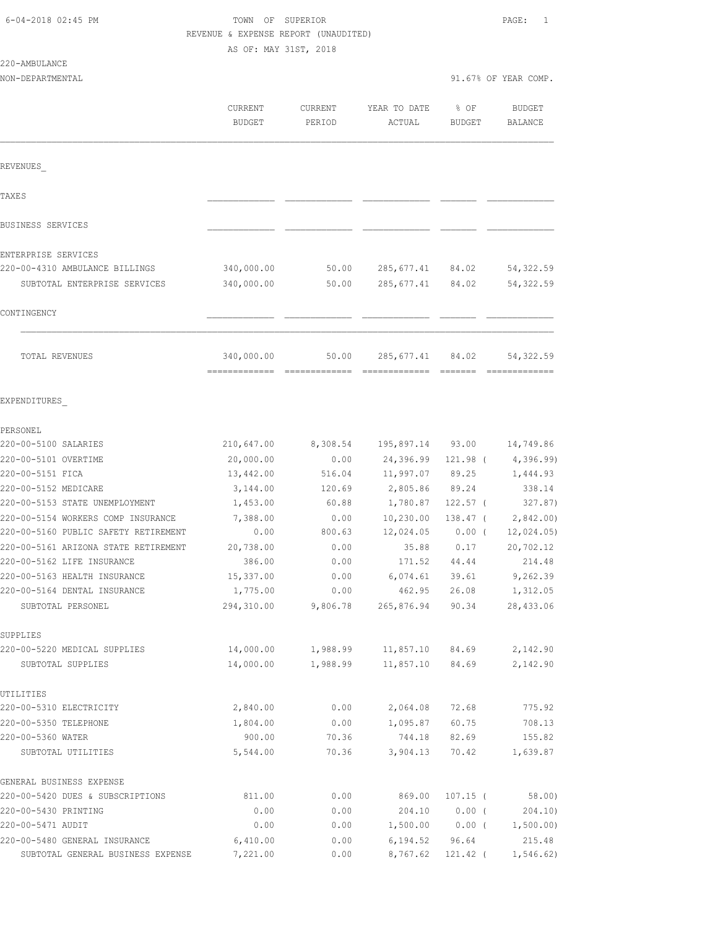| 6-04-2018 02:45 PM |  |
|--------------------|--|
|                    |  |

# FOWN OF SUPERIOR **Example 2018** PAGE: 1 REVENUE & EXPENSE REPORT (UNAUDITED)

AS OF: MAY 31ST, 2018

| 220-AMBULANCE |  |
|---------------|--|
|               |  |

|                                                          | <b>CURRENT</b><br><b>BUDGET</b> | CURRENT<br>PERIOD | YEAR TO DATE<br>ACTUAL | % OF<br><b>BUDGET</b> | <b>BUDGET</b><br><b>BALANCE</b> |
|----------------------------------------------------------|---------------------------------|-------------------|------------------------|-----------------------|---------------------------------|
| REVENUES                                                 |                                 |                   |                        |                       |                                 |
| TAXE S                                                   |                                 |                   |                        |                       |                                 |
| <b>BUSINESS SERVICES</b>                                 |                                 |                   |                        |                       |                                 |
| ENTERPRISE SERVICES                                      |                                 |                   |                        |                       |                                 |
| 220-00-4310 AMBULANCE BILLINGS                           | 340,000.00                      | 50.00             | 285,677.41             | 84.02                 | 54,322.59                       |
| SUBTOTAL ENTERPRISE SERVICES                             | 340,000.00                      | 50.00             | 285, 677.41            | 84.02                 | 54, 322.59                      |
| CONTINGENCY                                              |                                 |                   |                        |                       |                                 |
| TOTAL REVENUES                                           | 340,000.00                      | 50.00             | 285,677.41             | 84.02                 | 54, 322.59                      |
| EXPENDITURES                                             |                                 |                   |                        |                       |                                 |
| PERSONEL                                                 |                                 |                   |                        |                       |                                 |
| 220-00-5100 SALARIES                                     | 210,647.00                      | 8,308.54          | 195,897.14             | 93.00                 | 14,749.86                       |
| 220-00-5101 OVERTIME                                     | 20,000.00                       | 0.00              | 24,396.99              | 121.98 (              | 4,396.99                        |
| 220-00-5151 FICA                                         | 13,442.00                       | 516.04            | 11,997.07              | 89.25                 | 1,444.93                        |
| 220-00-5152 MEDICARE                                     | 3,144.00                        | 120.69            | 2,805.86               | 89.24                 | 338.14                          |
| 220-00-5153 STATE UNEMPLOYMENT                           | 1,453.00                        | 60.88             | 1,780.87               | $122.57$ (            | 327.87)                         |
| 220-00-5154 WORKERS COMP INSURANCE                       | 7,388.00                        | 0.00              | 10,230.00              | $138.47$ (            | 2,842.00                        |
| 220-00-5160 PUBLIC SAFETY RETIREMENT                     | 0.00                            | 800.63            | 12,024.05              | $0.00$ (              | 12,024.05)                      |
| 220-00-5161 ARIZONA STATE RETIREMENT                     | 20,738.00                       | 0.00              | 35.88                  | 0.17                  | 20,702.12                       |
| 220-00-5162 LIFE INSURANCE                               | 386.00                          | 0.00              | 171.52                 | 44.44                 | 214.48                          |
| 220-00-5163 HEALTH INSURANCE                             | 15,337.00                       | 0.00              | 6,074.61               | 39.61                 | 9,262.39                        |
| 220-00-5164 DENTAL INSURANCE                             | 1,775.00                        | 0.00              | 462.95                 | 26.08                 | 1,312.05                        |
| SUBTOTAL PERSONEL                                        | 294,310.00                      | 9,806.78          | 265,876.94             | 90.34                 | 28,433.06                       |
| SUPPLIES                                                 |                                 |                   |                        |                       |                                 |
| 220-00-5220 MEDICAL SUPPLIES                             | 14,000.00                       | 1,988.99          | 11,857.10              | 84.69                 | 2,142.90                        |
| SUBTOTAL SUPPLIES                                        | 14,000.00                       | 1,988.99          | 11,857.10              | 84.69                 | 2,142.90                        |
| UTILITIES                                                |                                 |                   |                        |                       |                                 |
| 220-00-5310 ELECTRICITY                                  | 2,840.00                        | 0.00              | 2,064.08               | 72.68                 | 775.92                          |
| 220-00-5350 TELEPHONE                                    | 1,804.00                        | 0.00              | 1,095.87               | 60.75                 | 708.13                          |
| 220-00-5360 WATER<br>SUBTOTAL UTILITIES                  | 900.00<br>5,544.00              | 70.36<br>70.36    | 744.18<br>3,904.13     | 82.69<br>70.42        | 155.82<br>1,639.87              |
|                                                          |                                 |                   |                        |                       |                                 |
| GENERAL BUSINESS EXPENSE                                 |                                 |                   |                        |                       |                                 |
| 220-00-5420 DUES & SUBSCRIPTIONS<br>220-00-5430 PRINTING | 811.00<br>0.00                  | 0.00<br>0.00      | 869.00<br>204.10       | $107.15$ (<br>0.00(   | 58.00<br>204.10)                |
| 220-00-5471 AUDIT                                        | 0.00                            | 0.00              | 1,500.00               | $0.00$ (              | 1,500.00)                       |
| 220-00-5480 GENERAL INSURANCE                            | 6,410.00                        | 0.00              | 6, 194.52              | 96.64                 | 215.48                          |
| SUBTOTAL GENERAL BUSINESS EXPENSE                        | 7,221.00                        | 0.00              | 8,767.62               | 121.42 (              | 1,546.62)                       |
|                                                          |                                 |                   |                        |                       |                                 |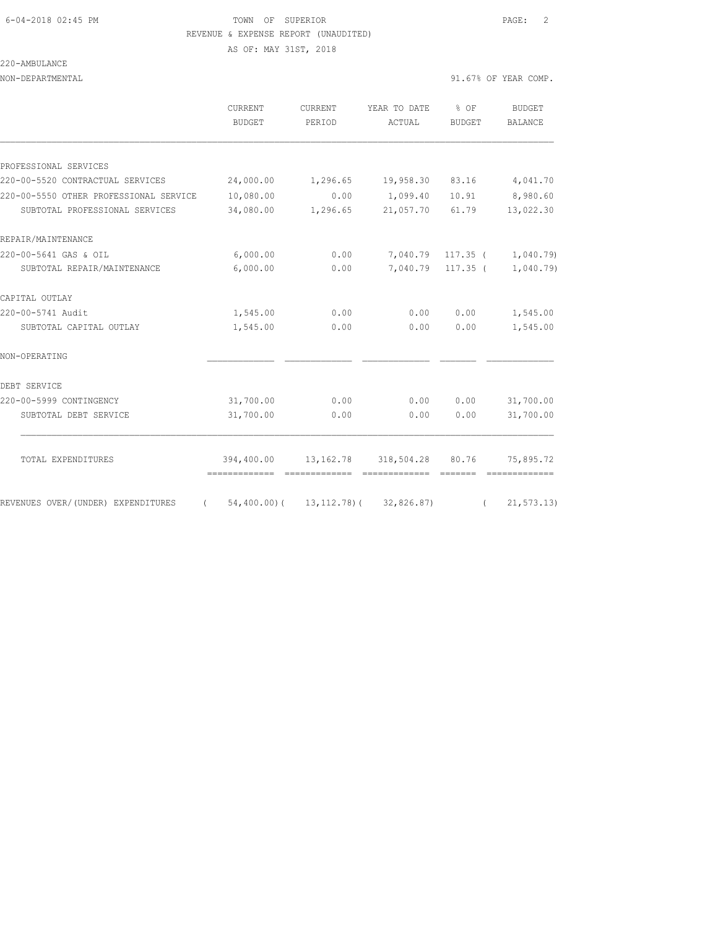# 6-04-2018 02:45 PM TOWN OF SUPERIOR PAGE: 2 REVENUE & EXPENSE REPORT (UNAUDITED)

AS OF: MAY 31ST, 2018

### 220-AMBULANCE

NON-DEPARTMENTAL 91.67% OF YEAR COMP.

|  | <i>חת התחוד החת ברז בח</i> |  |
|--|----------------------------|--|

|                                        | <b>CURRENT</b><br>BUDGET                  | <b>CURRENT</b><br>PERIOD | YEAR TO DATE<br>ACTUAL          | $8$ OF<br>BUDGET | <b>BUDGET</b><br><b>BALANCE</b> |
|----------------------------------------|-------------------------------------------|--------------------------|---------------------------------|------------------|---------------------------------|
|                                        |                                           |                          |                                 |                  |                                 |
| PROFESSIONAL SERVICES                  |                                           |                          |                                 |                  |                                 |
| 220-00-5520 CONTRACTUAL SERVICES       | 24,000.00                                 | 1,296.65                 | 19,958.30                       | 83.16            | 4,041.70                        |
| 220-00-5550 OTHER PROFESSIONAL SERVICE | 10,080.00                                 | 0.00                     | 1,099.40                        | 10.91            | 8,980.60                        |
| SUBTOTAL PROFESSIONAL SERVICES         | 34,080.00                                 | 1,296.65                 | 21,057.70                       | 61.79            | 13,022.30                       |
| REPAIR/MAINTENANCE                     |                                           |                          |                                 |                  |                                 |
| 220-00-5641 GAS & OIL                  | 6,000.00                                  | 0.00                     | 7,040.79                        | $117.35$ (       | 1,040.79)                       |
| SUBTOTAL REPAIR/MAINTENANCE            | 6,000.00                                  | 0.00                     | 7,040.79                        | $117.35$ (       | 1,040.79                        |
| CAPITAL OUTLAY                         |                                           |                          |                                 |                  |                                 |
| 220-00-5741 Audit                      | 1,545.00                                  | 0.00                     | 0.00                            | 0.00             | 1,545.00                        |
| SUBTOTAL CAPITAL OUTLAY                | 1,545.00                                  | 0.00                     | 0.00                            | 0.00             | 1,545.00                        |
| NON-OPERATING                          |                                           |                          |                                 |                  |                                 |
| DEBT SERVICE                           |                                           |                          |                                 |                  |                                 |
| 220-00-5999 CONTINGENCY                | 31,700.00                                 | 0.00                     | 0.00                            | 0.00             | 31,700.00                       |
| SUBTOTAL DEBT SERVICE                  | 31,700.00                                 | 0.00                     | 0.00                            | 0.00             | 31,700.00                       |
|                                        |                                           |                          |                                 |                  |                                 |
| TOTAL EXPENDITURES                     | 394,400.00                                |                          | 13, 162. 78 318, 504. 28 80. 76 |                  | 75,895.72                       |
| REVENUES OVER/(UNDER) EXPENDITURES     | $(54, 400.00) (13, 112, 78) (32, 826.87)$ |                          |                                 | $\sqrt{2}$       | 21, 573.13)                     |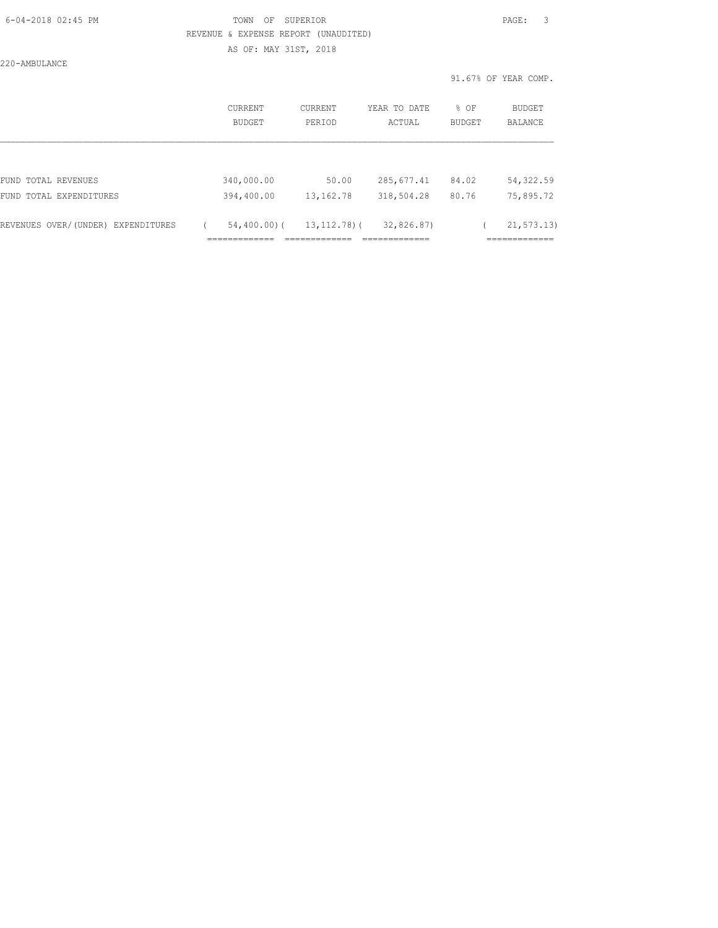### 6-04-2018 02:45 PM TOWN OF SUPERIOR PAGE: 3 REVENUE & EXPENSE REPORT (UNAUDITED) AS OF: MAY 31ST, 2018

220-AMBULANCE

|                                    | CURRENT<br>BUDGET             | CURRENT<br>PERIOD      | YEAR TO DATE<br>ACTUAL     | $8$ OF<br><b>BUDGET</b> | <b>BUDGET</b><br>BALANCE |
|------------------------------------|-------------------------------|------------------------|----------------------------|-------------------------|--------------------------|
|                                    |                               |                        |                            |                         |                          |
| FUND TOTAL REVENUES                | 340,000.00                    | 50.00                  | 285,677.41                 | 84.02                   | 54, 322.59               |
| FUND TOTAL EXPENDITURES            | 394,400.00                    | 13, 162. 78            | 318,504.28                 | 80.76                   | 75,895.72                |
| REVENUES OVER/(UNDER) EXPENDITURES | $54,400.00)$ (                | $13, 112, 78$ ) (      | 32,826.87)                 |                         | 21, 573, 13)             |
|                                    | _____________<br>------------ | __________<br>________ | ____________<br>__________ |                         | ____________<br>.        |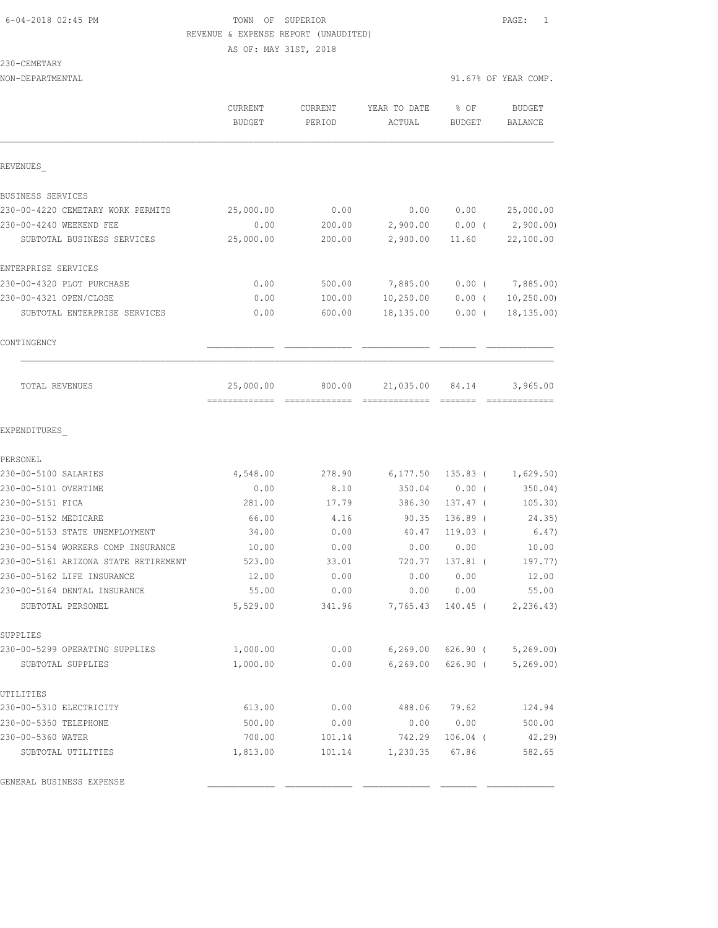# 6-04-2018 02:45 PM TOWN OF SUPERIOR PAGE: 1 REVENUE & EXPENSE REPORT (UNAUDITED)

AS OF: MAY 31ST, 2018

230-CEMETARY

NON-DEPARTMENTAL 91.67% OF YEAR COMP.

|                                                                            | CURRENT<br><b>BUDGET</b>   | CURRENT<br>PERIOD | YEAR TO DATE<br>ACTUAL | % OF<br><b>BUDGET</b> | BUDGET<br>BALANCE              |
|----------------------------------------------------------------------------|----------------------------|-------------------|------------------------|-----------------------|--------------------------------|
| REVENUES                                                                   |                            |                   |                        |                       |                                |
| BUSINESS SERVICES                                                          |                            |                   |                        |                       |                                |
| 230-00-4220 CEMETARY WORK PERMITS                                          | 25,000.00                  | 0.00              | 0.00                   | 0.00                  | 25,000.00                      |
| 230-00-4240 WEEKEND FEE                                                    | 0.00                       | 200.00            | 2,900.00 0.00 (        |                       | 2,900.00)                      |
| SUBTOTAL BUSINESS SERVICES                                                 | 25,000.00                  | 200.00            | 2,900.00               | 11.60                 | 22,100.00                      |
| ENTERPRISE SERVICES                                                        |                            |                   |                        |                       |                                |
| 230-00-4320 PLOT PURCHASE                                                  | 0.00                       | 500.00            | 7,885.00               |                       | $0.00$ ( 7,885.00)             |
| 230-00-4321 OPEN/CLOSE                                                     | 0.00                       | 100.00            | 10,250.00              | $0.00$ (              | 10, 250.00                     |
| SUBTOTAL ENTERPRISE SERVICES                                               | 0.00                       | 600.00            | 18,135.00 0.00 (       |                       | 18, 135.00                     |
| CONTINGENCY                                                                |                            |                   |                        |                       |                                |
| TOTAL REVENUES                                                             | 25,000.00<br>============= | 800.00            | 21,035.00 84.14        |                       | 3,965.00                       |
| EXPENDITURES                                                               |                            |                   |                        |                       |                                |
| PERSONEL                                                                   |                            |                   |                        |                       |                                |
| 230-00-5100 SALARIES                                                       | 4,548.00                   | 278.90            |                        |                       | $6, 177.50$ 135.83 ( 1,629.50) |
| 230-00-5101 OVERTIME                                                       | 0.00                       | 8.10              | 350.04                 | $0.00$ (              | 350.04)                        |
| 230-00-5151 FICA                                                           | 281.00                     | 17.79             | 386.30                 | 137.47 (              | 105.30)                        |
| 230-00-5152 MEDICARE                                                       | 66.00                      | 4.16              | 90.35                  | $136.89$ (            | 24.35)                         |
| 230-00-5153 STATE UNEMPLOYMENT                                             | 34.00                      | 0.00              | 40.47                  | $119.03$ (            | 6.47)                          |
| 230-00-5154 WORKERS COMP INSURANCE<br>230-00-5161 ARIZONA STATE RETIREMENT | 10.00<br>523.00            | 0.00<br>33.01     | 0.00<br>720.77         | 0.00<br>$137.81$ (    | 10.00<br>197.77)               |
| 230-00-5162 LIFE INSURANCE                                                 | 12.00                      | 0.00              | 0.00                   | 0.00                  | 12.00                          |
| 230-00-5164 DENTAL INSURANCE                                               | 55.00                      | 0.00              | 0.00                   | 0.00                  | 55.00                          |
| SUBTOTAL PERSONEL                                                          | 5,529.00                   | 341.96            | 7,765.43               | $140.45$ (            | 2, 236.43                      |
| SUPPLIES                                                                   |                            |                   |                        |                       |                                |
| 230-00-5299 OPERATING SUPPLIES                                             | 1,000.00                   | 0.00              | 6,269.00               | 626.90 (              | 5, 269.00                      |
| SUBTOTAL SUPPLIES                                                          | 1,000.00                   | 0.00              | 6,269.00               | $626.90$ (            | 5, 269.00                      |
| UTILITIES                                                                  |                            |                   |                        |                       |                                |
| 230-00-5310 ELECTRICITY                                                    | 613.00                     | 0.00              | 488.06                 | 79.62                 | 124.94                         |
| 230-00-5350 TELEPHONE                                                      | 500.00                     | 0.00              | 0.00                   | 0.00                  | 500.00                         |
| 230-00-5360 WATER                                                          | 700.00                     | 101.14            | 742.29                 | $106.04$ (            | 42.29)                         |
| SUBTOTAL UTILITIES                                                         | 1,813.00                   | 101.14            | 1,230.35               | 67.86                 | 582.65                         |
| GENERAL BUSINESS EXPENSE                                                   |                            |                   |                        |                       |                                |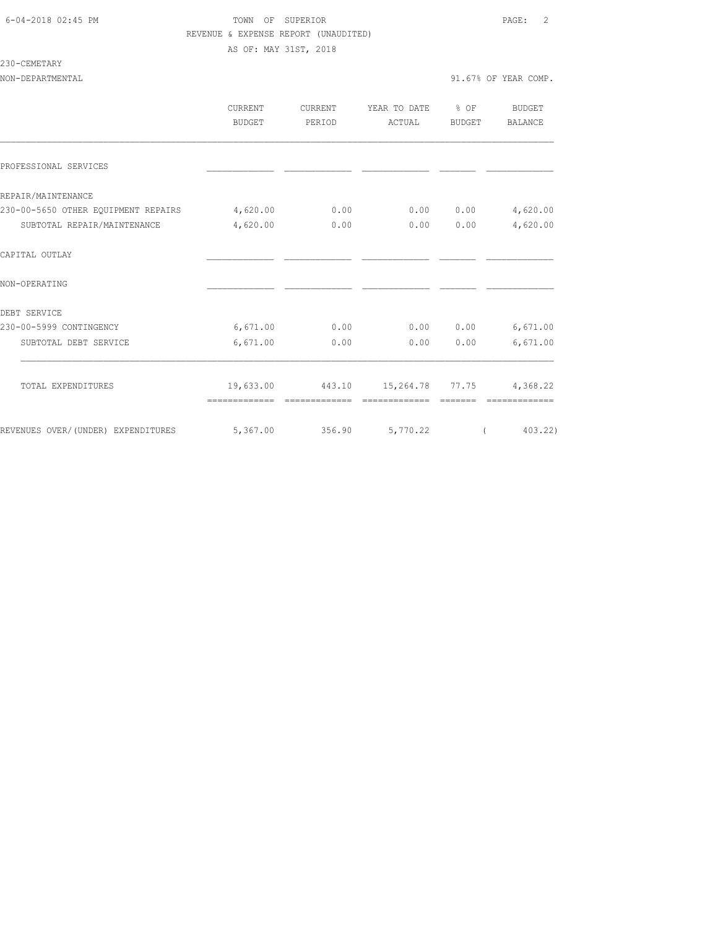### 6-04-2018 02:45 PM TOWN OF SUPERIOR PAGE: 2 REVENUE & EXPENSE REPORT (UNAUDITED) AS OF: MAY 31ST, 2018

### 230-CEMETARY

|                                     | <b>CURRENT</b><br><b>BUDGET</b> | CURRENT<br>PERIOD | YEAR TO DATE % OF<br>ACTUAL               | BUDGET   | BUDGET<br>BALANCE |
|-------------------------------------|---------------------------------|-------------------|-------------------------------------------|----------|-------------------|
| PROFESSIONAL SERVICES               |                                 |                   |                                           |          |                   |
| REPAIR/MAINTENANCE                  |                                 |                   |                                           |          |                   |
| 230-00-5650 OTHER EQUIPMENT REPAIRS | 4,620.00                        | 0.00              | 0.00                                      | 0.00     | 4,620.00          |
| SUBTOTAL REPAIR/MAINTENANCE         | 4,620.00                        | 0.00              | 0.00                                      | 0.00     | 4,620.00          |
| CAPITAL OUTLAY                      |                                 |                   |                                           |          |                   |
| NON-OPERATING                       |                                 |                   |                                           |          |                   |
| DEBT SERVICE                        |                                 |                   |                                           |          |                   |
| 230-00-5999 CONTINGENCY             | 6,671.00                        | 0.00              |                                           | 0.000000 | 6,671.00          |
| SUBTOTAL DEBT SERVICE               | 6,671.00                        | 0.00              | 0.00                                      | 0.00     | 6,671.00          |
| TOTAL EXPENDITURES                  |                                 |                   | 19,633.00 443.10 15,264.78 77.75 4,368.22 |          |                   |
|                                     | =============                   | =============     | =============                             |          | =============     |
| REVENUES OVER/ (UNDER) EXPENDITURES | 5,367,00                        |                   | 356.90 5,770.22                           |          | 403.22)           |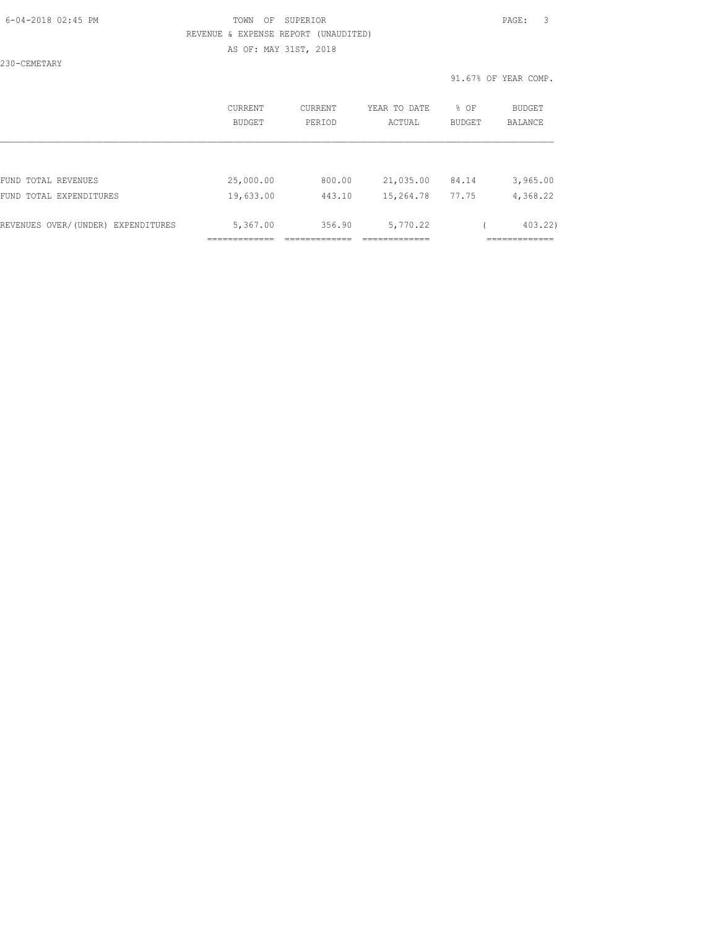### 6-04-2018 02:45 PM TOWN OF SUPERIOR PAGE: 3 REVENUE & EXPENSE REPORT (UNAUDITED) AS OF: MAY 31ST, 2018

230-CEMETARY

|                                    | CURRENT<br>BUDGET | CURRENT<br>PERIOD | YEAR TO DATE<br>ACTUAL | % OF<br>BUDGET | <b>BUDGET</b><br><b>BALANCE</b> |
|------------------------------------|-------------------|-------------------|------------------------|----------------|---------------------------------|
|                                    |                   |                   |                        |                |                                 |
| FUND TOTAL REVENUES                | 25,000.00         | 800.00            | 21,035.00              | 84.14          | 3,965.00                        |
| FUND TOTAL EXPENDITURES            | 19,633.00         | 443.10            | 15,264.78              | 77.75          | 4,368.22                        |
| REVENUES OVER/(UNDER) EXPENDITURES | 5,367.00          | 356.90            | 5,770.22               |                | 403.22)                         |
|                                    |                   |                   |                        |                |                                 |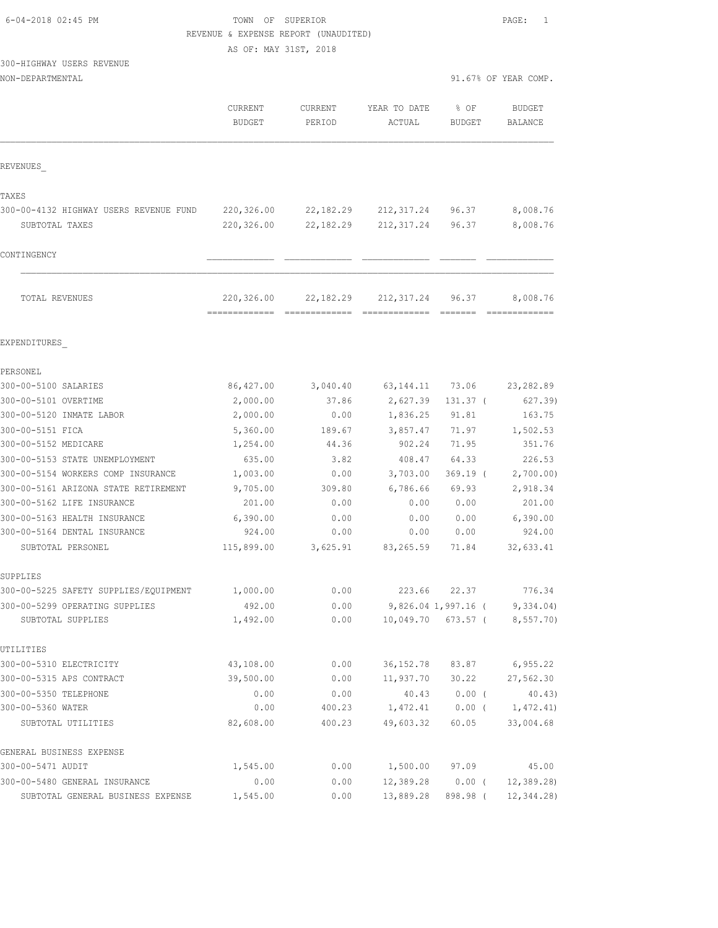| 6-04-2018 02:45 PM |  |
|--------------------|--|
|                    |  |

# TOWN OF SUPERIOR **Example 2018** PAGE: 1 REVENUE & EXPENSE REPORT (UNAUDITED)

AS OF: MAY 31ST, 2018

# 300-HIGHWAY USERS REVENUE

|                                        | CURRENT<br><b>BUDGET</b>                    | <b>CURRENT</b><br>PERIOD | YEAR TO DATE<br>ACTUAL       | % OF<br><b>BUDGET</b>                                                                                                                                                                                                                                                                                                                                                                                                                                                                           | <b>BUDGET</b><br>BALANCE |
|----------------------------------------|---------------------------------------------|--------------------------|------------------------------|-------------------------------------------------------------------------------------------------------------------------------------------------------------------------------------------------------------------------------------------------------------------------------------------------------------------------------------------------------------------------------------------------------------------------------------------------------------------------------------------------|--------------------------|
| REVENUES                               |                                             |                          |                              |                                                                                                                                                                                                                                                                                                                                                                                                                                                                                                 |                          |
| TAXES                                  |                                             |                          |                              |                                                                                                                                                                                                                                                                                                                                                                                                                                                                                                 |                          |
| 300-00-4132 HIGHWAY USERS REVENUE FUND | 220,326.00                                  | 22,182.29                | 212,317.24                   | 96.37                                                                                                                                                                                                                                                                                                                                                                                                                                                                                           | 8,008.76                 |
| SUBTOTAL TAXES                         | 220,326.00                                  | 22, 182. 29              | 212, 317.24                  | 96.37                                                                                                                                                                                                                                                                                                                                                                                                                                                                                           | 8,008.76                 |
| CONTINGENCY                            |                                             |                          |                              |                                                                                                                                                                                                                                                                                                                                                                                                                                                                                                 |                          |
| TOTAL REVENUES                         | 220,326.00<br>-------------- -------------- | 22,182.29                | 212, 317.24<br>============= | 96.37<br>$\begin{array}{cccccccccc} \multicolumn{2}{c}{} & \multicolumn{2}{c}{} & \multicolumn{2}{c}{} & \multicolumn{2}{c}{} & \multicolumn{2}{c}{} & \multicolumn{2}{c}{} & \multicolumn{2}{c}{} & \multicolumn{2}{c}{} & \multicolumn{2}{c}{} & \multicolumn{2}{c}{} & \multicolumn{2}{c}{} & \multicolumn{2}{c}{} & \multicolumn{2}{c}{} & \multicolumn{2}{c}{} & \multicolumn{2}{c}{} & \multicolumn{2}{c}{} & \multicolumn{2}{c}{} & \multicolumn{2}{c}{} & \multicolumn{2}{c}{} & \mult$ | 8,008.76                 |
| EXPENDITURES                           |                                             |                          |                              |                                                                                                                                                                                                                                                                                                                                                                                                                                                                                                 |                          |
| PERSONEL                               |                                             |                          |                              |                                                                                                                                                                                                                                                                                                                                                                                                                                                                                                 |                          |
| 300-00-5100 SALARIES                   | 86,427.00                                   | 3,040.40                 | 63, 144. 11 73. 06           |                                                                                                                                                                                                                                                                                                                                                                                                                                                                                                 | 23, 282.89               |
| 300-00-5101 OVERTIME                   | 2,000.00                                    | 37.86                    | 2,627.39                     | $131.37$ (                                                                                                                                                                                                                                                                                                                                                                                                                                                                                      | 627.39)                  |
| 300-00-5120 INMATE LABOR               | 2,000.00                                    | 0.00                     | 1,836.25                     | 91.81                                                                                                                                                                                                                                                                                                                                                                                                                                                                                           | 163.75                   |
| 300-00-5151 FICA                       | 5,360.00                                    | 189.67                   | 3,857.47                     | 71.97                                                                                                                                                                                                                                                                                                                                                                                                                                                                                           | 1,502.53                 |
| 300-00-5152 MEDICARE                   | 1,254.00                                    | 44.36                    | 902.24                       | 71.95                                                                                                                                                                                                                                                                                                                                                                                                                                                                                           | 351.76                   |
| 300-00-5153 STATE UNEMPLOYMENT         | 635.00                                      | 3.82                     | 408.47                       | 64.33                                                                                                                                                                                                                                                                                                                                                                                                                                                                                           | 226.53                   |
| 300-00-5154 WORKERS COMP INSURANCE     | 1,003.00                                    | 0.00                     | 3,703.00                     | $369.19$ (                                                                                                                                                                                                                                                                                                                                                                                                                                                                                      | 2,700.00)                |
| 300-00-5161 ARIZONA STATE RETIREMENT   | 9,705.00                                    | 309.80                   | 6,786.66                     | 69.93                                                                                                                                                                                                                                                                                                                                                                                                                                                                                           | 2,918.34                 |
| 300-00-5162 LIFE INSURANCE             | 201.00                                      | 0.00                     | 0.00                         | 0.00                                                                                                                                                                                                                                                                                                                                                                                                                                                                                            | 201.00                   |
| 300-00-5163 HEALTH INSURANCE           | 6,390.00                                    | 0.00                     | 0.00                         | 0.00                                                                                                                                                                                                                                                                                                                                                                                                                                                                                            | 6,390.00                 |
| 300-00-5164 DENTAL INSURANCE           | 924.00                                      | 0.00                     | 0.00                         | 0.00                                                                                                                                                                                                                                                                                                                                                                                                                                                                                            | 924.00                   |
| SUBTOTAL PERSONEL                      | 115,899.00                                  | 3,625.91                 | 83,265.59                    | 71.84                                                                                                                                                                                                                                                                                                                                                                                                                                                                                           | 32,633.41                |
| SUPPLIES                               |                                             |                          |                              |                                                                                                                                                                                                                                                                                                                                                                                                                                                                                                 |                          |
| 300-00-5225 SAFETY SUPPLIES/EQUIPMENT  | 1,000.00                                    | 0.00                     | 223.66                       | 22.37                                                                                                                                                                                                                                                                                                                                                                                                                                                                                           | 776.34                   |
| 300-00-5299 OPERATING SUPPLIES         | 492.00                                      | 0.00                     |                              | 9,826.04 1,997.16 (                                                                                                                                                                                                                                                                                                                                                                                                                                                                             | 9,334.04)                |
| SUBTOTAL SUPPLIES                      | 1,492.00                                    | 0.00                     | 10,049.70                    | 673.57 (                                                                                                                                                                                                                                                                                                                                                                                                                                                                                        | 8,557.70)                |
| UTILITIES                              |                                             |                          |                              |                                                                                                                                                                                                                                                                                                                                                                                                                                                                                                 |                          |
| 300-00-5310 ELECTRICITY                | 43,108.00                                   | 0.00                     | 36, 152.78                   | 83.87                                                                                                                                                                                                                                                                                                                                                                                                                                                                                           | 6, 955.22                |
| 300-00-5315 APS CONTRACT               | 39,500.00                                   | 0.00                     | 11,937.70                    | 30.22                                                                                                                                                                                                                                                                                                                                                                                                                                                                                           | 27,562.30                |
| 300-00-5350 TELEPHONE                  | 0.00                                        | 0.00                     | 40.43                        | $0.00$ (                                                                                                                                                                                                                                                                                                                                                                                                                                                                                        | 40.43)                   |
| 300-00-5360 WATER                      | 0.00                                        | 400.23                   | 1,472.41                     | $0.00$ (                                                                                                                                                                                                                                                                                                                                                                                                                                                                                        | 1,472.41)                |
| SUBTOTAL UTILITIES                     | 82,608.00                                   | 400.23                   | 49,603.32                    | 60.05                                                                                                                                                                                                                                                                                                                                                                                                                                                                                           | 33,004.68                |
| GENERAL BUSINESS EXPENSE               |                                             |                          |                              |                                                                                                                                                                                                                                                                                                                                                                                                                                                                                                 |                          |
| 300-00-5471 AUDIT                      | 1,545.00                                    | 0.00                     | 1,500.00                     | 97.09                                                                                                                                                                                                                                                                                                                                                                                                                                                                                           | 45.00                    |
| 300-00-5480 GENERAL INSURANCE          | 0.00                                        | 0.00                     | 12,389.28                    | $0.00$ (                                                                                                                                                                                                                                                                                                                                                                                                                                                                                        | 12, 389.28               |
| SUBTOTAL GENERAL BUSINESS EXPENSE      | 1,545.00                                    | 0.00                     | 13,889.28                    | 898.98 (                                                                                                                                                                                                                                                                                                                                                                                                                                                                                        | 12, 344.28               |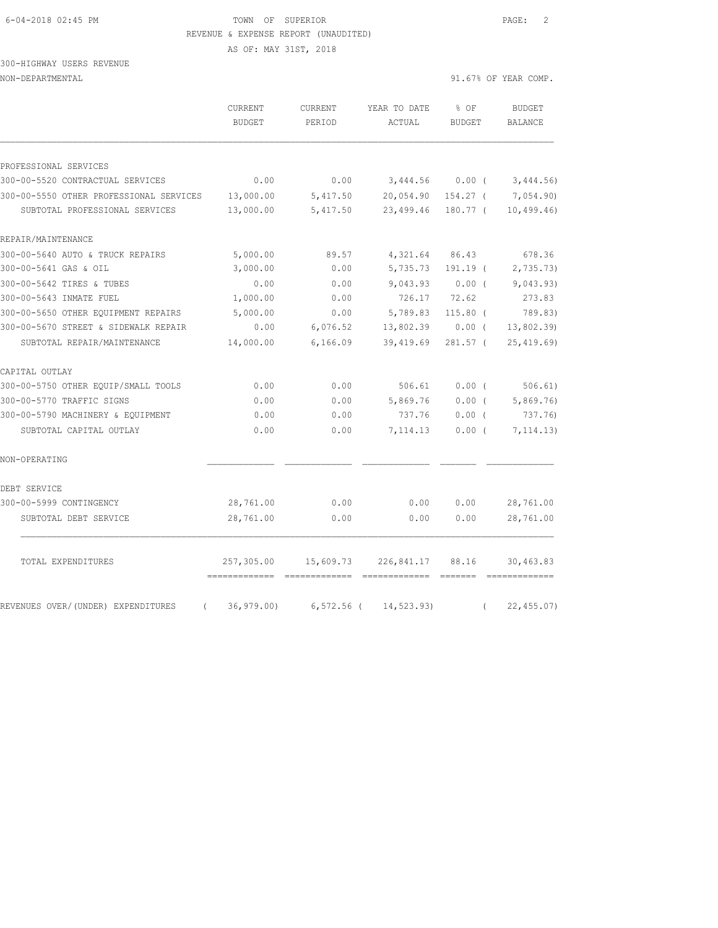### 6-04-2018 02:45 PM TOWN OF SUPERIOR PAGE: 2 REVENUE & EXPENSE REPORT (UNAUDITED)

AS OF: MAY 31ST, 2018

# 300-HIGHWAY USERS REVENUE

|                                                | CURRENT<br><b>BUDGET</b> | CURRENT<br>PERIOD | YEAR TO DATE<br>ACTUAL | % OF<br><b>BUDGET</b> | <b>BUDGET</b><br>BALANCE                                                                                                                                                                                                                                                                                                                                                                                                                                                                            |
|------------------------------------------------|--------------------------|-------------------|------------------------|-----------------------|-----------------------------------------------------------------------------------------------------------------------------------------------------------------------------------------------------------------------------------------------------------------------------------------------------------------------------------------------------------------------------------------------------------------------------------------------------------------------------------------------------|
|                                                |                          |                   |                        |                       |                                                                                                                                                                                                                                                                                                                                                                                                                                                                                                     |
| PROFESSIONAL SERVICES                          |                          |                   |                        |                       |                                                                                                                                                                                                                                                                                                                                                                                                                                                                                                     |
| 300-00-5520 CONTRACTUAL SERVICES               | 0.00                     | 0.00              | 3,444.56               | 0.00(                 | 3,444.56)                                                                                                                                                                                                                                                                                                                                                                                                                                                                                           |
| 300-00-5550 OTHER PROFESSIONAL SERVICES        | 13,000.00                | 5,417.50          | 20,054.90              | $154.27$ (            | 7,054.90)                                                                                                                                                                                                                                                                                                                                                                                                                                                                                           |
| SUBTOTAL PROFESSIONAL SERVICES                 | 13,000.00                | 5,417.50          | 23,499.46              | 180.77 (              | 10, 499.46                                                                                                                                                                                                                                                                                                                                                                                                                                                                                          |
| REPAIR/MAINTENANCE                             |                          |                   |                        |                       |                                                                                                                                                                                                                                                                                                                                                                                                                                                                                                     |
| 300-00-5640 AUTO & TRUCK REPAIRS               | 5,000.00                 | 89.57             | 4,321.64               | 86.43                 | 678.36                                                                                                                                                                                                                                                                                                                                                                                                                                                                                              |
| 300-00-5641 GAS & OIL                          | 3,000.00                 | 0.00              | 5,735.73               | $191.19$ (            | 2,735.73                                                                                                                                                                                                                                                                                                                                                                                                                                                                                            |
| 300-00-5642 TIRES & TUBES                      | 0.00                     | 0.00              | 9,043.93               | $0.00$ (              | 9,043.93)                                                                                                                                                                                                                                                                                                                                                                                                                                                                                           |
| 300-00-5643 INMATE FUEL                        | 1,000.00                 | 0.00              | 726.17                 | 72.62                 | 273.83                                                                                                                                                                                                                                                                                                                                                                                                                                                                                              |
| 300-00-5650 OTHER EQUIPMENT REPAIRS            | 5,000.00                 | 0.00              | 5,789.83               | $115.80$ (            | 789.83)                                                                                                                                                                                                                                                                                                                                                                                                                                                                                             |
| 300-00-5670 STREET & SIDEWALK REPAIR           | 0.00                     | 6,076.52          | 13,802.39              | $0.00$ (              | 13,802.39                                                                                                                                                                                                                                                                                                                                                                                                                                                                                           |
| SUBTOTAL REPAIR/MAINTENANCE                    | 14,000.00                | 6,166.09          | 39,419.69              | $281.57$ (            | 25, 419.69                                                                                                                                                                                                                                                                                                                                                                                                                                                                                          |
| CAPITAL OUTLAY                                 |                          |                   |                        |                       |                                                                                                                                                                                                                                                                                                                                                                                                                                                                                                     |
| 300-00-5750 OTHER EQUIP/SMALL TOOLS            | 0.00                     | 0.00              | 506.61                 | $0.00$ (              | 506.61)                                                                                                                                                                                                                                                                                                                                                                                                                                                                                             |
| 300-00-5770 TRAFFIC SIGNS                      | 0.00                     | 0.00              | 5,869.76               | $0.00$ (              | 5,869.76                                                                                                                                                                                                                                                                                                                                                                                                                                                                                            |
| 300-00-5790 MACHINERY & EQUIPMENT              | 0.00                     | 0.00              | 737.76                 | $0.00$ (              | 737.76)                                                                                                                                                                                                                                                                                                                                                                                                                                                                                             |
| SUBTOTAL CAPITAL OUTLAY                        | 0.00                     | 0.00              | 7,114.13               | 0.00(                 | 7, 114.13)                                                                                                                                                                                                                                                                                                                                                                                                                                                                                          |
| NON-OPERATING                                  |                          |                   |                        |                       |                                                                                                                                                                                                                                                                                                                                                                                                                                                                                                     |
| DEBT SERVICE                                   |                          |                   |                        |                       |                                                                                                                                                                                                                                                                                                                                                                                                                                                                                                     |
| 300-00-5999 CONTINGENCY                        | 28,761.00                | 0.00              | 0.00                   | 0.00                  | 28,761.00                                                                                                                                                                                                                                                                                                                                                                                                                                                                                           |
| SUBTOTAL DEBT SERVICE                          | 28,761.00                | 0.00              | 0.00                   | 0.00                  | 28,761.00                                                                                                                                                                                                                                                                                                                                                                                                                                                                                           |
| TOTAL EXPENDITURES                             | 257,305.00               | 15,609.73         | 226,841.17             | 88.16<br>--------     | 30,463.83<br>$\begin{array}{cccccccccc} \multicolumn{2}{c}{} & \multicolumn{2}{c}{} & \multicolumn{2}{c}{} & \multicolumn{2}{c}{} & \multicolumn{2}{c}{} & \multicolumn{2}{c}{} & \multicolumn{2}{c}{} & \multicolumn{2}{c}{} & \multicolumn{2}{c}{} & \multicolumn{2}{c}{} & \multicolumn{2}{c}{} & \multicolumn{2}{c}{} & \multicolumn{2}{c}{} & \multicolumn{2}{c}{} & \multicolumn{2}{c}{} & \multicolumn{2}{c}{} & \multicolumn{2}{c}{} & \multicolumn{2}{c}{} & \multicolumn{2}{c}{} & \mult$ |
| REVENUES OVER/(UNDER) EXPENDITURES<br>$\left($ | 36, 979.00               | $6,572.56$ (      | 14,523.93)             | $\left($              | 22, 455.07                                                                                                                                                                                                                                                                                                                                                                                                                                                                                          |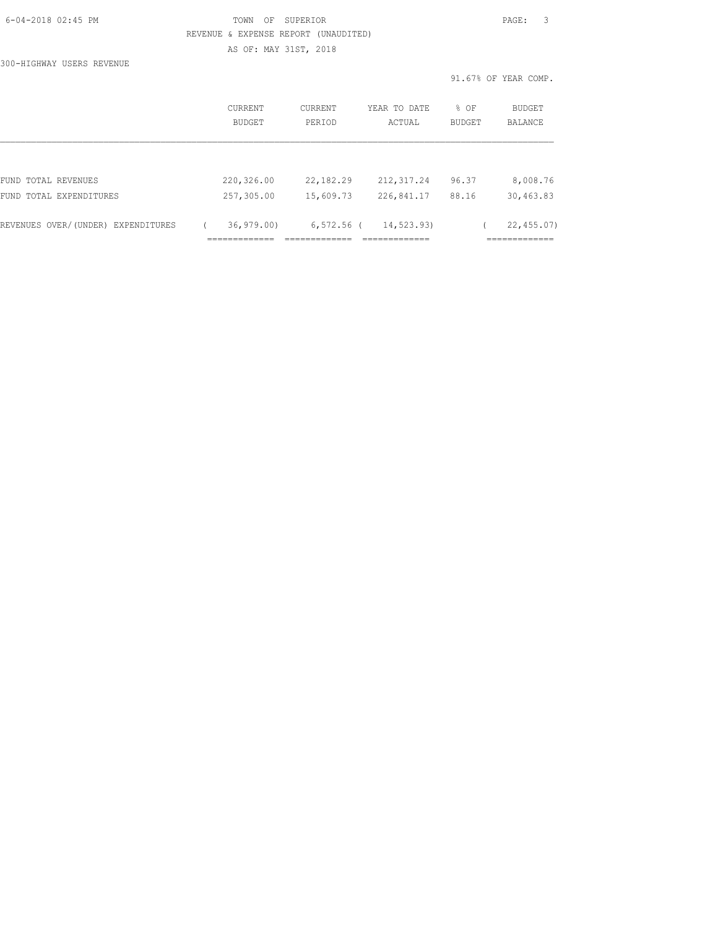| 6-04-2018 02:45 PM |  |
|--------------------|--|
|                    |  |

# FOWN OF SUPERIOR **Example 2018** PAGE: 3 REVENUE & EXPENSE REPORT (UNAUDITED) AS OF: MAY 31ST, 2018

300-HIGHWAY USERS REVENUE

|                                    | <b>CURRENT</b><br>BUDGET | <b>CURRENT</b><br>PERTOD | YEAR TO DATE<br>ACTUAL | % OF<br><b>BUDGET</b> | <b>BUDGET</b><br>BALANCE |
|------------------------------------|--------------------------|--------------------------|------------------------|-----------------------|--------------------------|
|                                    |                          |                          |                        |                       |                          |
| FUND TOTAL REVENUES                | 220,326.00               | 22, 182. 29              | 212, 317.24            | 96.37                 | 8,008.76                 |
| FUND TOTAL EXPENDITURES            | 257,305.00               | 15,609.73                | 226,841.17             | 88.16                 | 30,463.83                |
| REVENUES OVER/(UNDER) EXPENDITURES | 36, 979.00               | $6,572.56$ (             | 14,523.93)             |                       | 22, 455.07               |
|                                    |                          |                          |                        |                       |                          |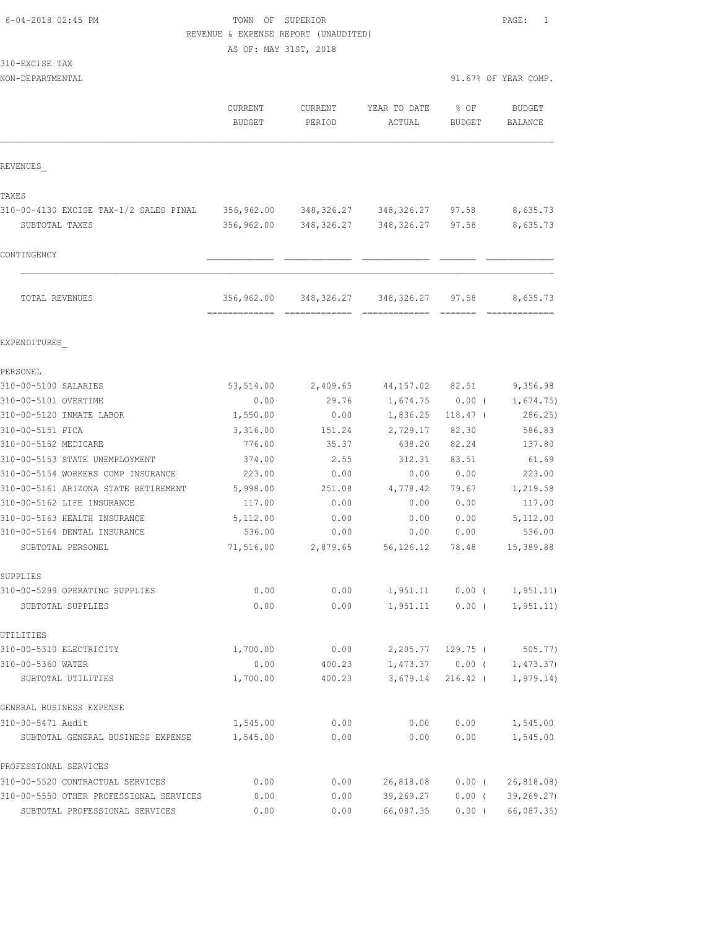| 6-04-2018 02:45 PM |  |
|--------------------|--|
|                    |  |

### TOWN OF SUPERIOR **PAGE:** 1 REVENUE & EXPENSE REPORT (UNAUDITED)

AS OF: MAY 31ST, 2018

| 310-EXCISE | TAX |
|------------|-----|
|------------|-----|

| JINTAYOIDE IAA                                    |                                 |                   |                               |                   |                                                                                                                                                                                                                                                                                                                                                                                                                                                                                                          |
|---------------------------------------------------|---------------------------------|-------------------|-------------------------------|-------------------|----------------------------------------------------------------------------------------------------------------------------------------------------------------------------------------------------------------------------------------------------------------------------------------------------------------------------------------------------------------------------------------------------------------------------------------------------------------------------------------------------------|
| NON-DEPARTMENTAL                                  |                                 |                   |                               |                   | 91.67% OF YEAR COMP.                                                                                                                                                                                                                                                                                                                                                                                                                                                                                     |
|                                                   | <b>CURRENT</b><br><b>BUDGET</b> | CURRENT<br>PERIOD | YEAR TO DATE<br>ACTUAL        | % OF<br>BUDGET    | <b>BUDGET</b><br>BALANCE                                                                                                                                                                                                                                                                                                                                                                                                                                                                                 |
| REVENUES                                          |                                 |                   |                               |                   |                                                                                                                                                                                                                                                                                                                                                                                                                                                                                                          |
| TAXES                                             |                                 |                   |                               |                   |                                                                                                                                                                                                                                                                                                                                                                                                                                                                                                          |
| 310-00-4130 EXCISE TAX-1/2 SALES PINAL            | 356,962.00                      |                   | 348, 326.27 348, 326.27       | 97.58             | 8,635.73                                                                                                                                                                                                                                                                                                                                                                                                                                                                                                 |
| SUBTOTAL TAXES                                    | 356,962.00                      |                   | 348, 326.27 348, 326.27 97.58 |                   | 8,635.73                                                                                                                                                                                                                                                                                                                                                                                                                                                                                                 |
| CONTINGENCY                                       |                                 |                   |                               |                   |                                                                                                                                                                                                                                                                                                                                                                                                                                                                                                          |
| TOTAL REVENUES                                    | 356,962.00                      | 348, 326.27       | 348,326.27                    | 97.58             | 8,635.73<br>$\begin{array}{c} \multicolumn{2}{c} {\textbf{1}} & \multicolumn{2}{c} {\textbf{2}} & \multicolumn{2}{c} {\textbf{3}} & \multicolumn{2}{c} {\textbf{4}} \\ \multicolumn{2}{c} {\textbf{5}} & \multicolumn{2}{c} {\textbf{6}} & \multicolumn{2}{c} {\textbf{7}} & \multicolumn{2}{c} {\textbf{8}} & \multicolumn{2}{c} {\textbf{9}} \\ \multicolumn{2}{c} {\textbf{1}} & \multicolumn{2}{c} {\textbf{1}} & \multicolumn{2}{c} {\textbf{1}} & \multicolumn{2}{c} {\textbf{1}} & \multicolumn{$ |
| EXPENDITURES                                      |                                 |                   |                               |                   |                                                                                                                                                                                                                                                                                                                                                                                                                                                                                                          |
| PERSONEL                                          |                                 |                   |                               |                   |                                                                                                                                                                                                                                                                                                                                                                                                                                                                                                          |
| 310-00-5100 SALARIES                              | 53,514.00                       | 2,409.65          | 44,157.02                     | 82.51             | 9,356.98                                                                                                                                                                                                                                                                                                                                                                                                                                                                                                 |
| 310-00-5101 OVERTIME                              | 0.00                            | 29.76             | 1,674.75                      | $0.00$ (          | 1,674.75)                                                                                                                                                                                                                                                                                                                                                                                                                                                                                                |
| 310-00-5120 INMATE LABOR                          | 1,550.00                        | 0.00              | 1,836.25                      | $118.47$ (        | 286.25)                                                                                                                                                                                                                                                                                                                                                                                                                                                                                                  |
| 310-00-5151 FICA                                  | 3,316.00                        | 151.24            | 2,729.17                      | 82.30             | 586.83                                                                                                                                                                                                                                                                                                                                                                                                                                                                                                   |
| 310-00-5152 MEDICARE                              | 776.00                          | 35.37             | 638.20                        | 82.24             | 137.80                                                                                                                                                                                                                                                                                                                                                                                                                                                                                                   |
| 310-00-5153 STATE UNEMPLOYMENT                    | 374.00                          | 2.55              | 312.31                        | 83.51             | 61.69                                                                                                                                                                                                                                                                                                                                                                                                                                                                                                    |
| 310-00-5154 WORKERS COMP INSURANCE                | 223.00                          | 0.00              | 0.00                          | 0.00              | 223.00                                                                                                                                                                                                                                                                                                                                                                                                                                                                                                   |
| 310-00-5161 ARIZONA STATE RETIREMENT              | 5,998.00                        | 251.08            | 4,778.42                      | 79.67             | 1,219.58                                                                                                                                                                                                                                                                                                                                                                                                                                                                                                 |
| 310-00-5162 LIFE INSURANCE                        | 117.00                          | 0.00              | 0.00                          | 0.00              | 117.00                                                                                                                                                                                                                                                                                                                                                                                                                                                                                                   |
| 310-00-5163 HEALTH INSURANCE                      | 5,112.00                        | 0.00              | 0.00                          | 0.00              | 5,112.00                                                                                                                                                                                                                                                                                                                                                                                                                                                                                                 |
| 310-00-5164 DENTAL INSURANCE<br>SUBTOTAL PERSONEL | 536.00<br>71,516.00             | 0.00<br>2,879.65  | 0.00<br>56, 126. 12           | 0.00<br>78.48     | 536.00<br>15,389.88                                                                                                                                                                                                                                                                                                                                                                                                                                                                                      |
| SUPPLIES                                          |                                 |                   |                               |                   |                                                                                                                                                                                                                                                                                                                                                                                                                                                                                                          |
| 310-00-5299 OPERATING SUPPLIES                    | 0.00                            | 0.00              |                               | $1,951.11$ 0.00 ( | 1, 951.11)                                                                                                                                                                                                                                                                                                                                                                                                                                                                                               |
| SUBTOTAL SUPPLIES                                 | 0.00                            | 0.00              | 1,951.11                      | $0.00$ (          | 1, 951.11)                                                                                                                                                                                                                                                                                                                                                                                                                                                                                               |
| UTILITIES                                         |                                 |                   |                               |                   |                                                                                                                                                                                                                                                                                                                                                                                                                                                                                                          |
| 310-00-5310 ELECTRICITY                           | 1,700.00                        | 0.00              | 2,205.77                      | 129.75 (          | 505.77)                                                                                                                                                                                                                                                                                                                                                                                                                                                                                                  |
| 310-00-5360 WATER                                 | 0.00                            | 400.23            |                               | $1,473.37$ 0.00 ( | 1,473.37                                                                                                                                                                                                                                                                                                                                                                                                                                                                                                 |
| SUBTOTAL UTILITIES                                | 1,700.00                        | 400.23            | 3,679.14                      | 216.42 (          | 1, 979.14)                                                                                                                                                                                                                                                                                                                                                                                                                                                                                               |
| GENERAL BUSINESS EXPENSE                          |                                 |                   |                               |                   |                                                                                                                                                                                                                                                                                                                                                                                                                                                                                                          |
| 310-00-5471 Audit                                 | 1,545.00                        | 0.00              | 0.00                          | 0.00              | 1,545.00                                                                                                                                                                                                                                                                                                                                                                                                                                                                                                 |
| SUBTOTAL GENERAL BUSINESS EXPENSE                 | 1,545.00                        | 0.00              | 0.00                          | 0.00              | 1,545.00                                                                                                                                                                                                                                                                                                                                                                                                                                                                                                 |

| PROFESSIONAL SERVICES                   |      |      |           |          |                   |
|-----------------------------------------|------|------|-----------|----------|-------------------|
| 310-00-5520 CONTRACTUAL SERVICES        | 0.00 | 0.00 | 26,818.08 | $0.00$ ( | 26,818.08)        |
| 310-00-5550 OTHER PROFESSIONAL SERVICES | 0.00 | 0.00 | 39.269.27 |          | 0.00(39, 269, 27) |
| SUBTOTAL PROFESSIONAL SERVICES          | 0.00 | 0.00 | 66,087.35 | $0.00$ ( | 66,087.35)        |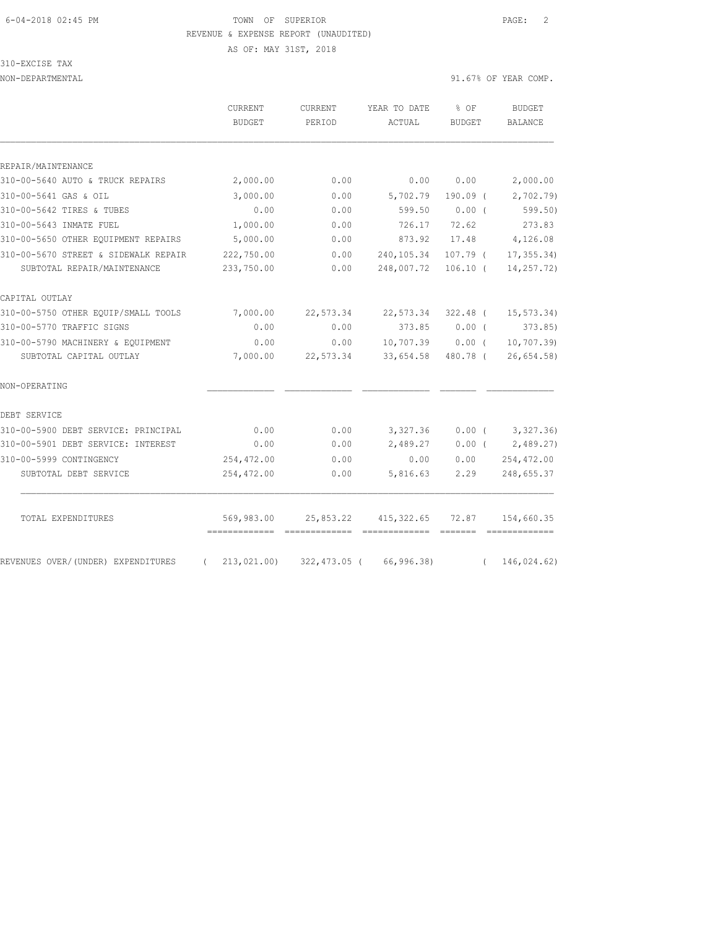# 6-04-2018 02:45 PM TOWN OF SUPERIOR PAGE: 2 REVENUE & EXPENSE REPORT (UNAUDITED)

AS OF: MAY 31ST, 2018

310-EXCISE TAX

NON-DEPARTMENTAL 91.67% OF YEAR COMP.

|                                      | CURRENT<br><b>BUDGET</b>                     | <b>CURRENT</b><br>PERIOD | YEAR TO DATE<br>ACTUAL | % OF<br><b>BUDGET</b> | <b>BUDGET</b><br><b>BALANCE</b> |
|--------------------------------------|----------------------------------------------|--------------------------|------------------------|-----------------------|---------------------------------|
|                                      |                                              |                          |                        |                       |                                 |
| REPAIR/MAINTENANCE                   |                                              |                          |                        |                       |                                 |
| 310-00-5640 AUTO & TRUCK REPAIRS     | 2,000.00                                     | 0.00                     | 0.00                   | 0.00                  | 2,000.00                        |
| 310-00-5641 GAS & OIL                | 3,000.00                                     | 0.00                     | 5,702.79               | $190.09$ (            | 2,702.79                        |
| 310-00-5642 TIRES & TUBES            | 0.00                                         | 0.00                     | 599.50                 | 0.00(                 | 599.50                          |
| 310-00-5643 INMATE FUEL              | 1,000.00                                     | 0.00                     | 726.17                 | 72.62                 | 273.83                          |
| 310-00-5650 OTHER EQUIPMENT REPAIRS  | 5,000.00                                     | 0.00                     | 873.92                 | 17.48                 | 4,126.08                        |
| 310-00-5670 STREET & SIDEWALK REPAIR | 222,750.00                                   | 0.00                     | 240,105.34             | 107.79 (              | 17, 355.34                      |
| SUBTOTAL REPAIR/MAINTENANCE          | 233,750.00                                   | 0.00                     | 248,007.72             | $106.10$ (            | 14,257.72)                      |
| CAPITAL OUTLAY                       |                                              |                          |                        |                       |                                 |
| 310-00-5750 OTHER EQUIP/SMALL TOOLS  | 7,000.00                                     | 22,573.34                | 22,573.34              | $322.48$ (            | 15, 573.34)                     |
| 310-00-5770 TRAFFIC SIGNS            | 0.00                                         | 0.00                     | 373.85                 | 0.00(                 | 373.85                          |
| 310-00-5790 MACHINERY & EQUIPMENT    | 0.00                                         | 0.00                     | 10,707.39              | $0.00$ (              | 10, 707.39                      |
| SUBTOTAL CAPITAL OUTLAY              | 7,000.00                                     | 22,573.34                | 33,654.58              | 480.78 (              | 26,654.58                       |
| NON-OPERATING                        |                                              |                          |                        |                       |                                 |
| DEBT SERVICE                         |                                              |                          |                        |                       |                                 |
| 310-00-5900 DEBT SERVICE: PRINCIPAL  | 0.00                                         | 0.00                     | 3,327.36               | 0.00(                 | 3, 327.36)                      |
| 310-00-5901 DEBT SERVICE: INTEREST   | 0.00                                         | 0.00                     | 2,489.27               | 0.00(                 | 2,489.27                        |
| 310-00-5999 CONTINGENCY              | 254, 472.00                                  | 0.00                     | 0.00                   | 0.00                  | 254,472.00                      |
| SUBTOTAL DEBT SERVICE                | 254,472.00                                   | 0.00                     | 5,816.63               | 2.29                  | 248,655.37                      |
| TOTAL EXPENDITURES                   |                                              | 25,853.22                | 415, 322.65            | 72.87                 |                                 |
|                                      | 569,983.00<br>============================== |                          | =============          |                       | 154,660.35                      |
| REVENUES OVER/(UNDER) EXPENDITURES   | 213,021.00<br>$\left($                       | 322,473.05 (             | 66,996.38)             | $\left($              | 146,024.62)                     |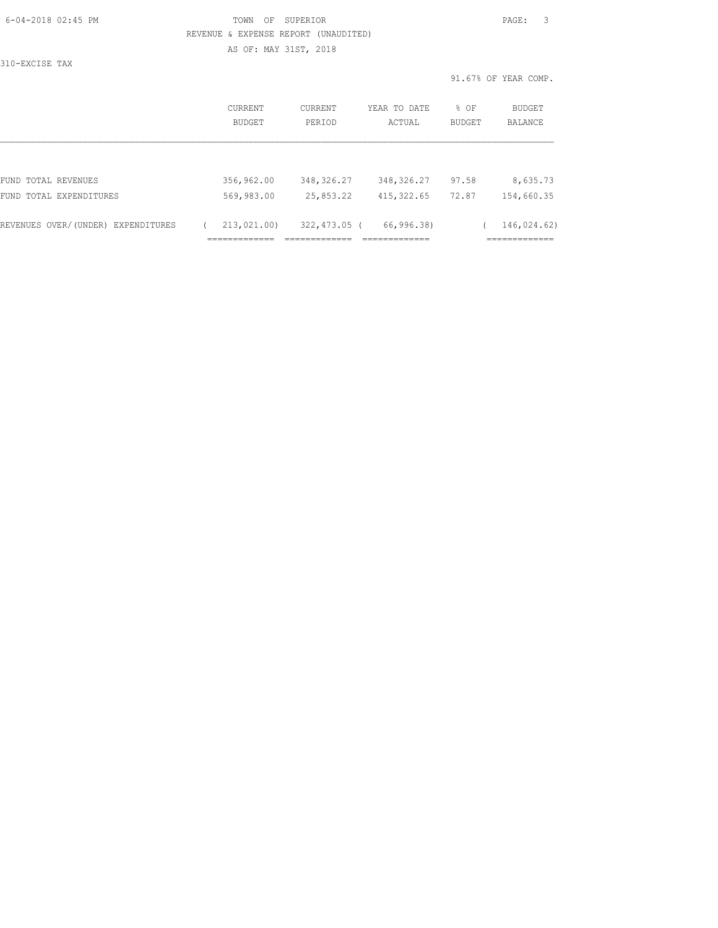| 6-04-2018 02:45 PM |  |
|--------------------|--|
|                    |  |

# FOWN OF SUPERIOR **Example 2018** PAGE: 3 REVENUE & EXPENSE REPORT (UNAUDITED) AS OF: MAY 31ST, 2018

310-EXCISE TAX

|                                    | CURRENT<br><b>BUDGET</b> | CURRENT<br>PERIOD | YEAR TO DATE<br>ACTUAL | % OF<br><b>BUDGET</b> | BUDGET<br><b>BALANCE</b> |
|------------------------------------|--------------------------|-------------------|------------------------|-----------------------|--------------------------|
|                                    |                          |                   |                        |                       |                          |
| FUND TOTAL REVENUES                | 356,962.00               | 348,326.27        | 348,326.27             | 97.58                 | 8,635.73                 |
| FUND TOTAL EXPENDITURES            | 569,983.00               | 25,853.22         | 415, 322.65            | 72.87                 | 154,660.35               |
| REVENUES OVER/(UNDER) EXPENDITURES | 213,021.00)              | 322,473.05 (      | 66,996.38)             |                       | 146,024.62)              |
|                                    |                          |                   |                        |                       |                          |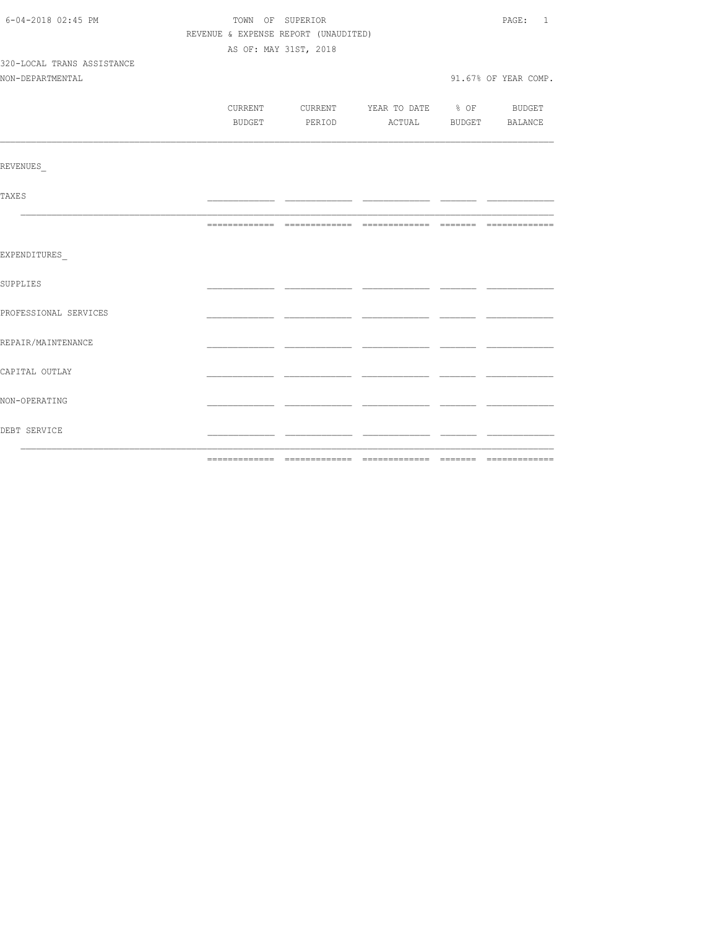| 6-04-2018 02:45 PM         | TOWN OF SUPERIOR                     | PAGE: 1               |                                          |  |                      |
|----------------------------|--------------------------------------|-----------------------|------------------------------------------|--|----------------------|
|                            | REVENUE & EXPENSE REPORT (UNAUDITED) |                       |                                          |  |                      |
|                            |                                      | AS OF: MAY 31ST, 2018 |                                          |  |                      |
| 320-LOCAL TRANS ASSISTANCE |                                      |                       |                                          |  |                      |
| NON-DEPARTMENTAL           |                                      |                       |                                          |  | 91.67% OF YEAR COMP. |
|                            |                                      |                       |                                          |  |                      |
|                            |                                      |                       | CURRENT CURRENT YEAR TO DATE % OF BUDGET |  |                      |
|                            |                                      |                       | BUDGET PERIOD ACTUAL BUDGET BALANCE      |  |                      |
|                            |                                      |                       |                                          |  |                      |
| <b>REVENUES</b>            |                                      |                       |                                          |  |                      |
| <b>TAXES</b>               |                                      |                       |                                          |  |                      |
|                            |                                      |                       |                                          |  |                      |
| EXPENDITURES               |                                      |                       |                                          |  |                      |
| SUPPLIES                   |                                      |                       |                                          |  |                      |
| PROFESSIONAL SERVICES      |                                      |                       |                                          |  |                      |
| REPAIR/MAINTENANCE         |                                      |                       |                                          |  |                      |
| CAPITAL OUTLAY             |                                      |                       |                                          |  |                      |
| NON-OPERATING              |                                      |                       |                                          |  |                      |
| DEBT SERVICE               |                                      |                       |                                          |  |                      |
|                            |                                      |                       |                                          |  |                      |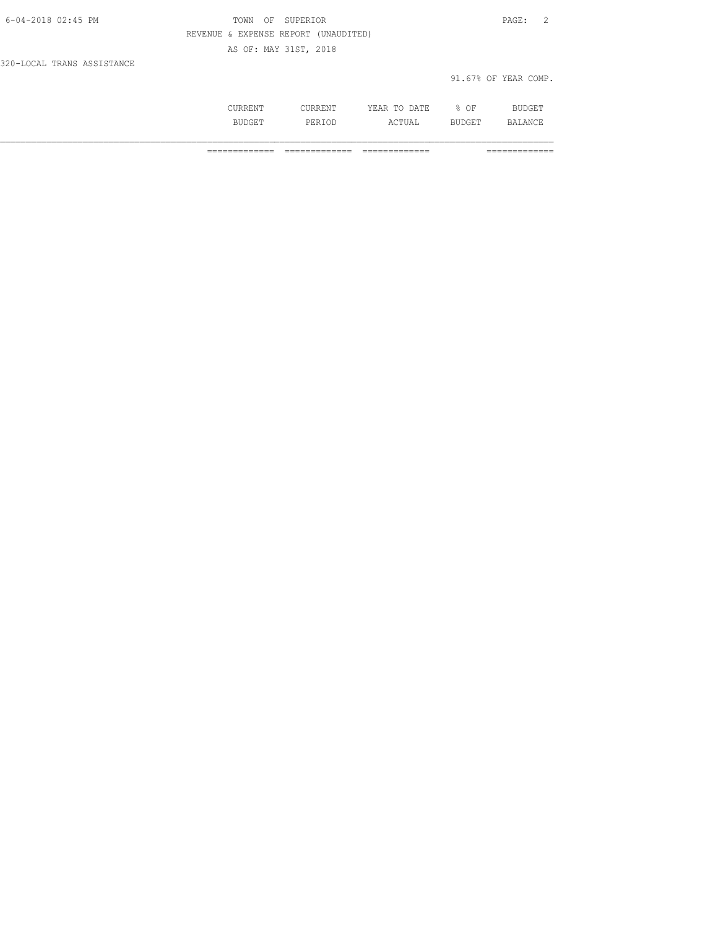| 6-04-2018 02:45 PM         | TOWN OF SUPERIOR                     | PAGE: 2              |
|----------------------------|--------------------------------------|----------------------|
|                            | REVENUE & EXPENSE REPORT (UNAUDITED) |                      |
|                            | AS OF: MAY 31ST, 2018                |                      |
| 320-LOCAL TRANS ASSISTANCE |                                      |                      |
|                            |                                      | 91.67% OF YEAR COMP. |

| . | <b>IMT</b><br>----<br>----- | ΟF<br>∽.<br>- | $\cdot$ $\cdot$ $\cdot$<br>--- |
|---|-----------------------------|---------------|--------------------------------|
|   | ----                        | ---           | ∼                              |

============= ============= ============= =============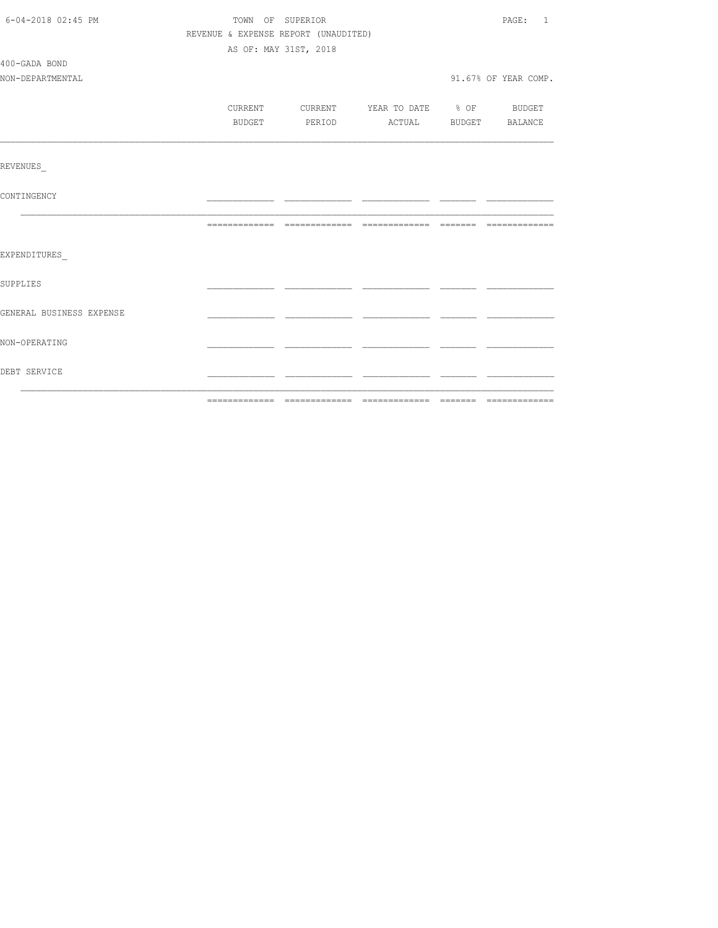| 6-04-2018 02:45 PM       | TOWN OF SUPERIOR                     | PAGE: 1               |                                          |  |                      |
|--------------------------|--------------------------------------|-----------------------|------------------------------------------|--|----------------------|
|                          | REVENUE & EXPENSE REPORT (UNAUDITED) |                       |                                          |  |                      |
|                          |                                      | AS OF: MAY 31ST, 2018 |                                          |  |                      |
| 400-GADA BOND            |                                      |                       |                                          |  |                      |
| NON-DEPARTMENTAL         |                                      |                       |                                          |  | 91.67% OF YEAR COMP. |
|                          |                                      |                       |                                          |  |                      |
|                          |                                      |                       | CURRENT CURRENT YEAR TO DATE % OF BUDGET |  |                      |
|                          |                                      |                       | BUDGET PERIOD ACTUAL BUDGET BALANCE      |  |                      |
|                          |                                      |                       |                                          |  |                      |
|                          |                                      |                       |                                          |  |                      |
| REVENUES                 |                                      |                       |                                          |  |                      |
|                          |                                      |                       |                                          |  |                      |
| CONTINGENCY              |                                      |                       |                                          |  |                      |
|                          |                                      |                       |                                          |  |                      |
|                          |                                      |                       |                                          |  |                      |
|                          |                                      |                       |                                          |  |                      |
| EXPENDITURES             |                                      |                       |                                          |  |                      |
| SUPPLIES                 |                                      |                       |                                          |  |                      |
|                          |                                      |                       |                                          |  |                      |
| GENERAL BUSINESS EXPENSE |                                      |                       |                                          |  |                      |
|                          |                                      |                       |                                          |  |                      |
| NON-OPERATING            |                                      |                       |                                          |  |                      |
|                          |                                      |                       |                                          |  |                      |
| DEBT SERVICE             |                                      |                       |                                          |  |                      |
|                          |                                      |                       |                                          |  |                      |
|                          |                                      |                       |                                          |  |                      |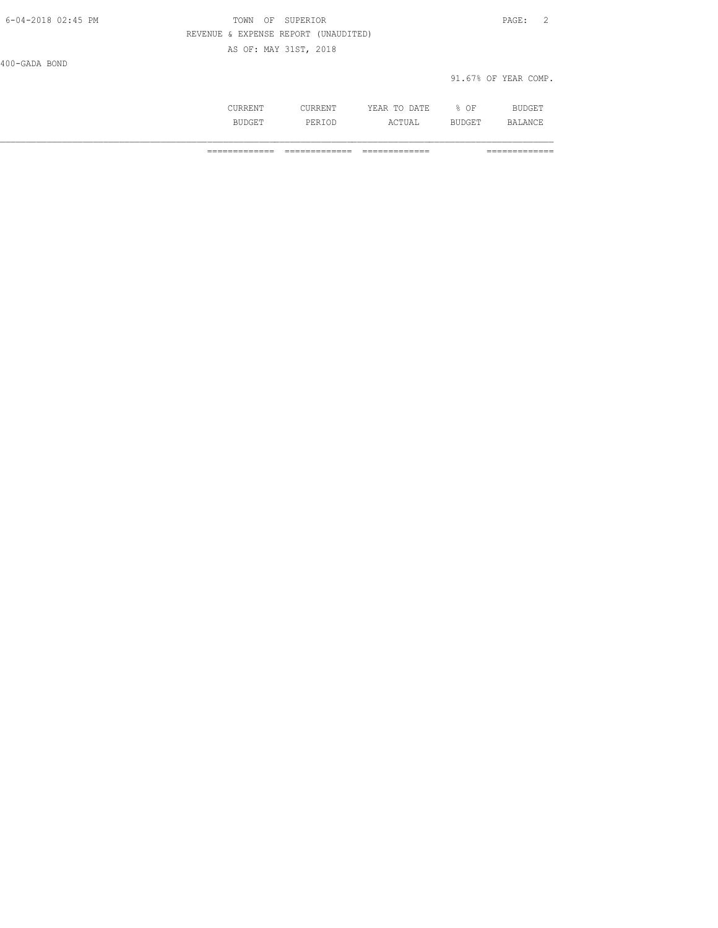| 6-04-2018 02:45 PM | OF SUPERIOR<br>TOWN                  | $\mathtt{PAGE}$ :<br>$\sim$ 2 |
|--------------------|--------------------------------------|-------------------------------|
|                    | REVENUE & EXPENSE REPORT (UNAUDITED) |                               |
|                    | AS OF: MAY 31ST, 2018                |                               |
| 400-GADA BOND      |                                      |                               |
|                    |                                      | 91.67% OF YEAR COMP.          |
|                    |                                      |                               |

 CURRENT CURRENT YEAR TO DATE % OF BUDGET BUDGET PERIOD ACTUAL BUDGET BALANCE

============= ============= ============= =============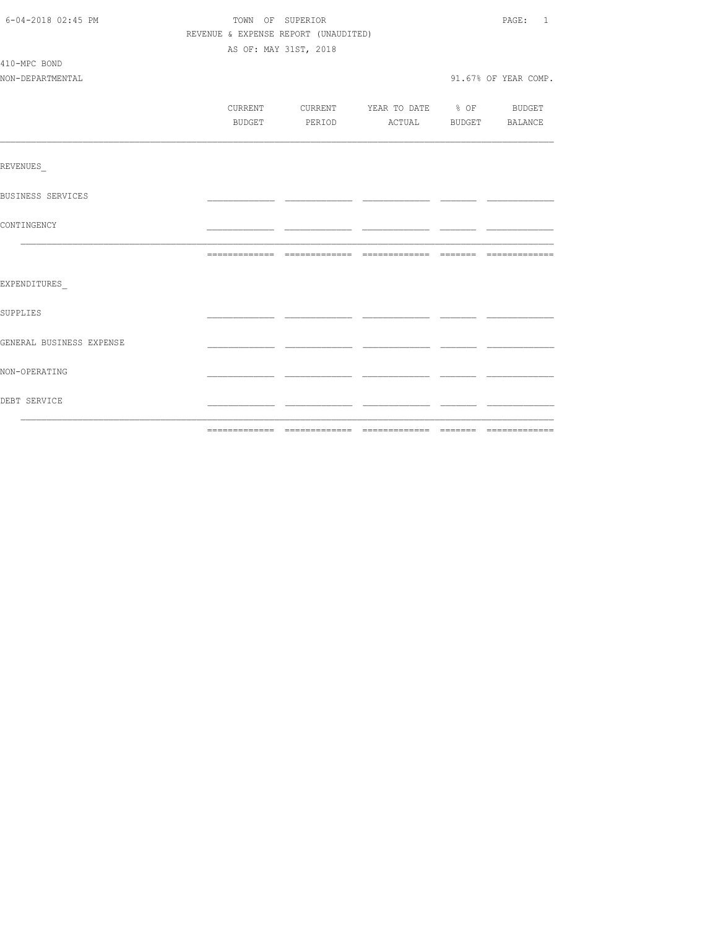| 6-04-2018 02:45 PM       | TOWN OF SUPERIOR                     | PAGE: 1                          |  |                      |
|--------------------------|--------------------------------------|----------------------------------|--|----------------------|
|                          | REVENUE & EXPENSE REPORT (UNAUDITED) |                                  |  |                      |
|                          |                                      | AS OF: MAY 31ST, 2018            |  |                      |
| 410-MPC BOND             |                                      |                                  |  |                      |
| NON-DEPARTMENTAL         |                                      |                                  |  | 91.67% OF YEAR COMP. |
|                          |                                      |                                  |  |                      |
|                          | CURRENT                              | CURRENT YEAR TO DATE % OF BUDGET |  |                      |
|                          | BUDGET                               | PERIOD ACTUAL BUDGET BALANCE     |  |                      |
|                          |                                      |                                  |  |                      |
| REVENUES                 |                                      |                                  |  |                      |
| BUSINESS SERVICES        |                                      |                                  |  |                      |
| CONTINGENCY              |                                      |                                  |  |                      |
|                          |                                      |                                  |  |                      |
|                          |                                      |                                  |  |                      |
| EXPENDITURES             |                                      |                                  |  |                      |
| SUPPLIES                 |                                      |                                  |  |                      |
| GENERAL BUSINESS EXPENSE |                                      |                                  |  |                      |
| NON-OPERATING            |                                      |                                  |  |                      |
| DEBT SERVICE             |                                      |                                  |  |                      |
|                          |                                      |                                  |  |                      |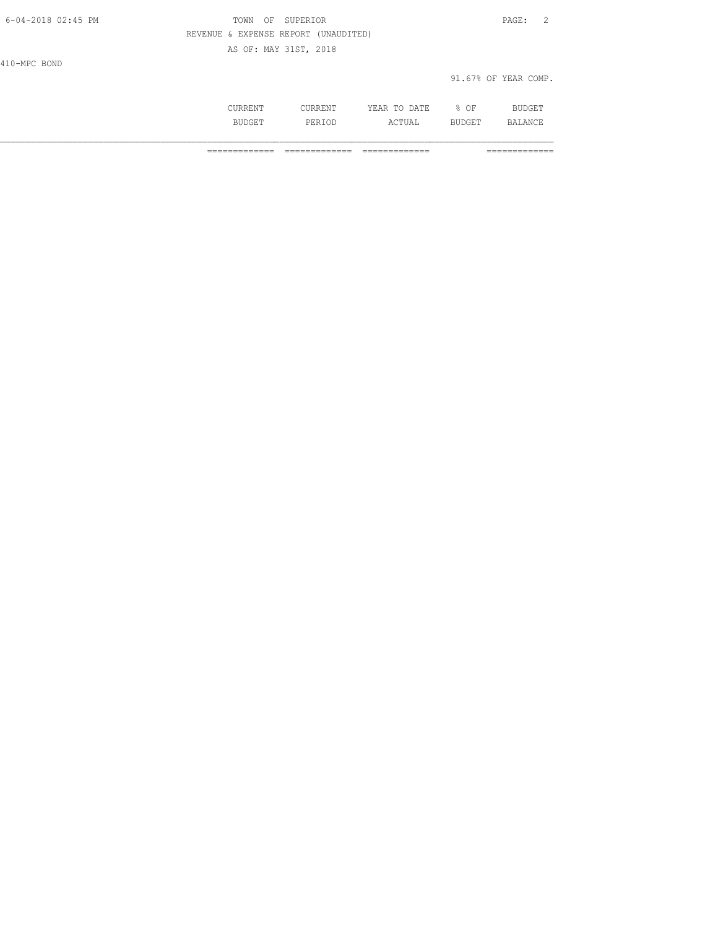| 6-04-2018 02:45 PM | TOWN<br>ΟF                           | SUPERIOR              |              |        | $\mathtt{PAGE}$ :<br>- 2 |
|--------------------|--------------------------------------|-----------------------|--------------|--------|--------------------------|
|                    | REVENUE & EXPENSE REPORT (UNAUDITED) |                       |              |        |                          |
|                    |                                      | AS OF: MAY 31ST, 2018 |              |        |                          |
| 410-MPC BOND       |                                      |                       |              |        |                          |
|                    |                                      |                       |              |        | 91.67% OF YEAR COMP.     |
|                    |                                      |                       |              |        |                          |
|                    | CURRENT                              | CURRENT               | YEAR TO DATE | $8$ OF | BUDGET                   |

BUDGET PERIOD ACTUAL BUDGET BALANCE

============= ============= ============= =============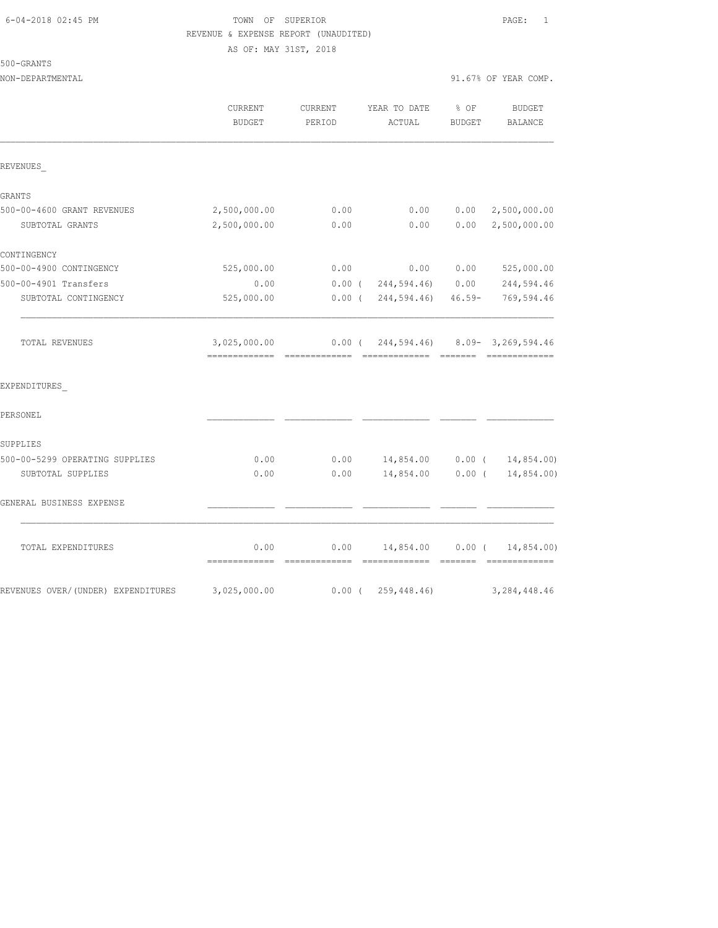# 6-04-2018 02:45 PM TOWN OF SUPERIOR PAGE: 1 REVENUE & EXPENSE REPORT (UNAUDITED) AS OF: MAY 31ST, 2018

# 500-GRANTS

| NON-DEPARTMENTAL |                |         |                   |        | 91.67% OF YEAR COMP. |
|------------------|----------------|---------|-------------------|--------|----------------------|
|                  | <b>CURRENT</b> | CURRENT | YEAR TO DATE % OF |        | BUDGET               |
|                  | BUDGET         | PERTOD  | ACTUAL            | BUDGET | BALANCE              |

|                                    | <b>BUDGET</b> | PERIOD   | ACTUAL                                 | <b>BUDGET</b> | BALANCE                     |
|------------------------------------|---------------|----------|----------------------------------------|---------------|-----------------------------|
| REVENUES                           |               |          |                                        |               |                             |
|                                    |               |          |                                        |               |                             |
| GRANTS                             |               |          |                                        |               |                             |
| 500-00-4600 GRANT REVENUES         | 2,500,000.00  | 0.00     | 0.00                                   | 0.00          | 2,500,000.00                |
| SUBTOTAL GRANTS                    | 2,500,000.00  | 0.00     | 0.00                                   | 0.00          | 2,500,000.00                |
| CONTINGENCY                        |               |          |                                        |               |                             |
| 500-00-4900 CONTINGENCY            | 525,000.00    | 0.00     | 0.00                                   | 0.00          | 525,000.00                  |
| 500-00-4901 Transfers              | 0.00          |          | $0.00$ ( $244,594.46$ ) $0.00$         |               | 244,594.46                  |
| SUBTOTAL CONTINGENCY               | 525,000.00    |          | 0.00(244,594.46)                       |               | 46.59- 769,594.46           |
| TOTAL REVENUES                     | 3,025,000.00  |          | $0.00$ ( 244,594.46) 8.09-3,269,594.46 |               |                             |
| EXPENDITURES                       |               |          |                                        |               |                             |
| PERSONEL                           |               |          |                                        |               |                             |
| SUPPLIES                           |               |          |                                        |               |                             |
| 500-00-5299 OPERATING SUPPLIES     | 0.00          |          | $0.00$ 14,854.00 0.00 ( 14,854.00)     |               |                             |
| SUBTOTAL SUPPLIES                  | 0.00          | 0.00     | 14,854.00                              | $0.00$ (      | 14,854.00)                  |
| GENERAL BUSINESS EXPENSE           |               |          |                                        |               |                             |
| TOTAL EXPENDITURES                 | 0.00          | 0.00     | 14,854.00                              | $0.00$ (      | 14,854.00)<br>============= |
| REVENUES OVER/(UNDER) EXPENDITURES | 3,025,000.00  | $0.00$ ( | 259,448.46)                            |               | 3, 284, 448.46              |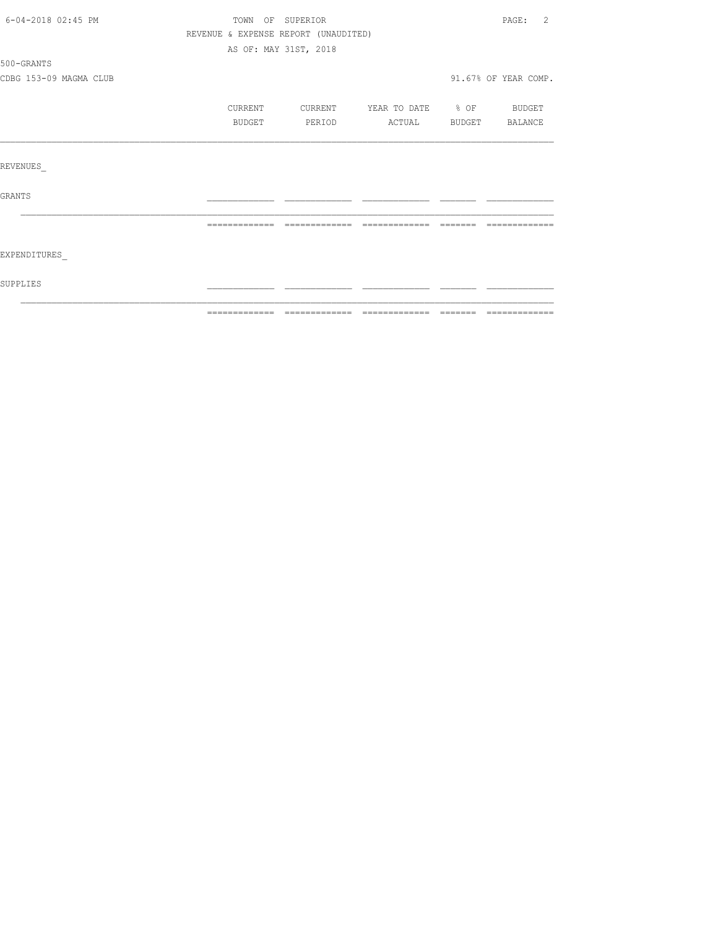| 6-04-2018 02:45 PM     |                                      | TOWN OF SUPERIOR      |                          |        | PAGE: 2              |
|------------------------|--------------------------------------|-----------------------|--------------------------|--------|----------------------|
|                        | REVENUE & EXPENSE REPORT (UNAUDITED) |                       |                          |        |                      |
|                        |                                      | AS OF: MAY 31ST, 2018 |                          |        |                      |
| 500-GRANTS             |                                      |                       |                          |        |                      |
| CDBG 153-09 MAGMA CLUB |                                      |                       |                          |        | 91.67% OF YEAR COMP. |
|                        | CURRENT                              | CURRENT               | YEAR TO DATE % OF BUDGET |        |                      |
|                        | <b>BUDGET</b>                        | PERIOD                | ACTUAL                   | BUDGET | BALANCE              |
|                        |                                      |                       |                          |        |                      |
| <b>REVENUES</b>        |                                      |                       |                          |        |                      |
| <b>GRANTS</b>          |                                      |                       |                          |        |                      |
|                        |                                      |                       |                          |        |                      |
| EXPENDITURES           |                                      |                       |                          |        |                      |
|                        |                                      |                       |                          |        |                      |
| SUPPLIES               |                                      |                       |                          |        |                      |
|                        |                                      |                       |                          |        |                      |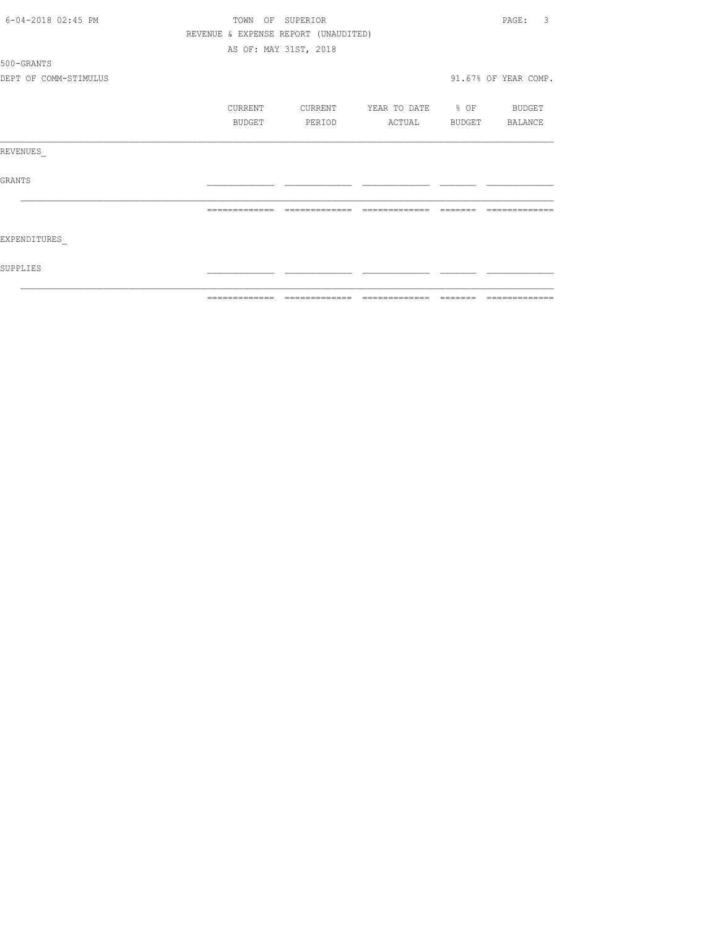|                       |                | ============================         |                          | --------------                   |
|-----------------------|----------------|--------------------------------------|--------------------------|----------------------------------|
| SUPPLIES              |                |                                      |                          |                                  |
| EXPENDITURES          |                |                                      |                          |                                  |
|                       | -------------- | --------------                       | --------------           |                                  |
| GRANTS                |                |                                      |                          |                                  |
| REVENUES              |                |                                      |                          |                                  |
|                       | BUDGET         | PERIOD                               | ACTUAL BUDGET BALANCE    |                                  |
|                       | CURRENT        | CURRENT                              | YEAR TO DATE % OF BUDGET |                                  |
| DEPT OF COMM-STIMULUS |                |                                      |                          | 91.67% OF YEAR COMP.             |
| 500-GRANTS            |                |                                      |                          |                                  |
|                       |                | AS OF: MAY 31ST, 2018                |                          |                                  |
|                       |                | REVENUE & EXPENSE REPORT (UNAUDITED) |                          |                                  |
| 6-04-2018 02:45 PM    |                | TOWN OF SUPERIOR                     |                          | $\overline{\mathbf{3}}$<br>PAGE: |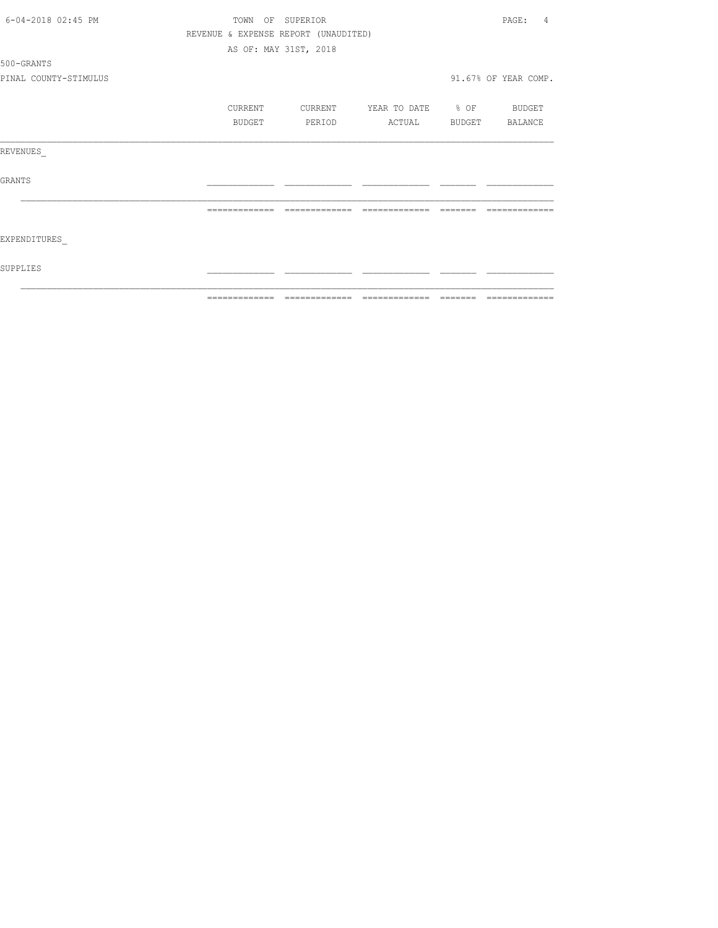| 6-04-2018 02:45 PM    |                | TOWN OF SUPERIOR                     |                          |          | PAGE:<br>4                                                                                                                                                                                                                                                                                                                                                                                                                                                                             |
|-----------------------|----------------|--------------------------------------|--------------------------|----------|----------------------------------------------------------------------------------------------------------------------------------------------------------------------------------------------------------------------------------------------------------------------------------------------------------------------------------------------------------------------------------------------------------------------------------------------------------------------------------------|
|                       |                | REVENUE & EXPENSE REPORT (UNAUDITED) |                          |          |                                                                                                                                                                                                                                                                                                                                                                                                                                                                                        |
|                       |                | AS OF: MAY 31ST, 2018                |                          |          |                                                                                                                                                                                                                                                                                                                                                                                                                                                                                        |
| 500-GRANTS            |                |                                      |                          |          |                                                                                                                                                                                                                                                                                                                                                                                                                                                                                        |
| PINAL COUNTY-STIMULUS |                |                                      |                          |          | 91.67% OF YEAR COMP.                                                                                                                                                                                                                                                                                                                                                                                                                                                                   |
|                       | CURRENT        | CURRENT                              | YEAR TO DATE % OF BUDGET |          |                                                                                                                                                                                                                                                                                                                                                                                                                                                                                        |
|                       | BUDGET         | PERIOD                               | ACTUAL                   |          | BUDGET BALANCE                                                                                                                                                                                                                                                                                                                                                                                                                                                                         |
| REVENUES              |                |                                      |                          |          |                                                                                                                                                                                                                                                                                                                                                                                                                                                                                        |
| GRANTS                |                |                                      |                          |          |                                                                                                                                                                                                                                                                                                                                                                                                                                                                                        |
|                       | -------------- | =============                        | -------------            | -------- |                                                                                                                                                                                                                                                                                                                                                                                                                                                                                        |
| EXPENDITURES          |                |                                      |                          |          |                                                                                                                                                                                                                                                                                                                                                                                                                                                                                        |
| SUPPLIES              |                |                                      |                          |          |                                                                                                                                                                                                                                                                                                                                                                                                                                                                                        |
|                       |                |                                      |                          |          | $\begin{array}{cccccccccc} \multicolumn{2}{c}{} & \multicolumn{2}{c}{} & \multicolumn{2}{c}{} & \multicolumn{2}{c}{} & \multicolumn{2}{c}{} & \multicolumn{2}{c}{} & \multicolumn{2}{c}{} & \multicolumn{2}{c}{} & \multicolumn{2}{c}{} & \multicolumn{2}{c}{} & \multicolumn{2}{c}{} & \multicolumn{2}{c}{} & \multicolumn{2}{c}{} & \multicolumn{2}{c}{} & \multicolumn{2}{c}{} & \multicolumn{2}{c}{} & \multicolumn{2}{c}{} & \multicolumn{2}{c}{} & \multicolumn{2}{c}{} & \mult$ |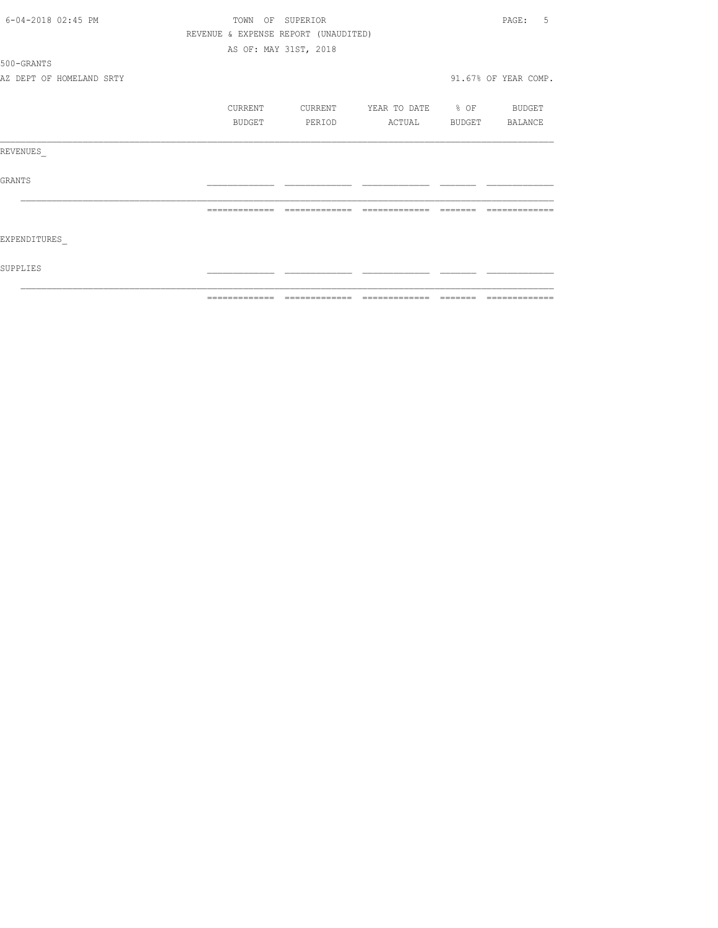| 6-04-2018 02:45 PM       |         | TOWN OF SUPERIOR                     |                          | -5<br>PAGE:          |
|--------------------------|---------|--------------------------------------|--------------------------|----------------------|
|                          |         | REVENUE & EXPENSE REPORT (UNAUDITED) |                          |                      |
|                          |         | AS OF: MAY 31ST, 2018                |                          |                      |
| 500-GRANTS               |         |                                      |                          |                      |
| AZ DEPT OF HOMELAND SRTY |         |                                      |                          | 91.67% OF YEAR COMP. |
|                          | CURRENT | CURRENT                              | YEAR TO DATE % OF BUDGET |                      |
|                          | BUDGET  | PERIOD                               | ACTUAL                   | BUDGET BALANCE       |
| REVENUES                 |         |                                      |                          |                      |
| GRANTS                   |         |                                      |                          |                      |
|                          |         | --------------                       | --------------           |                      |
| EXPENDITURES             |         |                                      |                          |                      |
| SUPPLIES                 |         |                                      |                          |                      |
|                          |         |                                      |                          |                      |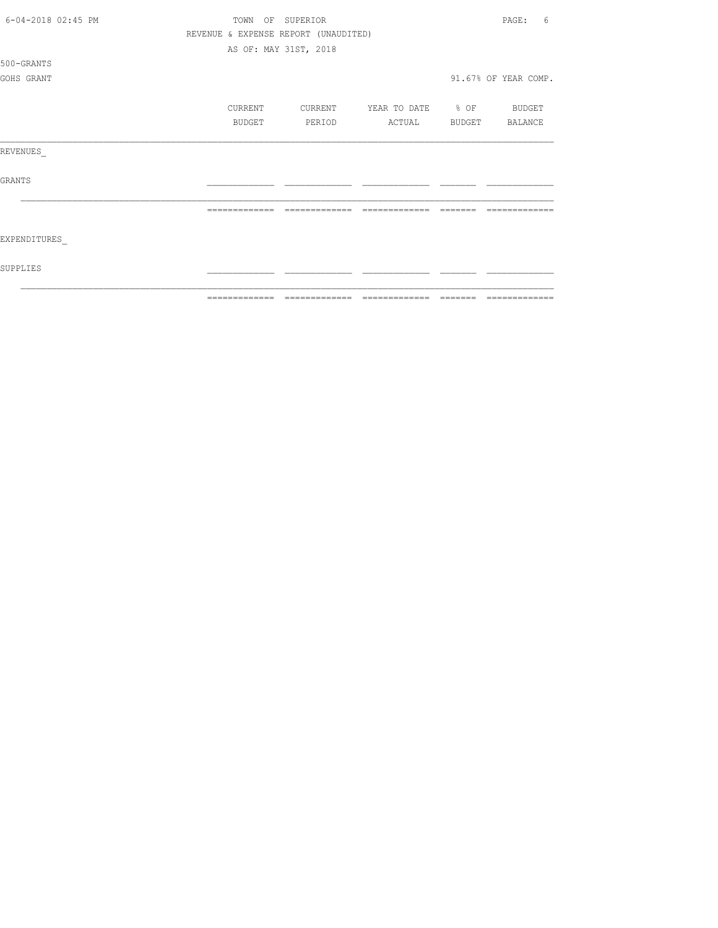| 6-04-2018 02:45 PM | TOWN          | OF SUPERIOR                            |                          |               | 6<br>PAGE:           |
|--------------------|---------------|----------------------------------------|--------------------------|---------------|----------------------|
|                    |               | REVENUE & EXPENSE REPORT (UNAUDITED)   |                          |               |                      |
|                    |               | AS OF: MAY 31ST, 2018                  |                          |               |                      |
| 500-GRANTS         |               |                                        |                          |               |                      |
| GOHS GRANT         |               |                                        |                          |               | 91.67% OF YEAR COMP. |
|                    | CURRENT       | CURRENT                                | YEAR TO DATE % OF BUDGET |               |                      |
|                    | <b>BUDGET</b> | PERIOD                                 | ACTUAL                   | <b>BUDGET</b> | <b>BALANCE</b>       |
| REVENUES           |               |                                        |                          |               |                      |
| <b>GRANTS</b>      |               |                                        |                          |               |                      |
|                    | ------------- |                                        |                          |               |                      |
| EXPENDITURES       |               |                                        |                          |               |                      |
| SUPPLIES           |               |                                        |                          |               |                      |
|                    |               | ------------- ------------- ---------- |                          | =======       | =============        |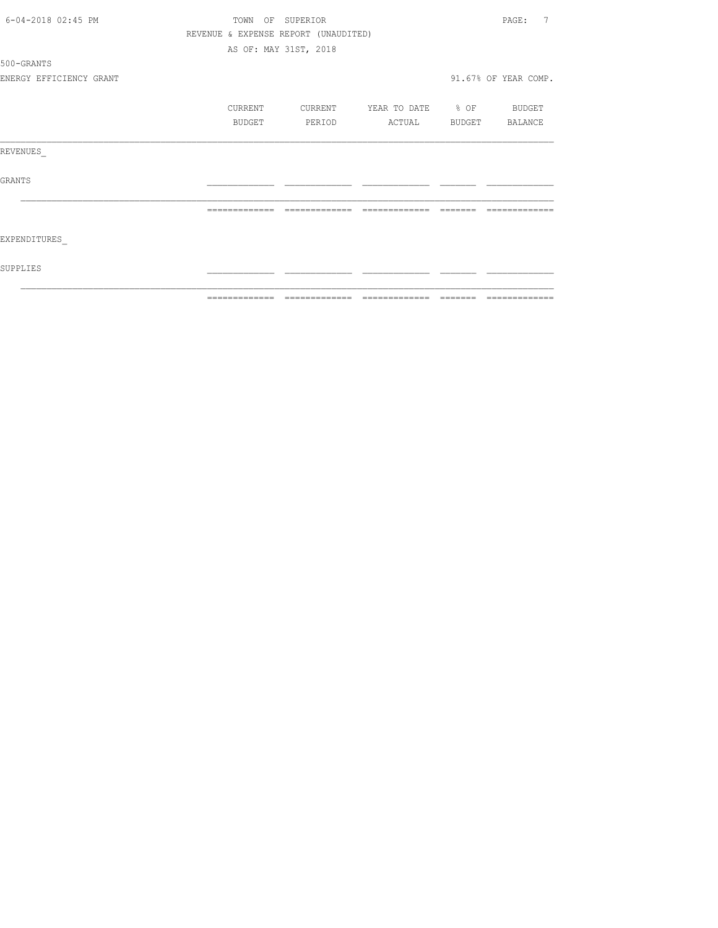| 6-04-2018 02:45 PM      | TOWN<br>OF    | SUPERIOR                             |                                 | 7<br>PAGE:            |
|-------------------------|---------------|--------------------------------------|---------------------------------|-----------------------|
|                         |               | REVENUE & EXPENSE REPORT (UNAUDITED) |                                 |                       |
|                         |               | AS OF: MAY 31ST, 2018                |                                 |                       |
| 500-GRANTS              |               |                                      |                                 |                       |
| ENERGY EFFICIENCY GRANT |               |                                      |                                 | 91.67% OF YEAR COMP.  |
|                         | CURRENT       | CURRENT                              | YEAR TO DATE % OF               | BUDGET                |
|                         | BUDGET        | PERIOD                               | ACTUAL                          | BUDGET BALANCE        |
| REVENUES                |               |                                      |                                 |                       |
| <b>GRANTS</b>           |               |                                      |                                 |                       |
|                         |               |                                      |                                 |                       |
| EXPENDITURES            |               |                                      |                                 |                       |
| SUPPLIES                |               |                                      |                                 |                       |
|                         | ============= |                                      | =============================== | ======= ============= |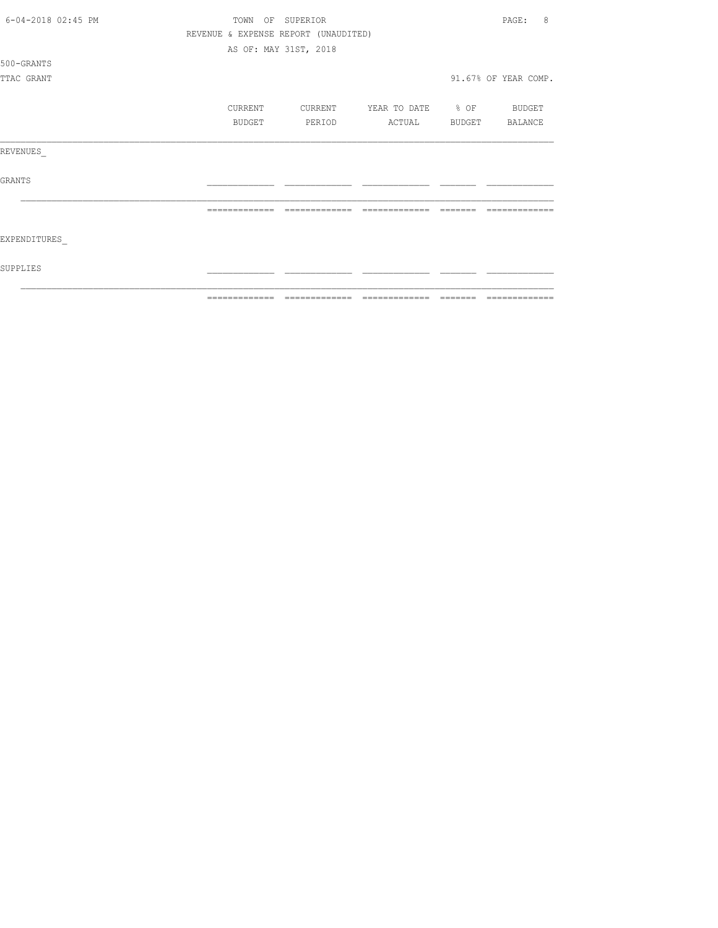| 6-04-2018 02:45 PM | TOWN OF SUPERIOR |                                      |                          | 8<br>PAGE:           |
|--------------------|------------------|--------------------------------------|--------------------------|----------------------|
|                    |                  | REVENUE & EXPENSE REPORT (UNAUDITED) |                          |                      |
|                    |                  | AS OF: MAY 31ST, 2018                |                          |                      |
| 500-GRANTS         |                  |                                      |                          |                      |
| TTAC GRANT         |                  |                                      |                          | 91.67% OF YEAR COMP. |
|                    | CURRENT          |                                      | YEAR TO DATE % OF BUDGET |                      |
|                    |                  | CURRENT                              |                          |                      |
|                    | BUDGET           | PERIOD                               | ACTUAL                   | BUDGET BALANCE       |
| REVENUES           |                  |                                      |                          |                      |
| <b>GRANTS</b>      |                  |                                      |                          |                      |
|                    |                  |                                      |                          |                      |
| EXPENDITURES       |                  |                                      |                          |                      |
| SUPPLIES           |                  |                                      |                          |                      |
|                    | -------------    |                                      | -------------            |                      |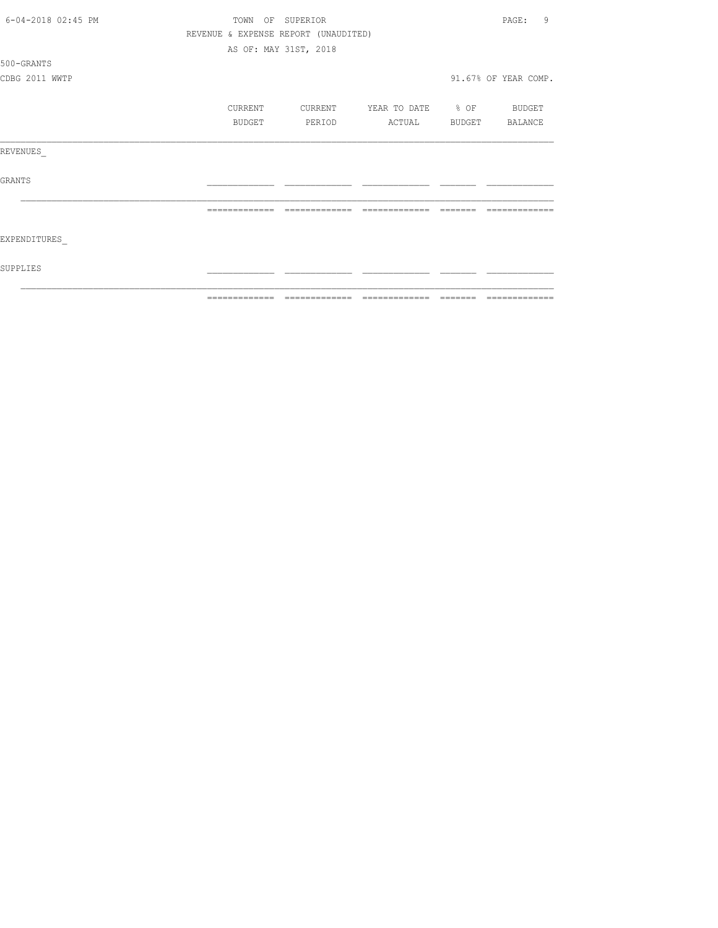| 6-04-2018 02:45 PM | TOWN OF       | SUPERIOR                             |                   |         | 9<br>PAGE:           |
|--------------------|---------------|--------------------------------------|-------------------|---------|----------------------|
|                    |               | REVENUE & EXPENSE REPORT (UNAUDITED) |                   |         |                      |
|                    |               | AS OF: MAY 31ST, 2018                |                   |         |                      |
| 500-GRANTS         |               |                                      |                   |         |                      |
| CDBG 2011 WWTP     |               |                                      |                   |         | 91.67% OF YEAR COMP. |
|                    | CURRENT       | CURRENT                              | YEAR TO DATE % OF |         | BUDGET               |
|                    |               |                                      |                   |         |                      |
|                    | BUDGET        | PERIOD                               | ACTUAL            |         | BUDGET BALANCE       |
| REVENUES           |               |                                      |                   |         |                      |
| GRANTS             |               |                                      |                   |         |                      |
|                    | ============= | --------------                       | --------------    |         |                      |
| EXPENDITURES       |               |                                      |                   |         |                      |
| SUPPLIES           |               |                                      |                   |         |                      |
|                    | ============= | -------------                        | --------------    | ------- | -------------        |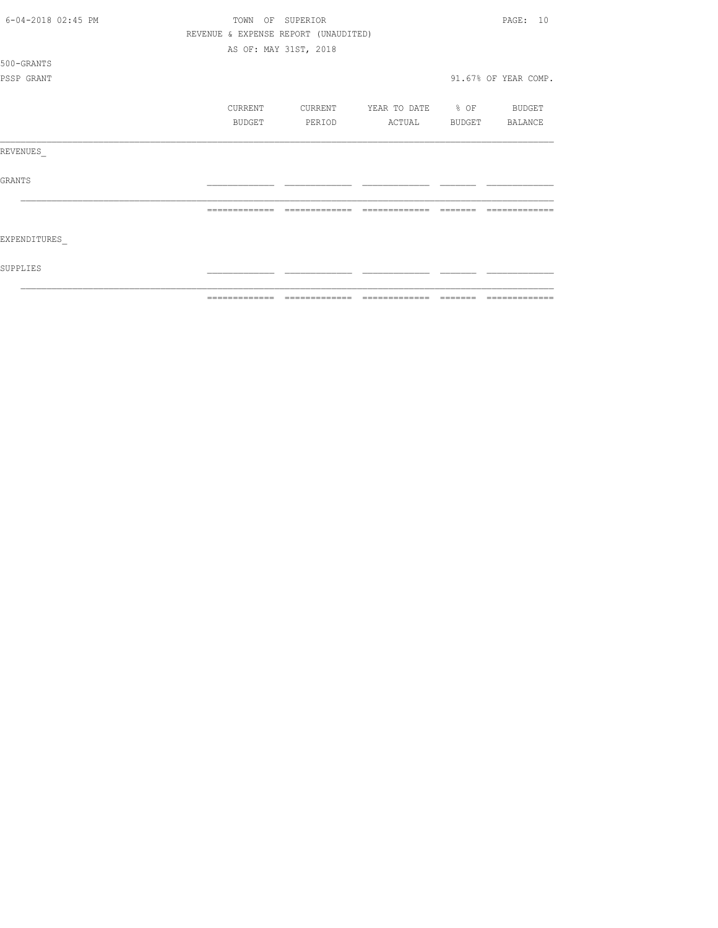| 6-04-2018 02:45 PM | TOWN                                 | OF SUPERIOR           |                   |        | PAGF: 10             |
|--------------------|--------------------------------------|-----------------------|-------------------|--------|----------------------|
|                    | REVENUE & EXPENSE REPORT (UNAUDITED) |                       |                   |        |                      |
|                    |                                      | AS OF: MAY 31ST, 2018 |                   |        |                      |
| 500-GRANTS         |                                      |                       |                   |        |                      |
| PSSP GRANT         |                                      |                       |                   |        | 91.67% OF YEAR COMP. |
|                    | CURRENT                              | CURRENT               | YEAR TO DATE % OF |        | BUDGET               |
|                    | BUDGET                               | PERIOD                | ACTUAL            | BUDGET | BALANCE              |
| REVENUES           |                                      |                       |                   |        |                      |
| <b>GRANTS</b>      |                                      |                       |                   |        |                      |
|                    |                                      |                       |                   |        |                      |
| EXPENDITURES       |                                      |                       |                   |        |                      |
| SUPPLIES           |                                      |                       |                   |        |                      |
|                    |                                      |                       |                   |        |                      |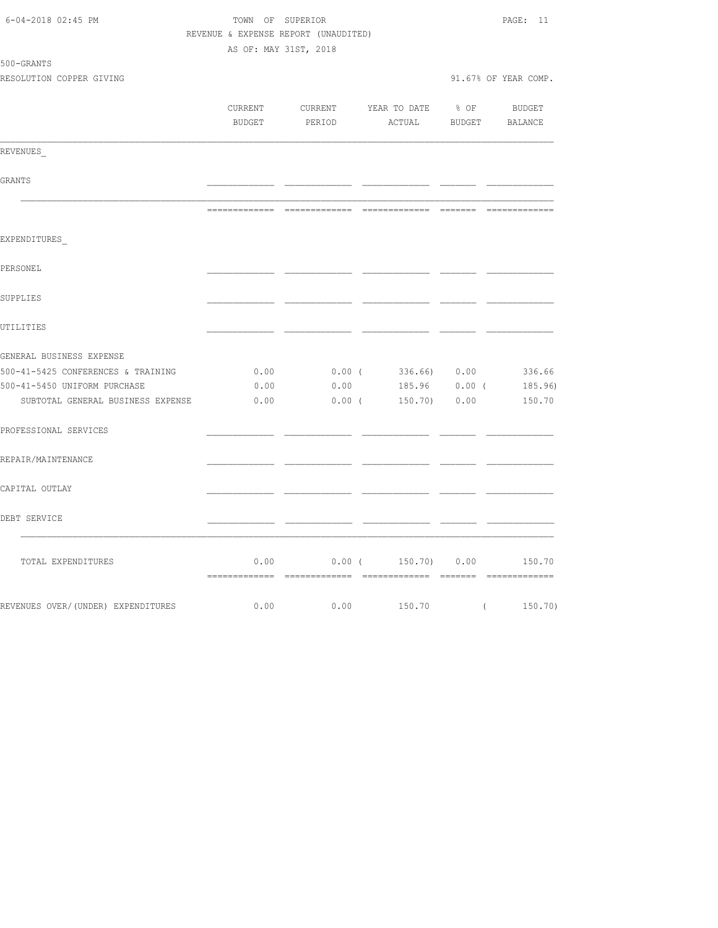| 6-04-2018 02:45 PM                 | TOWN OF SUPERIOR<br>REVENUE & EXPENSE REPORT (UNAUDITED) |          | PAGE: 11                   |                                                                                                                                                                                                                                                                                                                                    |                        |
|------------------------------------|----------------------------------------------------------|----------|----------------------------|------------------------------------------------------------------------------------------------------------------------------------------------------------------------------------------------------------------------------------------------------------------------------------------------------------------------------------|------------------------|
|                                    | AS OF: MAY 31ST, 2018                                    |          |                            |                                                                                                                                                                                                                                                                                                                                    |                        |
| 500-GRANTS                         |                                                          |          |                            |                                                                                                                                                                                                                                                                                                                                    |                        |
| RESOLUTION COPPER GIVING           |                                                          |          |                            |                                                                                                                                                                                                                                                                                                                                    | 91.67% OF YEAR COMP.   |
|                                    | CURRENT                                                  |          | CURRENT YEAR TO DATE       | $8$ OF                                                                                                                                                                                                                                                                                                                             | BUDGET                 |
|                                    | <b>BUDGET</b>                                            | PERIOD   | ACTUAL BUDGET BALANCE      |                                                                                                                                                                                                                                                                                                                                    |                        |
| REVENUES                           |                                                          |          |                            |                                                                                                                                                                                                                                                                                                                                    |                        |
| GRANTS                             |                                                          |          |                            |                                                                                                                                                                                                                                                                                                                                    |                        |
|                                    |                                                          |          |                            |                                                                                                                                                                                                                                                                                                                                    |                        |
| EXPENDITURES                       |                                                          |          |                            |                                                                                                                                                                                                                                                                                                                                    |                        |
| PERSONEL                           |                                                          |          |                            |                                                                                                                                                                                                                                                                                                                                    |                        |
| SUPPLIES                           |                                                          |          |                            |                                                                                                                                                                                                                                                                                                                                    |                        |
| UTILITIES                          |                                                          |          |                            |                                                                                                                                                                                                                                                                                                                                    |                        |
| GENERAL BUSINESS EXPENSE           |                                                          |          |                            |                                                                                                                                                                                                                                                                                                                                    |                        |
| 500-41-5425 CONFERENCES & TRAINING | 0.00                                                     | $0.00$ ( | 336.66) 0.00               |                                                                                                                                                                                                                                                                                                                                    | 336.66                 |
| 500-41-5450 UNIFORM PURCHASE       | 0.00                                                     | 0.00     |                            |                                                                                                                                                                                                                                                                                                                                    | 185.96  0.00  (185.96) |
| SUBTOTAL GENERAL BUSINESS EXPENSE  | 0.00                                                     |          | $0.00$ ( $150.70$ ) $0.00$ |                                                                                                                                                                                                                                                                                                                                    | 150.70                 |
| PROFESSIONAL SERVICES              |                                                          |          |                            |                                                                                                                                                                                                                                                                                                                                    |                        |
| REPAIR/MAINTENANCE                 |                                                          |          |                            |                                                                                                                                                                                                                                                                                                                                    |                        |
| CAPITAL OUTLAY                     |                                                          |          |                            |                                                                                                                                                                                                                                                                                                                                    |                        |
| DEBT SERVICE                       |                                                          |          |                            |                                                                                                                                                                                                                                                                                                                                    |                        |
| TOTAL EXPENDITURES                 | 0.00                                                     | $0.00$ ( | 150.70) 0.00               |                                                                                                                                                                                                                                                                                                                                    | 150.70                 |
| REVENUES OVER/(UNDER) EXPENDITURES | 0.00                                                     | 0.00     | 150.70                     | $\overline{a}$ and $\overline{a}$ and $\overline{a}$ and $\overline{a}$ and $\overline{a}$ and $\overline{a}$ and $\overline{a}$ and $\overline{a}$ and $\overline{a}$ and $\overline{a}$ and $\overline{a}$ and $\overline{a}$ and $\overline{a}$ and $\overline{a}$ and $\overline{a}$ and $\overline{a}$ and $\overline{a}$ and | 150.70)                |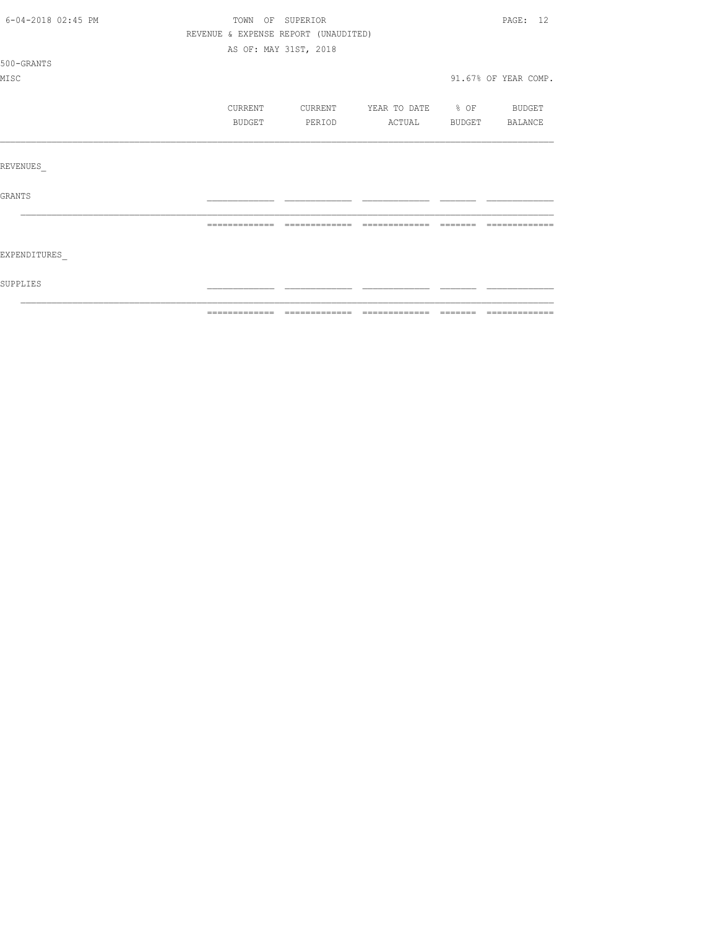| 6-04-2018 02:45 PM | TOWN OF SUPERIOR                     |                       |                   |        | PAGE: 12             |
|--------------------|--------------------------------------|-----------------------|-------------------|--------|----------------------|
|                    | REVENUE & EXPENSE REPORT (UNAUDITED) |                       |                   |        |                      |
|                    |                                      | AS OF: MAY 31ST, 2018 |                   |        |                      |
| 500-GRANTS         |                                      |                       |                   |        |                      |
| MISC               |                                      |                       |                   |        | 91.67% OF YEAR COMP. |
|                    | CURRENT                              | CURRENT               | YEAR TO DATE % OF |        | BUDGET               |
|                    | BUDGET                               | PERIOD                | ACTUAL            | BUDGET | BALANCE              |
|                    |                                      |                       |                   |        |                      |
| REVENUES           |                                      |                       |                   |        |                      |
| GRANTS             |                                      |                       |                   |        |                      |
|                    | --------------                       | --------------        | --------------    |        |                      |
|                    |                                      |                       |                   |        |                      |
| EXPENDITURES       |                                      |                       |                   |        |                      |
| SUPPLIES           |                                      |                       |                   |        |                      |
|                    |                                      |                       |                   |        |                      |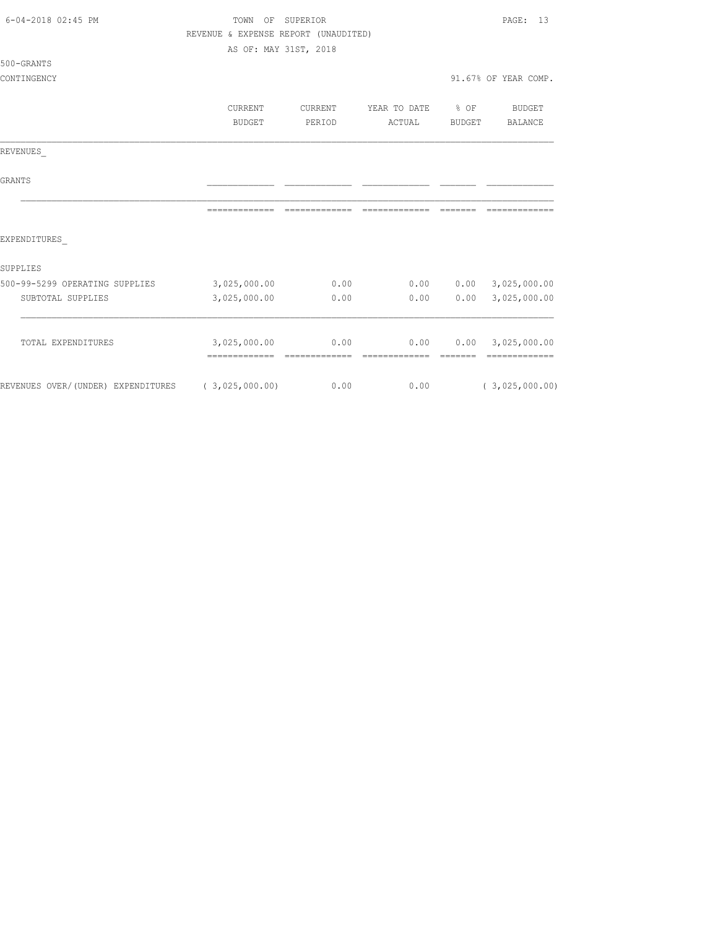| $6 - 04 - 2018$ 02:45 PM                          | OF<br>TOWN                           | SUPERIOR |               |                 | PAGE:<br>13          |
|---------------------------------------------------|--------------------------------------|----------|---------------|-----------------|----------------------|
|                                                   | REVENUE & EXPENSE REPORT (UNAUDITED) |          |               |                 |                      |
|                                                   | AS OF: MAY 31ST, 2018                |          |               |                 |                      |
| 500-GRANTS                                        |                                      |          |               |                 |                      |
| CONTINGENCY                                       |                                      |          |               |                 | 91.67% OF YEAR COMP. |
|                                                   |                                      |          |               |                 |                      |
|                                                   | CURRENT                              | CURRENT  | YEAR TO DATE  | $8$ OF          | BUDGET               |
|                                                   | BUDGET                               | PERIOD   | ACTUAL        | BUDGET          | BALANCE              |
| REVENUES                                          |                                      |          |               |                 |                      |
| <b>GRANTS</b>                                     |                                      |          |               |                 |                      |
|                                                   |                                      |          | ============= | ------          |                      |
| EXPENDITURES                                      |                                      |          |               |                 |                      |
| <b>SUPPLIES</b>                                   |                                      |          |               |                 |                      |
| 500-99-5299 OPERATING SUPPLIES                    | 3,025,000.00                         | 0.00     | 0.00          |                 | 0.00 3,025,000.00    |
| SUBTOTAL SUPPLIES                                 | 3,025,000.00                         | 0.00     | 0.00          | 0.00            | 3,025,000.00         |
| TOTAL EXPENDITURES                                | 3,025,000.00                         | 0.00     | 0.00          |                 | $0.00$ 3,025,000.00  |
|                                                   |                                      |          |               | <b>CONSIDER</b> | =============        |
| REVENUES OVER/(UNDER) EXPENDITURES (3,025,000.00) |                                      | 0.00     | 0.00          |                 | (3,025,000.00)       |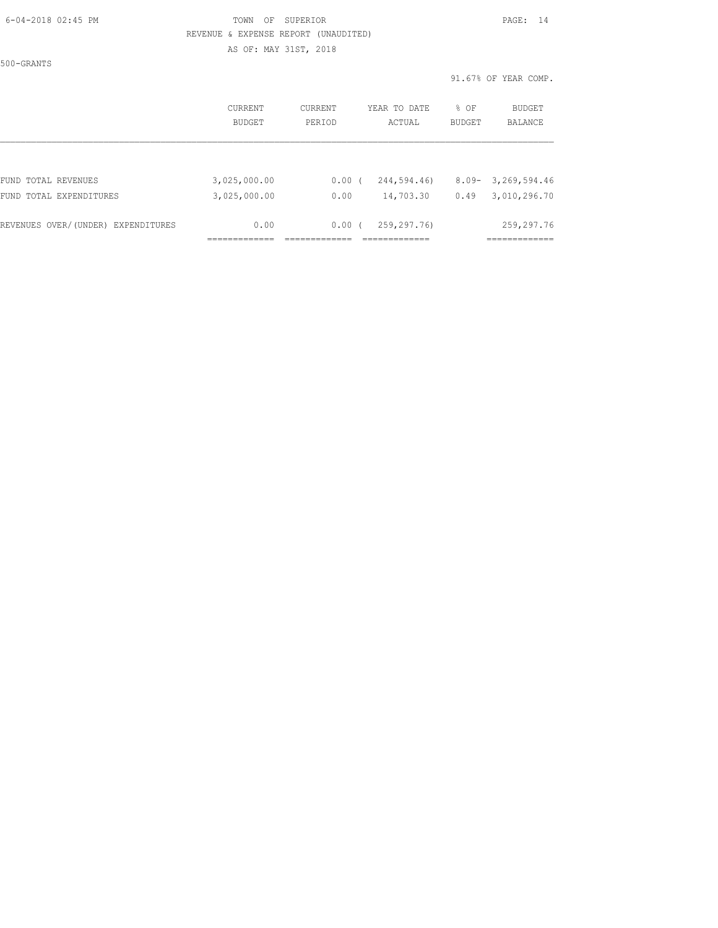### 6-04-2018 02:45 PM TOWN OF SUPERIOR PAGE: 14 REVENUE & EXPENSE REPORT (UNAUDITED) AS OF: MAY 31ST, 2018

500-GRANTS

|                                    | CURRENT<br><b>BUDGET</b> | CURRENT<br>PERIOD | YEAR TO DATE<br>ACTUAL | % OF<br><b>BUDGET</b> | BUDGET<br><b>BALANCE</b> |
|------------------------------------|--------------------------|-------------------|------------------------|-----------------------|--------------------------|
| FUND TOTAL REVENUES                | 3,025,000.00             | 0.00(             | 244,594.46)            | $8.09 -$              | 3,269,594.46             |
| FUND TOTAL EXPENDITURES            | 3,025,000.00             | 0.00              | 14,703.30              | 0.49                  | 3,010,296.70             |
| REVENUES OVER/(UNDER) EXPENDITURES | 0.00                     | $0.00$ (          | 259,297.76)            |                       | 259,297.76               |
|                                    |                          |                   |                        |                       |                          |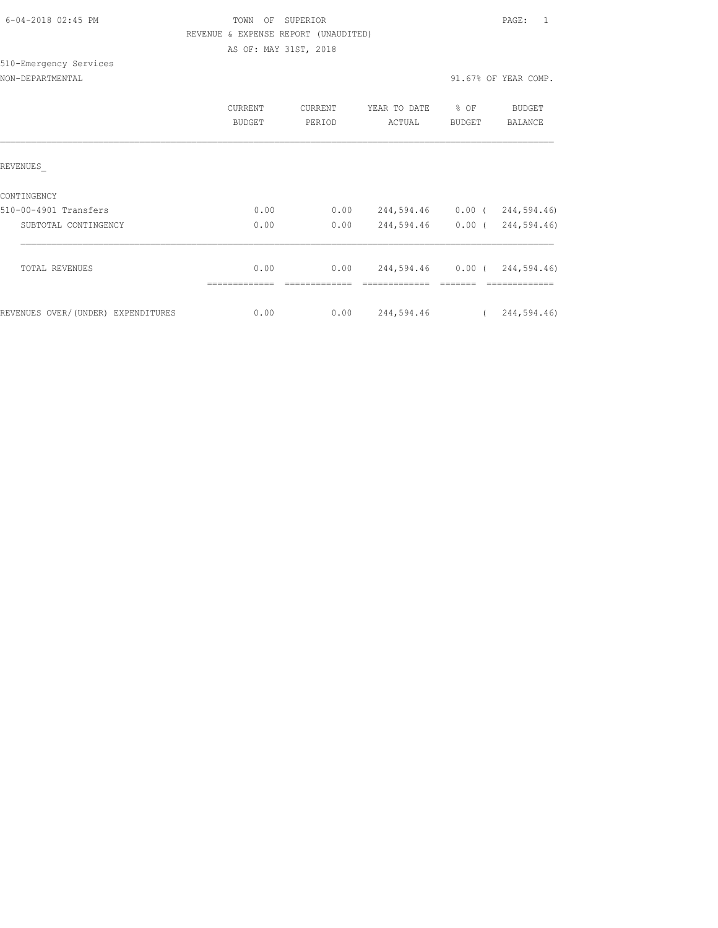| 6-04-2018 02:45 PM |  |
|--------------------|--|

510-Emergency Services

# TOWN OF SUPERIOR **Example 2018** PAGE: 1 REVENUE & EXPENSE REPORT (UNAUDITED) AS OF: MAY 31ST, 2018

### NON-DEPARTMENTAL 31.67% OF YEAR COMP.

|                                    | CURRENT<br>BUDGET | CURRENT<br>PERIOD | YEAR TO DATE<br>ACTUAL | % OF<br>BUDGET | <b>BUDGET</b><br><b>BALANCE</b> |
|------------------------------------|-------------------|-------------------|------------------------|----------------|---------------------------------|
| REVENUES                           |                   |                   |                        |                |                                 |
| CONTINGENCY                        |                   |                   |                        |                |                                 |
| 510-00-4901 Transfers              | 0.00              | 0.00              | 244,594.46             | $0.00$ (       | 244,594.46)                     |
| SUBTOTAL CONTINGENCY               | 0.00              | 0.00              | 244,594.46             | $0.00$ (       | 244,594.46)                     |
|                                    |                   |                   |                        |                |                                 |
| <b>TOTAL REVENUES</b>              | 0.00              | 0.00              |                        |                | 244,594.46 0.00 (244,594.46)    |
|                                    |                   |                   |                        |                |                                 |
| REVENUES OVER/(UNDER) EXPENDITURES | 0.00              | 0.00              | 244,594.46             |                | 244,594.46)                     |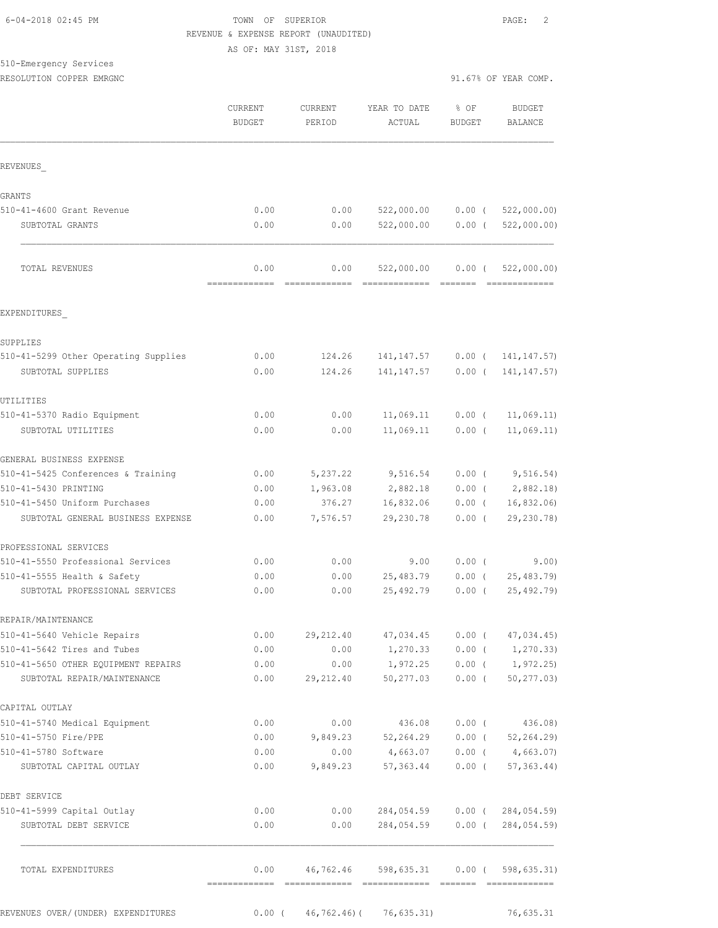### 6-04-2018 02:45 PM TOWN OF SUPERIOR PAGE: 2 REVENUE & EXPENSE REPORT (UNAUDITED) AS OF: MAY 31ST, 2018

510-Emergency Services

|                                                               | CURRENT<br><b>BUDGET</b> | <b>CURRENT</b><br>PERIOD | YEAR TO DATE<br>ACTUAL      | % OF<br><b>BUDGET</b> | <b>BUDGET</b><br>BALANCE                    |
|---------------------------------------------------------------|--------------------------|--------------------------|-----------------------------|-----------------------|---------------------------------------------|
| REVENUES                                                      |                          |                          |                             |                       |                                             |
| GRANTS                                                        |                          |                          |                             |                       |                                             |
| 510-41-4600 Grant Revenue                                     | 0.00                     | 0.00                     | 522,000.00                  | $0.00$ (              | 522,000.00)                                 |
| SUBTOTAL GRANTS                                               | 0.00                     | 0.00                     | 522,000.00                  | $0.00$ (              | 522,000.00)                                 |
| TOTAL REVENUES                                                | 0.00<br>=============    | 0.00<br>-------------    | 522,000.00<br>============= | $0.00$ (<br>--------  | 522,000.00)                                 |
| EXPENDITURES                                                  |                          |                          |                             |                       |                                             |
| SUPPLIES                                                      |                          |                          |                             |                       |                                             |
| 510-41-5299 Other Operating Supplies                          | 0.00                     | 124.26                   | 141, 147.57                 |                       | $0.00$ ( 141, 147.57)                       |
| SUBTOTAL SUPPLIES                                             | 0.00                     | 124.26                   | 141, 147.57                 | $0.00$ (              | 141, 147.57)                                |
| UTILITIES                                                     |                          |                          |                             |                       |                                             |
| 510-41-5370 Radio Equipment                                   | 0.00                     | 0.00                     | 11,069.11                   | $0.00$ (              | 11,069.11)                                  |
| SUBTOTAL UTILITIES                                            | 0.00                     | 0.00                     | 11,069.11                   | $0.00$ (              | 11,069.11)                                  |
| GENERAL BUSINESS EXPENSE                                      |                          |                          |                             |                       |                                             |
| 510-41-5425 Conferences & Training                            | 0.00                     | 5,237.22                 | 9,516.54                    |                       | $0.00$ ( $9,516.54$ )                       |
| 510-41-5430 PRINTING                                          | 0.00                     | 1,963.08                 | 2,882.18                    | $0.00$ (              | 2,882.18                                    |
| 510-41-5450 Uniform Purchases                                 | 0.00                     | 376.27                   | 16,832.06                   | $0.00$ (              | 16,832.06                                   |
| SUBTOTAL GENERAL BUSINESS EXPENSE                             | 0.00                     | 7,576.57                 | 29,230.78                   | $0.00$ (              | 29,230.78)                                  |
| PROFESSIONAL SERVICES                                         |                          |                          |                             |                       |                                             |
| 510-41-5550 Professional Services                             | 0.00                     | 0.00                     | 9.00                        | $0.00$ (              | 9.00)                                       |
| 510-41-5555 Health & Safety<br>SUBTOTAL PROFESSIONAL SERVICES | 0.00<br>0.00             | 0.00<br>0.00             | 25,483.79<br>25,492.79      | $0.00$ (<br>$0.00$ (  | 25, 483.79<br>25,492.79)                    |
| REPAIR/MAINTENANCE                                            |                          |                          |                             |                       |                                             |
| 510-41-5640 Vehicle Repairs                                   | 0.00                     | 29, 212.40               | 47,034.45                   | $0.00$ (              | 47,034.45                                   |
| 510-41-5642 Tires and Tubes                                   | 0.00                     | 0.00                     | 1,270.33                    | $0.00$ (              | 1, 270.33)                                  |
| 510-41-5650 OTHER EOUIPMENT REPAIRS                           | 0.00                     | 0.00                     | 1,972.25                    | $0.00$ (              | 1,972.25)                                   |
| SUBTOTAL REPAIR/MAINTENANCE                                   | 0.00                     | 29,212.40                | 50,277.03                   | $0.00$ (              | 50, 277.03                                  |
| CAPITAL OUTLAY                                                |                          |                          |                             |                       |                                             |
| 510-41-5740 Medical Equipment                                 | 0.00                     | 0.00                     | 436.08                      | $0.00$ (              | 436.08)                                     |
| 510-41-5750 Fire/PPE                                          | 0.00                     | 9,849.23                 | 52,264.29                   | $0.00$ (              | 52, 264.29                                  |
| 510-41-5780 Software                                          | 0.00                     | 0.00                     | 4,663.07                    | $0.00$ (              | 4,663.07                                    |
| SUBTOTAL CAPITAL OUTLAY                                       | 0.00                     | 9,849.23                 | 57,363.44                   | $0.00$ (              | $57, 363.44$ )                              |
| DEBT SERVICE                                                  |                          |                          |                             |                       |                                             |
| 510-41-5999 Capital Outlay<br>SUBTOTAL DEBT SERVICE           | 0.00<br>0.00             | 0.00<br>0.00             | 284,054.59<br>284,054.59    |                       | $0.00$ ( $284,054.59$ )<br>0.00(284,054.59) |
| TOTAL EXPENDITURES                                            | 0.00                     | 46,762.46                | 598,635.31                  |                       | $0.00$ ( 598, 635.31)                       |

REVENUES OVER/(UNDER) EXPENDITURES 0.00 ( 46,762.46) ( 76,635.31) 76,635.31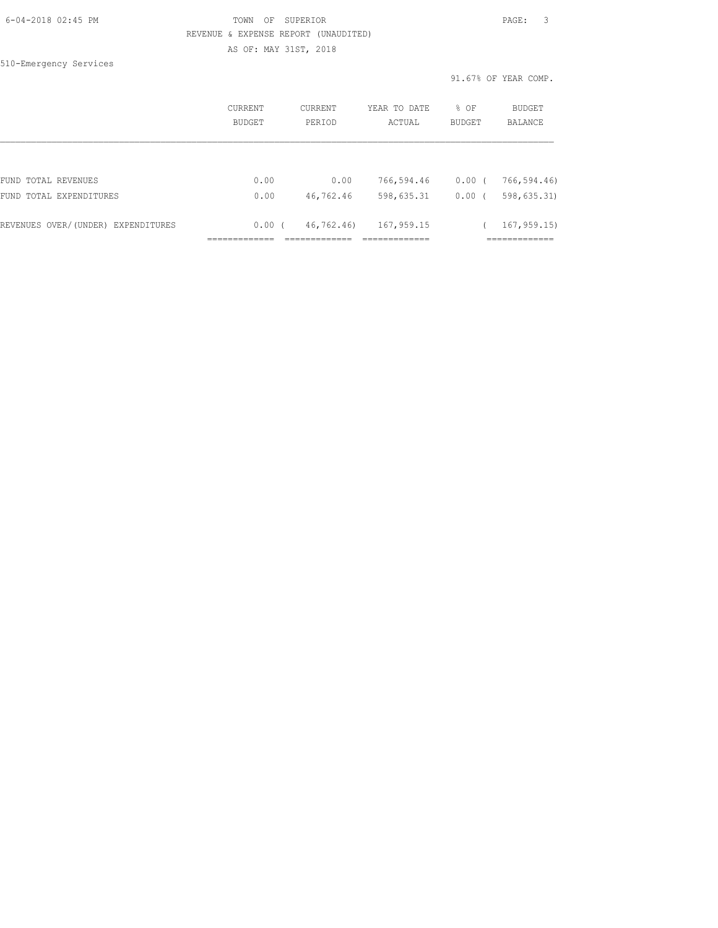| 6-04-2018 02:45 PM |  |
|--------------------|--|
|                    |  |

# FOWN OF SUPERIOR **Example 2018** PAGE: 3 REVENUE & EXPENSE REPORT (UNAUDITED) AS OF: MAY 31ST, 2018

510-Emergency Services

|                                    | CURRENT<br>BUDGET | CURRENT<br>PERIOD | YEAR TO DATE<br>ACTUAL | % OF<br><b>BUDGET</b> | BUDGET<br><b>BALANCE</b> |
|------------------------------------|-------------------|-------------------|------------------------|-----------------------|--------------------------|
|                                    |                   |                   |                        |                       |                          |
| FUND TOTAL REVENUES                | 0.00              | 0.00              | 766,594.46             | $0.00$ (              | 766,594.46)              |
| FUND TOTAL EXPENDITURES            | 0.00              | 46,762.46         | 598,635.31             | 0.00(                 | 598,635.31)              |
| REVENUES OVER/(UNDER) EXPENDITURES | 0.00(             | 46,762.46)        | 167,959.15             |                       | 167, 959.15              |
|                                    |                   |                   |                        |                       |                          |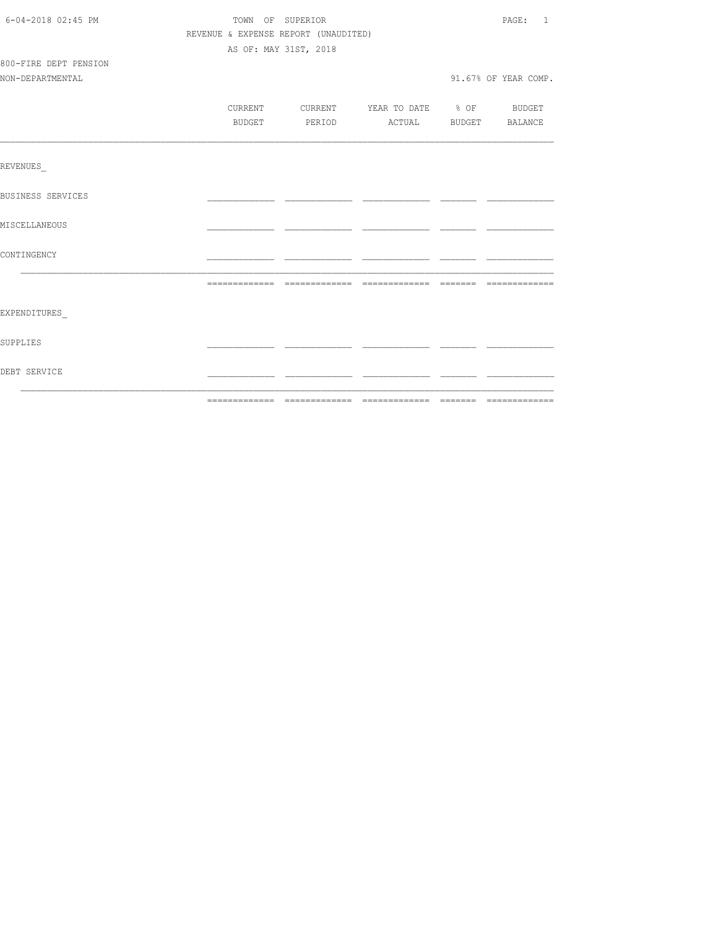| 6-04-2018 02:45 PM       | TOWN OF SUPERIOR                     |                                          | PAGE: 1              |
|--------------------------|--------------------------------------|------------------------------------------|----------------------|
|                          | REVENUE & EXPENSE REPORT (UNAUDITED) |                                          |                      |
|                          | AS OF: MAY 31ST, 2018                |                                          |                      |
| 800-FIRE DEPT PENSION    |                                      |                                          |                      |
| NON-DEPARTMENTAL         |                                      |                                          | 91.67% OF YEAR COMP. |
|                          |                                      |                                          |                      |
|                          |                                      | CURRENT CURRENT YEAR TO DATE % OF BUDGET |                      |
|                          | BUDGET                               | PERIOD ACTUAL BUDGET BALANCE             |                      |
|                          |                                      |                                          |                      |
| REVENUES                 |                                      |                                          |                      |
|                          |                                      |                                          |                      |
| <b>BUSINESS SERVICES</b> |                                      |                                          |                      |
| MISCELLANEOUS            |                                      |                                          |                      |
|                          |                                      |                                          |                      |
| CONTINGENCY              |                                      |                                          |                      |
|                          |                                      |                                          |                      |
| EXPENDITURES             |                                      |                                          |                      |
| SUPPLIES                 |                                      |                                          |                      |
|                          |                                      |                                          |                      |
| DEBT SERVICE             |                                      |                                          |                      |
|                          |                                      |                                          |                      |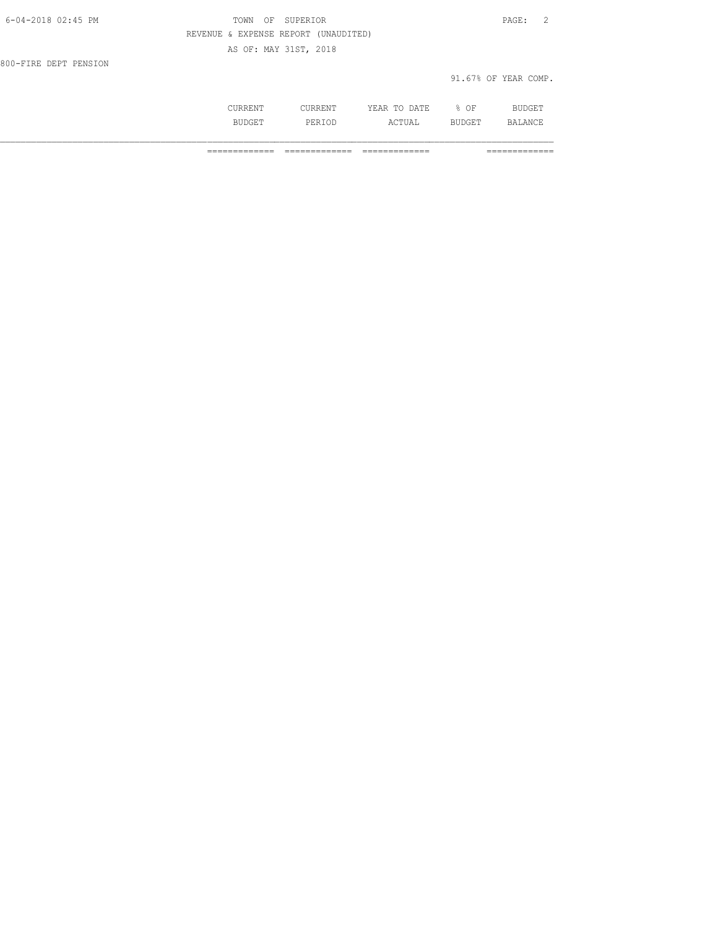| SUPERIOR<br>OF<br>TOWN               | $\overline{2}$<br>PAGE: |
|--------------------------------------|-------------------------|
| REVENUE & EXPENSE REPORT (UNAUDITED) |                         |
| AS OF: MAY 31ST, 2018                |                         |
|                                      |                         |
|                                      | 91.67% OF YEAR COMP.    |
|                                      |                         |
|                                      |                         |

 CURRENT CURRENT YEAR TO DATE % OF BUDGET BUDGET PERIOD ACTUAL BUDGET BALANCE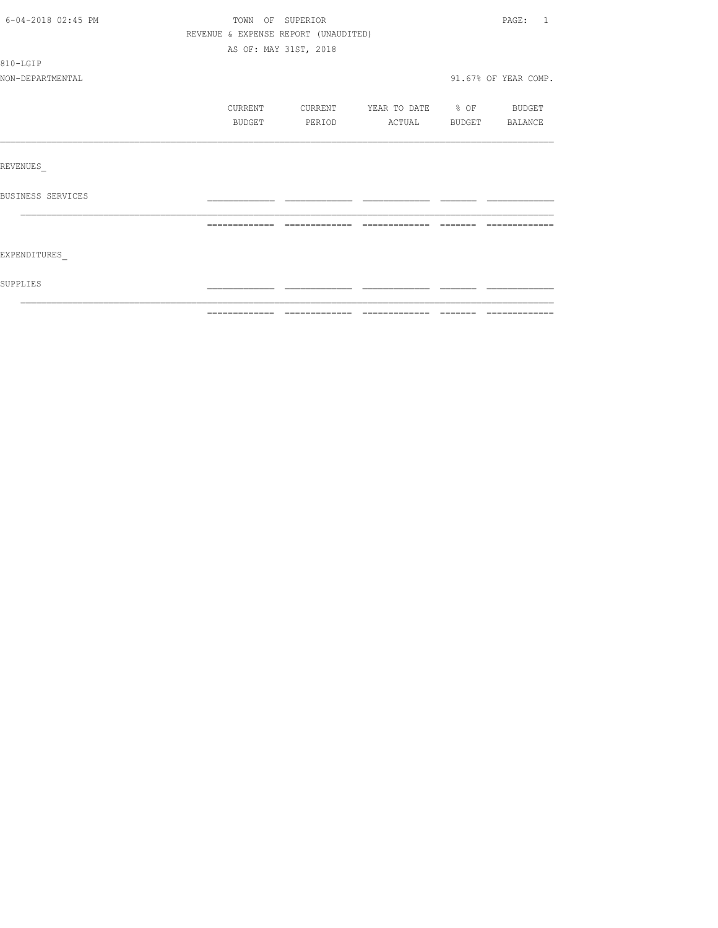| SUPPLIES           |                                      |                       |                          |                      |
|--------------------|--------------------------------------|-----------------------|--------------------------|----------------------|
| EXPENDITURES       |                                      |                       |                          |                      |
|                    | =============                        |                       | --------------           |                      |
| BUSINESS SERVICES  |                                      |                       |                          |                      |
|                    |                                      |                       |                          |                      |
| REVENUES           |                                      |                       |                          |                      |
|                    |                                      |                       |                          |                      |
|                    | BUDGET                               | PERIOD                | ACTUAL                   | BUDGET BALANCE       |
|                    | CURRENT                              | CURRENT               | YEAR TO DATE % OF BUDGET |                      |
| NON-DEPARTMENTAL   |                                      |                       |                          | 91.67% OF YEAR COMP. |
| 810-LGIP           |                                      |                       |                          |                      |
|                    |                                      | AS OF: MAY 31ST, 2018 |                          |                      |
|                    | REVENUE & EXPENSE REPORT (UNAUDITED) |                       |                          |                      |
| 6-04-2018 02:45 PM |                                      | TOWN OF SUPERIOR      |                          | PAGE: 1              |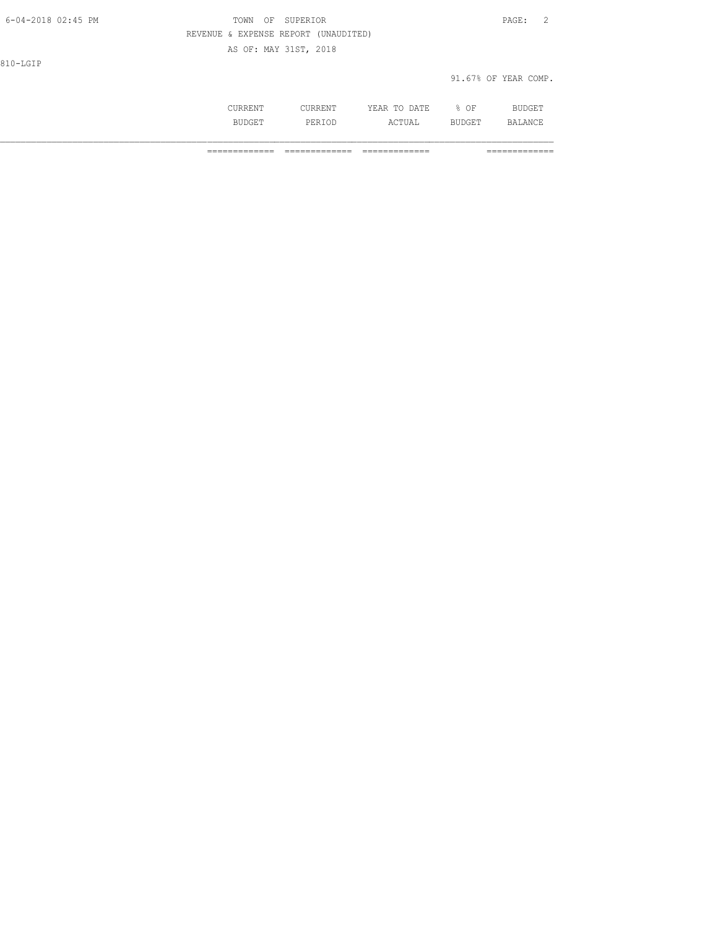| 6-04-2018 02:45 PM | TOWN<br>OF                           | SUPERIOR              |              |      | - 2<br>PAGE:         |
|--------------------|--------------------------------------|-----------------------|--------------|------|----------------------|
|                    | REVENUE & EXPENSE REPORT (UNAUDITED) |                       |              |      |                      |
|                    |                                      | AS OF: MAY 31ST, 2018 |              |      |                      |
| 810-LGIP           |                                      |                       |              |      |                      |
|                    |                                      |                       |              |      | 91.67% OF YEAR COMP. |
|                    |                                      |                       |              |      |                      |
|                    | CURRENT                              | CURRENT               | YEAR TO DATE | % OF | BUDGET               |

BUDGET PERIOD ACTUAL BUDGET BALANCE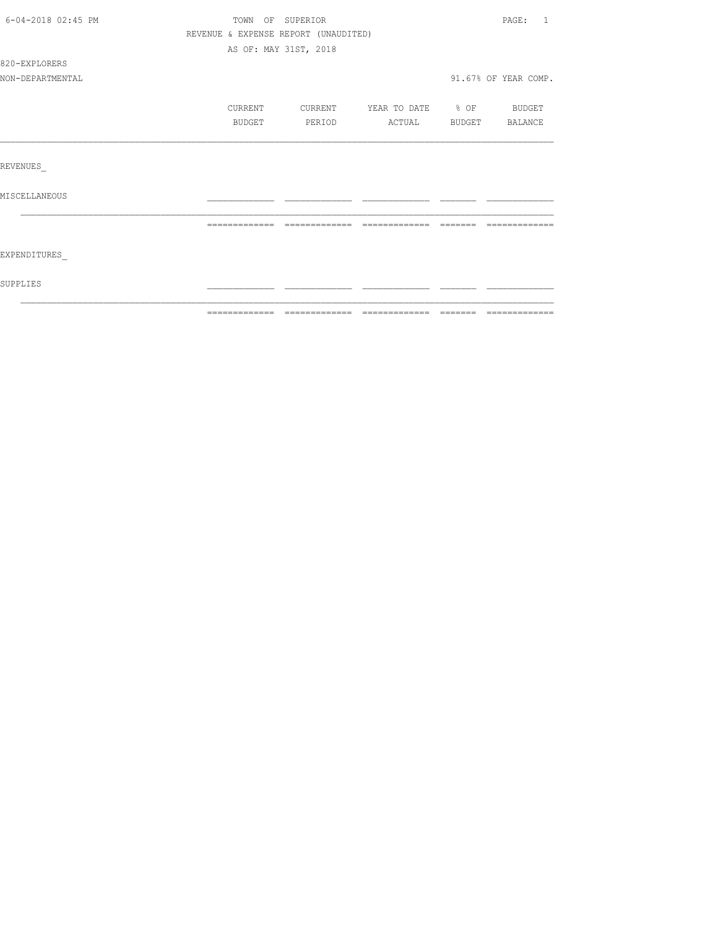| 6-04-2018 02:45 PM | TOWN OF SUPERIOR                     |         |                          |                | PAGE: 1              |
|--------------------|--------------------------------------|---------|--------------------------|----------------|----------------------|
|                    | REVENUE & EXPENSE REPORT (UNAUDITED) |         |                          |                |                      |
|                    | AS OF: MAY 31ST, 2018                |         |                          |                |                      |
| 820-EXPLORERS      |                                      |         |                          |                |                      |
| NON-DEPARTMENTAL   |                                      |         |                          |                | 91.67% OF YEAR COMP. |
|                    | CURRENT                              | CURRENT | YEAR TO DATE % OF BUDGET |                |                      |
|                    | BUDGET                               | PERIOD  | ACTUAL                   | BUDGET BALANCE |                      |
|                    |                                      |         |                          |                |                      |
| REVENUES           |                                      |         |                          |                |                      |
| MISCELLANEOUS      |                                      |         |                          |                |                      |
|                    |                                      |         |                          |                |                      |
| EXPENDITURES       |                                      |         |                          |                |                      |
| SUPPLIES           |                                      |         |                          |                |                      |
|                    |                                      |         |                          |                |                      |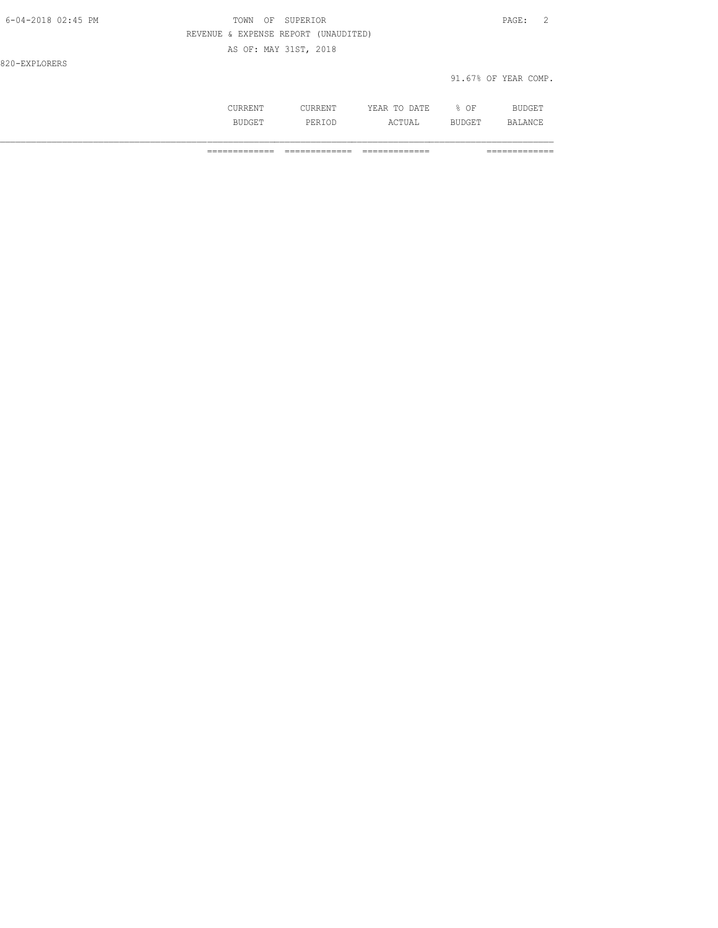| 6-04-2018 02:45 PM | SUPERIOR<br>TOWN<br>OF               | PAGE:                |
|--------------------|--------------------------------------|----------------------|
|                    | REVENUE & EXPENSE REPORT (UNAUDITED) |                      |
|                    | AS OF: MAY 31ST, 2018                |                      |
| 820-EXPLORERS      |                                      |                      |
|                    |                                      | 91.67% OF YEAR COMP. |
|                    |                                      |                      |

 CURRENT CURRENT YEAR TO DATE % OF BUDGET BUDGET PERIOD ACTUAL BUDGET BALANCE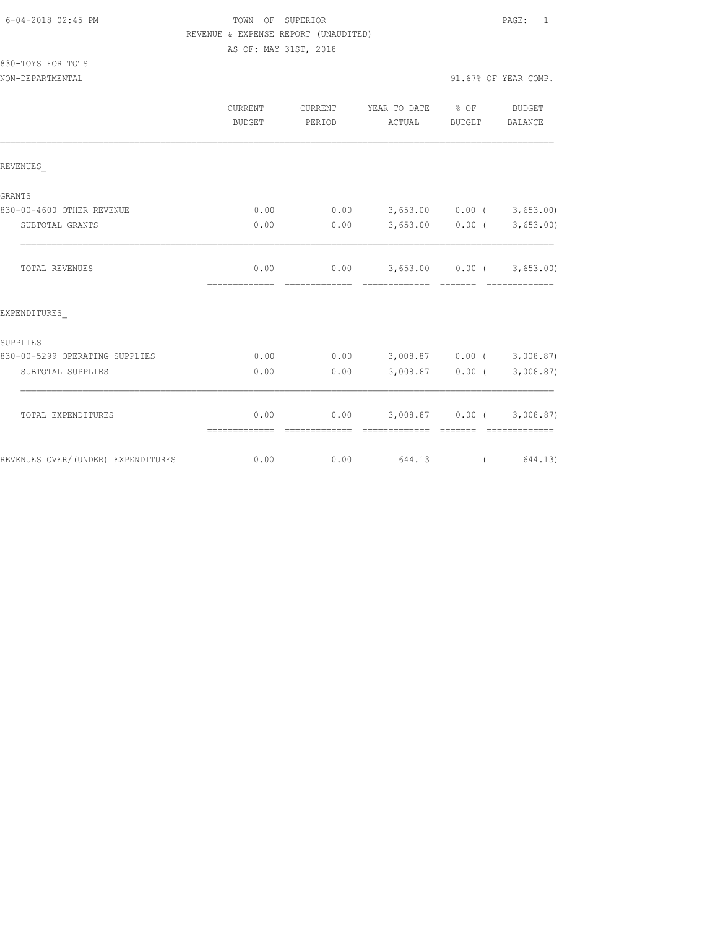| 6-04-2018 02:45 PM |  |
|--------------------|--|
|                    |  |

## TOWN OF SUPERIOR **Example 2018** PAGE: 1 REVENUE & EXPENSE REPORT (UNAUDITED)

AS OF: MAY 31ST, 2018

| 830-TOYS FOR TOTS |  |  |
|-------------------|--|--|
|                   |  |  |

|                                    | <b>CURRENT</b><br>BUDGET | <b>CURRENT</b><br>PERIOD | YEAR TO DATE % OF<br>ACTUAL                                                                                                                                                                                                                                                                                                                                                                                                                                                                                       | BUDGET                                                      | <b>BUDGET</b><br>BALANCE |
|------------------------------------|--------------------------|--------------------------|-------------------------------------------------------------------------------------------------------------------------------------------------------------------------------------------------------------------------------------------------------------------------------------------------------------------------------------------------------------------------------------------------------------------------------------------------------------------------------------------------------------------|-------------------------------------------------------------|--------------------------|
| REVENUES                           |                          |                          |                                                                                                                                                                                                                                                                                                                                                                                                                                                                                                                   |                                                             |                          |
| GRANTS                             |                          |                          |                                                                                                                                                                                                                                                                                                                                                                                                                                                                                                                   |                                                             |                          |
| 830-00-4600 OTHER REVENUE          | 0.00                     | 0.00                     | $3,653.00$ 0.00 ( $3,653.00$ )                                                                                                                                                                                                                                                                                                                                                                                                                                                                                    |                                                             |                          |
| SUBTOTAL GRANTS                    | 0.00                     | 0.00                     |                                                                                                                                                                                                                                                                                                                                                                                                                                                                                                                   | $3,653.00$ 0.00 (                                           | 3,653.00)                |
| TOTAL REVENUES                     | 0.00<br>=============    | essessessesse            | $0.00$ 3,653.00 0.00 ( 3,653.00)<br>$\begin{array}{cccccc} \multicolumn{2}{c}{{\color{red}z}} & \multicolumn{2}{c}{{\color{red}z}} & \multicolumn{2}{c}{{\color{red}z}} & \multicolumn{2}{c}{{\color{red}z}} & \multicolumn{2}{c}{{\color{red}z}} & \multicolumn{2}{c}{{\color{red}z}} & \multicolumn{2}{c}{{\color{red}z}} & \multicolumn{2}{c}{{\color{red}z}} & \multicolumn{2}{c}{{\color{red}z}} & \multicolumn{2}{c}{{\color{red}z}} & \multicolumn{2}{c}{{\color{red}z}} & \multicolumn{2}{c}{{\color{red$ | <b>CODEDITE</b>                                             | -------------            |
| EXPENDITURES                       |                          |                          |                                                                                                                                                                                                                                                                                                                                                                                                                                                                                                                   |                                                             |                          |
| SUPPLIES                           |                          |                          |                                                                                                                                                                                                                                                                                                                                                                                                                                                                                                                   |                                                             |                          |
| 830-00-5299 OPERATING SUPPLIES     | 0.00                     | 0.00                     | 3,008.87 0.00 (3,008.87)                                                                                                                                                                                                                                                                                                                                                                                                                                                                                          |                                                             |                          |
| SUBTOTAL SUPPLIES                  | 0.00                     | 0.00                     |                                                                                                                                                                                                                                                                                                                                                                                                                                                                                                                   | $3,008.87$ 0.00 (                                           | 3,008.87)                |
| TOTAL EXPENDITURES                 | 0.00<br>=============    |                          | $0.00$ $3,008.87$ $0.00$ ( $3,008.87$ )<br>=============                                                                                                                                                                                                                                                                                                                                                                                                                                                          | $\begin{array}{cccccc} = & = & = & = & = & = & \end{array}$ | <b>COORDINATION</b>      |
| REVENUES OVER/(UNDER) EXPENDITURES | 0.00                     | 0.00                     | 644.13                                                                                                                                                                                                                                                                                                                                                                                                                                                                                                            |                                                             | (644.13)                 |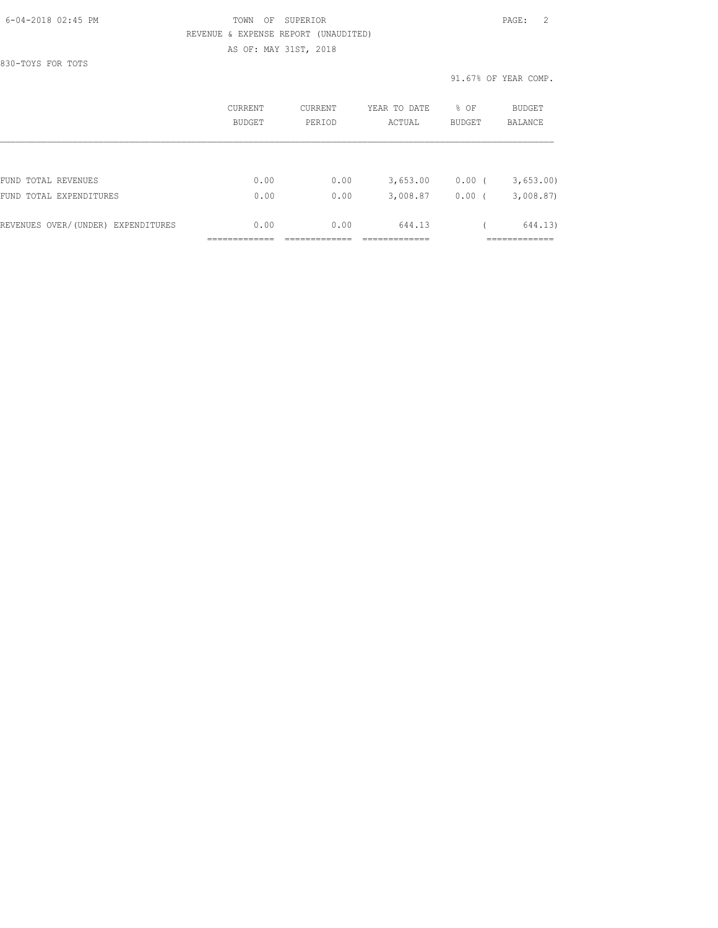## 6-04-2018 02:45 PM TOWN OF SUPERIOR PAGE: 2 REVENUE & EXPENSE REPORT (UNAUDITED)

AS OF: MAY 31ST, 2018

830-TOYS FOR TOTS

91.67% OF YEAR COMP.

|                                    | CURRENT<br><b>BUDGET</b> | <b>CURRENT</b><br>PERIOD | YEAR TO DATE<br>ACTUAL | % OF<br><b>BUDGET</b> | BUDGET<br>BALANCE |
|------------------------------------|--------------------------|--------------------------|------------------------|-----------------------|-------------------|
|                                    |                          |                          |                        |                       |                   |
| FUND TOTAL REVENUES                | 0.00                     | 0.00                     | 3,653.00               | 0.00(                 | 3,653.00          |
| FUND TOTAL EXPENDITURES            | 0.00                     | 0.00                     | 3,008.87               | 0.00                  | 3,008.87          |
| REVENUES OVER/(UNDER) EXPENDITURES | 0.00                     | 0.00                     | 644.13                 |                       | 644.13)           |
|                                    |                          |                          |                        |                       |                   |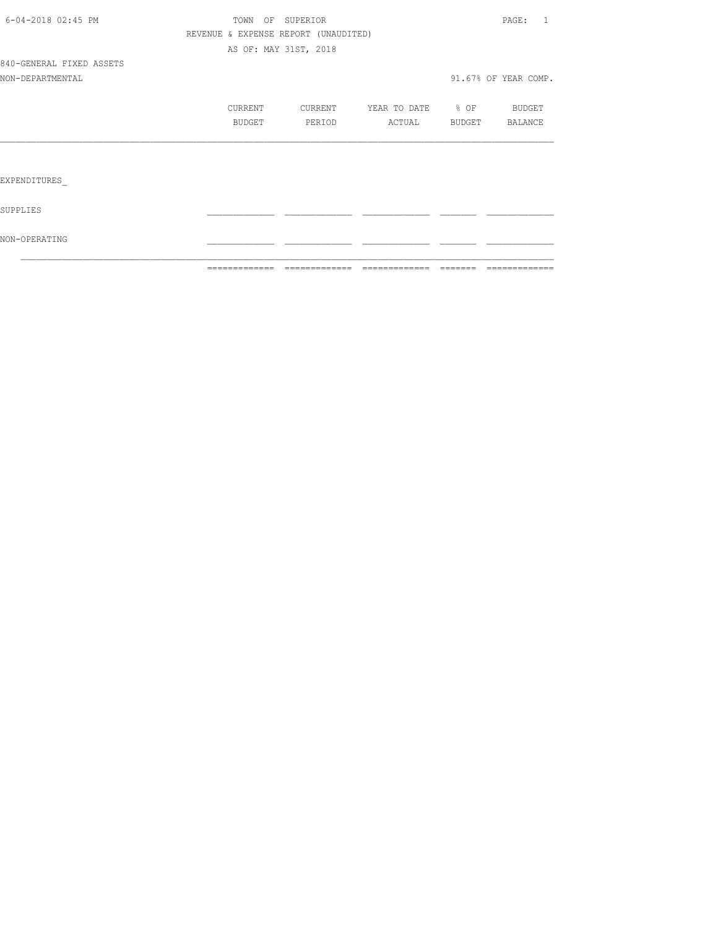|                          | =============                        | - coocoocoocooc       | =============         | -------- | =============        |
|--------------------------|--------------------------------------|-----------------------|-----------------------|----------|----------------------|
| NON-OPERATING            |                                      |                       |                       |          |                      |
| SUPPLIES                 |                                      |                       |                       |          |                      |
| EXPENDITURES             |                                      |                       |                       |          |                      |
|                          |                                      |                       |                       |          |                      |
|                          | BUDGET                               | PERIOD                | ACTUAL BUDGET BALANCE |          |                      |
|                          | CURRENT                              | CURRENT               | YEAR TO DATE % OF     |          | <b>BUDGET</b>        |
| NON-DEPARTMENTAL         |                                      |                       |                       |          | 91.67% OF YEAR COMP. |
| 840-GENERAL FIXED ASSETS |                                      |                       |                       |          |                      |
|                          |                                      | AS OF: MAY 31ST, 2018 |                       |          |                      |
|                          | REVENUE & EXPENSE REPORT (UNAUDITED) |                       |                       |          |                      |
| 6-04-2018 02:45 PM       |                                      | TOWN OF SUPERIOR      |                       |          | PAGE: 1              |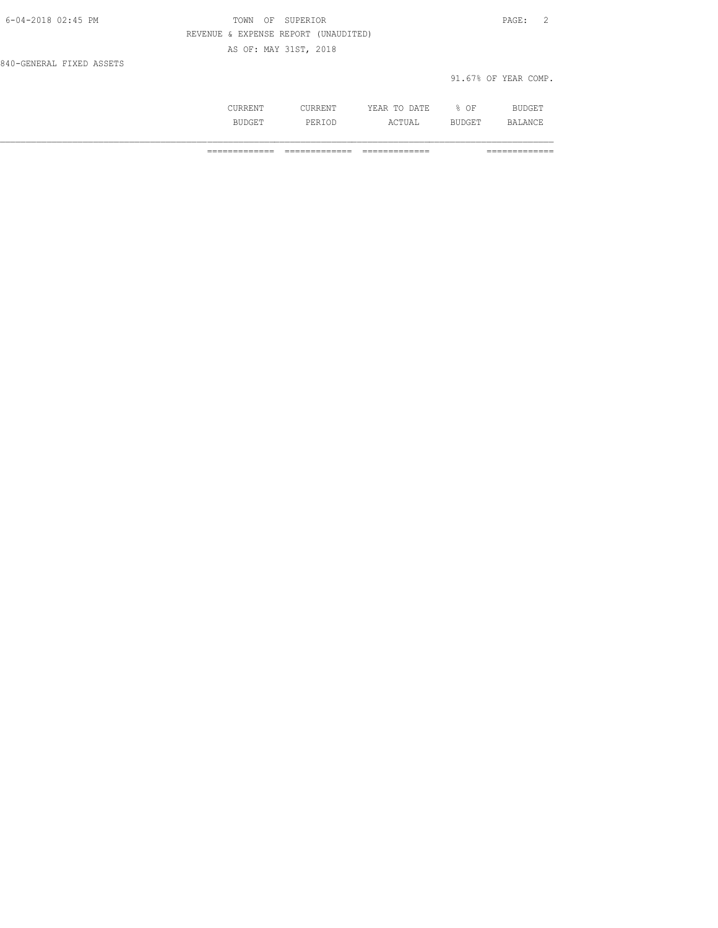| 6-04-2018 02:45 PM       | OF SUPERIOR<br>TOWN                  | PAGE: 2              |
|--------------------------|--------------------------------------|----------------------|
|                          | REVENUE & EXPENSE REPORT (UNAUDITED) |                      |
|                          | AS OF: MAY 31ST, 2018                |                      |
| 840-GENERAL FIXED ASSETS |                                      |                      |
|                          |                                      | 91.67% OF YEAR COMP. |
|                          |                                      |                      |

 CURRENT CURRENT YEAR TO DATE % OF BUDGET BUDGET PERIOD ACTUAL BUDGET BALANCE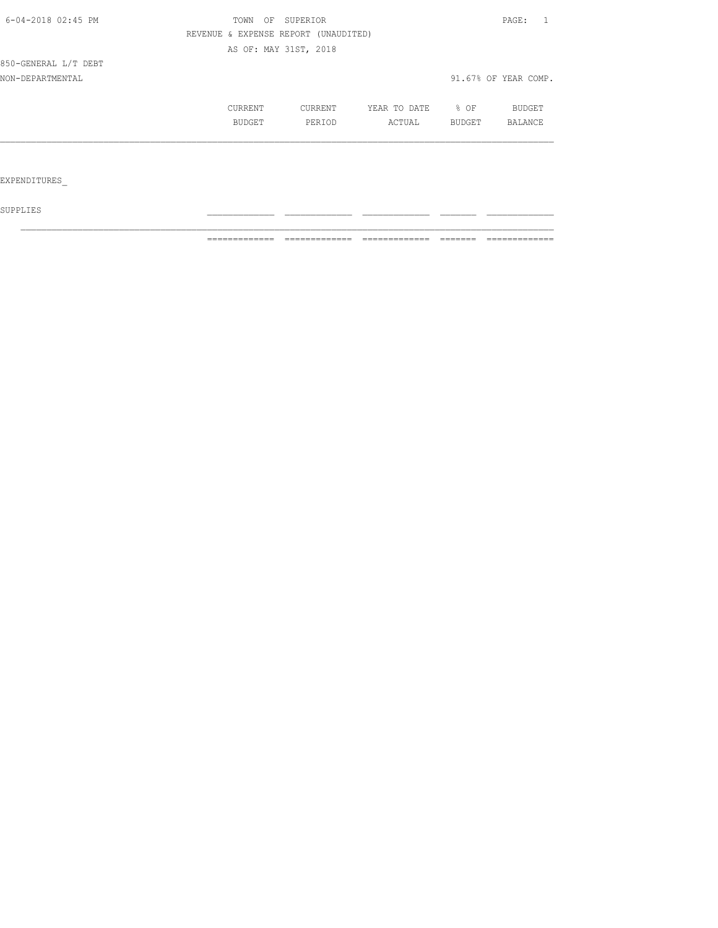| 6-04-2018 02:45 PM   | OF<br>TOWN | SUPERIOR                             |              |        | PAGE:                |
|----------------------|------------|--------------------------------------|--------------|--------|----------------------|
|                      |            | REVENUE & EXPENSE REPORT (UNAUDITED) |              |        |                      |
|                      |            | AS OF: MAY 31ST, 2018                |              |        |                      |
| 850-GENERAL L/T DEBT |            |                                      |              |        |                      |
| NON-DEPARTMENTAL     |            |                                      |              |        | 91.67% OF YEAR COMP. |
|                      | CURRENT    | CURRENT                              | YEAR TO DATE | % OF   | BUDGET               |
|                      | BUDGET     | PERIOD                               | ACTUAL       | BUDGET | BALANCE              |
|                      |            |                                      |              |        |                      |
|                      |            |                                      |              |        |                      |
| EXPENDITURES         |            |                                      |              |        |                      |

 ${\tt SUPPLIES}$